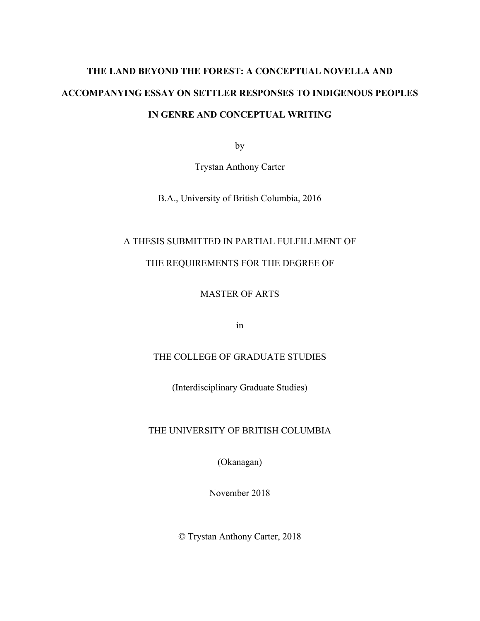# **THE LAND BEYOND THE FOREST: A CONCEPTUAL NOVELLA AND ACCOMPANYING ESSAY ON SETTLER RESPONSES TO INDIGENOUS PEOPLES IN GENRE AND CONCEPTUAL WRITING**

by

Trystan Anthony Carter

B.A., University of British Columbia, 2016

### A THESIS SUBMITTED IN PARTIAL FULFILLMENT OF

## THE REQUIREMENTS FOR THE DEGREE OF

### MASTER OF ARTS

in

## THE COLLEGE OF GRADUATE STUDIES

(Interdisciplinary Graduate Studies)

#### THE UNIVERSITY OF BRITISH COLUMBIA

(Okanagan)

November 2018

© Trystan Anthony Carter, 2018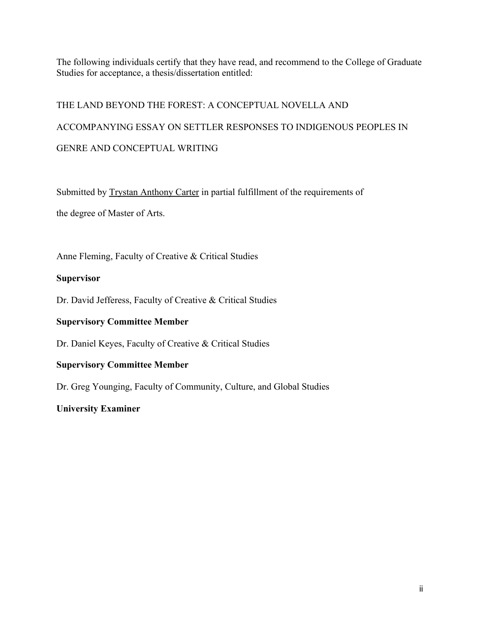The following individuals certify that they have read, and recommend to the College of Graduate Studies for acceptance, a thesis/dissertation entitled:

# THE LAND BEYOND THE FOREST: A CONCEPTUAL NOVELLA AND ACCOMPANYING ESSAY ON SETTLER RESPONSES TO INDIGENOUS PEOPLES IN GENRE AND CONCEPTUAL WRITING

Submitted by Trystan Anthony Carter in partial fulfillment of the requirements of the degree of Master of Arts.

Anne Fleming, Faculty of Creative & Critical Studies

#### **Supervisor**

Dr. David Jefferess, Faculty of Creative & Critical Studies

#### **Supervisory Committee Member**

Dr. Daniel Keyes, Faculty of Creative & Critical Studies

#### **Supervisory Committee Member**

Dr. Greg Younging, Faculty of Community, Culture, and Global Studies

#### **University Examiner**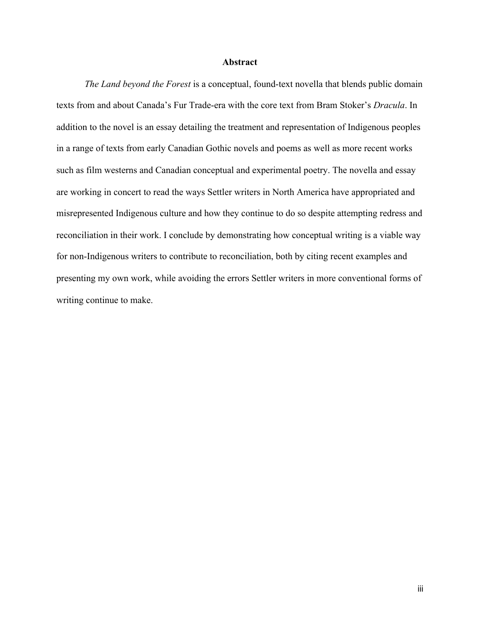#### **Abstract**

*The Land beyond the Forest* is a conceptual, found-text novella that blends public domain texts from and about Canada's Fur Trade-era with the core text from Bram Stoker's *Dracula*. In addition to the novel is an essay detailing the treatment and representation of Indigenous peoples in a range of texts from early Canadian Gothic novels and poems as well as more recent works such as film westerns and Canadian conceptual and experimental poetry. The novella and essay are working in concert to read the ways Settler writers in North America have appropriated and misrepresented Indigenous culture and how they continue to do so despite attempting redress and reconciliation in their work. I conclude by demonstrating how conceptual writing is a viable way for non-Indigenous writers to contribute to reconciliation, both by citing recent examples and presenting my own work, while avoiding the errors Settler writers in more conventional forms of writing continue to make.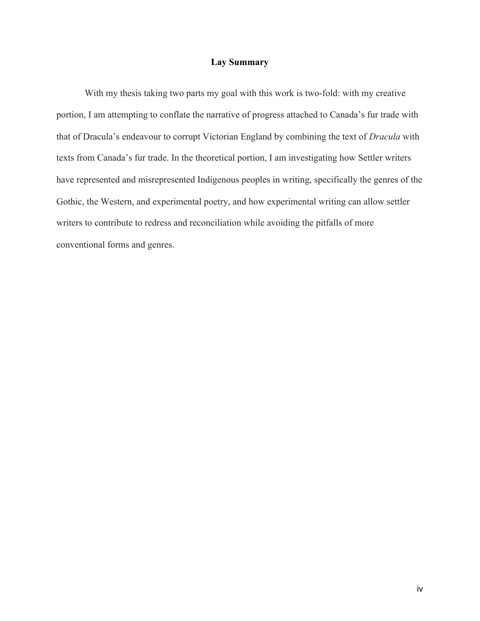#### **Lay Summary**

With my thesis taking two parts my goal with this work is two-fold: with my creative portion, I am attempting to conflate the narrative of progress attached to Canada's fur trade with that of Dracula's endeavour to corrupt Victorian England by combining the text of *Dracula* with texts from Canada's fur trade. In the theoretical portion, I am investigating how Settler writers have represented and misrepresented Indigenous peoples in writing, specifically the genres of the Gothic, the Western, and experimental poetry, and how experimental writing can allow settler writers to contribute to redress and reconciliation while avoiding the pitfalls of more conventional forms and genres.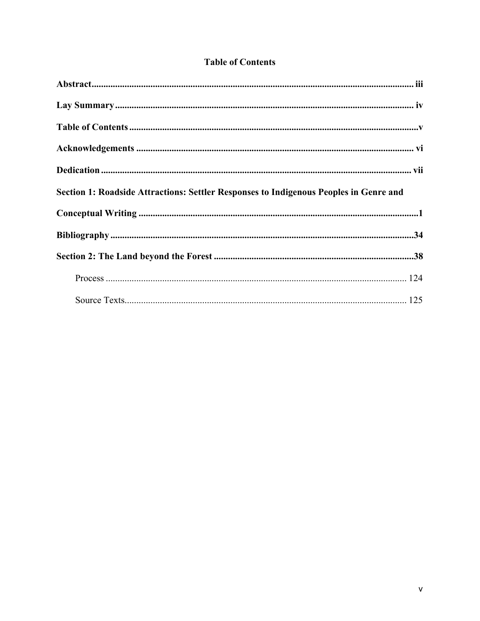| Section 1: Roadside Attractions: Settler Responses to Indigenous Peoples in Genre and |  |
|---------------------------------------------------------------------------------------|--|
|                                                                                       |  |
|                                                                                       |  |
|                                                                                       |  |
|                                                                                       |  |
|                                                                                       |  |

## **Table of Contents**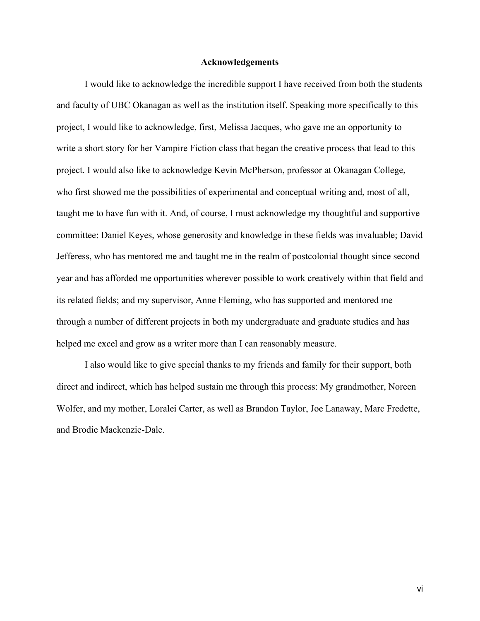#### **Acknowledgements**

I would like to acknowledge the incredible support I have received from both the students and faculty of UBC Okanagan as well as the institution itself. Speaking more specifically to this project, I would like to acknowledge, first, Melissa Jacques, who gave me an opportunity to write a short story for her Vampire Fiction class that began the creative process that lead to this project. I would also like to acknowledge Kevin McPherson, professor at Okanagan College, who first showed me the possibilities of experimental and conceptual writing and, most of all, taught me to have fun with it. And, of course, I must acknowledge my thoughtful and supportive committee: Daniel Keyes, whose generosity and knowledge in these fields was invaluable; David Jefferess, who has mentored me and taught me in the realm of postcolonial thought since second year and has afforded me opportunities wherever possible to work creatively within that field and its related fields; and my supervisor, Anne Fleming, who has supported and mentored me through a number of different projects in both my undergraduate and graduate studies and has helped me excel and grow as a writer more than I can reasonably measure.

I also would like to give special thanks to my friends and family for their support, both direct and indirect, which has helped sustain me through this process: My grandmother, Noreen Wolfer, and my mother, Loralei Carter, as well as Brandon Taylor, Joe Lanaway, Marc Fredette, and Brodie Mackenzie-Dale.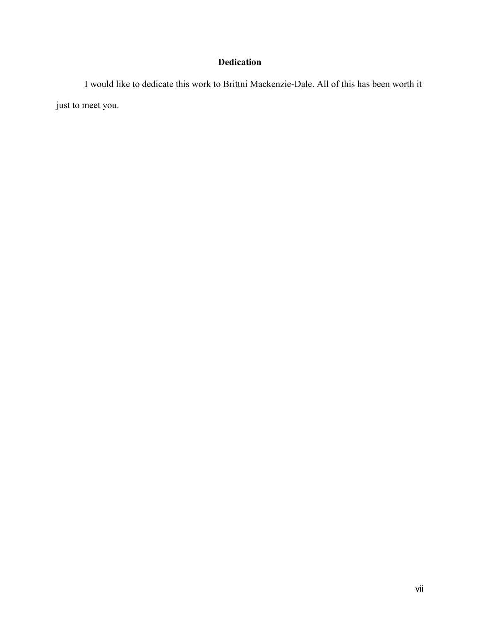## **Dedication**

I would like to dedicate this work to Brittni Mackenzie-Dale. All of this has been worth it just to meet you.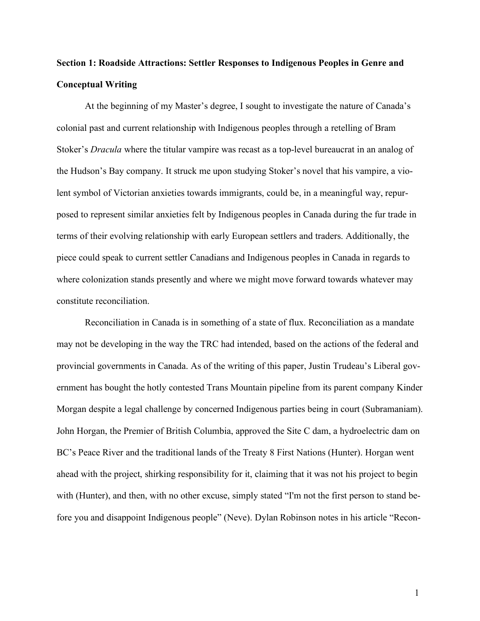## **Section 1: Roadside Attractions: Settler Responses to Indigenous Peoples in Genre and Conceptual Writing**

At the beginning of my Master's degree, I sought to investigate the nature of Canada's colonial past and current relationship with Indigenous peoples through a retelling of Bram Stoker's *Dracula* where the titular vampire was recast as a top-level bureaucrat in an analog of the Hudson's Bay company. It struck me upon studying Stoker's novel that his vampire, a violent symbol of Victorian anxieties towards immigrants, could be, in a meaningful way, repurposed to represent similar anxieties felt by Indigenous peoples in Canada during the fur trade in terms of their evolving relationship with early European settlers and traders. Additionally, the piece could speak to current settler Canadians and Indigenous peoples in Canada in regards to where colonization stands presently and where we might move forward towards whatever may constitute reconciliation.

Reconciliation in Canada is in something of a state of flux. Reconciliation as a mandate may not be developing in the way the TRC had intended, based on the actions of the federal and provincial governments in Canada. As of the writing of this paper, Justin Trudeau's Liberal government has bought the hotly contested Trans Mountain pipeline from its parent company Kinder Morgan despite a legal challenge by concerned Indigenous parties being in court (Subramaniam). John Horgan, the Premier of British Columbia, approved the Site C dam, a hydroelectric dam on BC's Peace River and the traditional lands of the Treaty 8 First Nations (Hunter). Horgan went ahead with the project, shirking responsibility for it, claiming that it was not his project to begin with (Hunter), and then, with no other excuse, simply stated "I'm not the first person to stand before you and disappoint Indigenous people" (Neve). Dylan Robinson notes in his article "Recon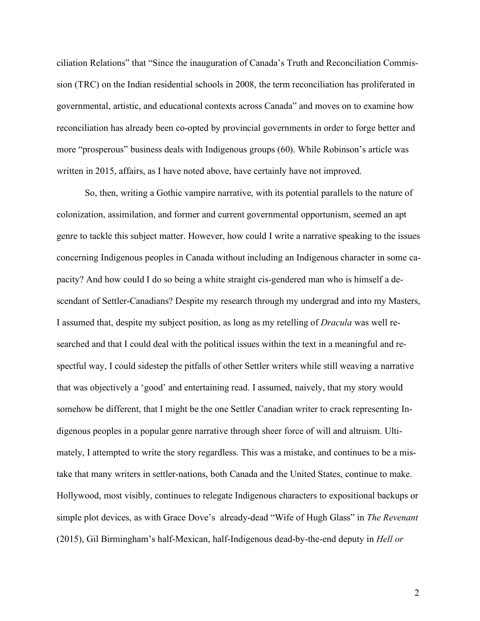ciliation Relations" that "Since the inauguration of Canada's Truth and Reconciliation Commission (TRC) on the Indian residential schools in 2008, the term reconciliation has proliferated in governmental, artistic, and educational contexts across Canada" and moves on to examine how reconciliation has already been co-opted by provincial governments in order to forge better and more "prosperous" business deals with Indigenous groups (60). While Robinson's article was written in 2015, affairs, as I have noted above, have certainly have not improved.

So, then, writing a Gothic vampire narrative, with its potential parallels to the nature of colonization, assimilation, and former and current governmental opportunism, seemed an apt genre to tackle this subject matter. However, how could I write a narrative speaking to the issues concerning Indigenous peoples in Canada without including an Indigenous character in some capacity? And how could I do so being a white straight cis-gendered man who is himself a descendant of Settler-Canadians? Despite my research through my undergrad and into my Masters, I assumed that, despite my subject position, as long as my retelling of *Dracula* was well researched and that I could deal with the political issues within the text in a meaningful and respectful way, I could sidestep the pitfalls of other Settler writers while still weaving a narrative that was objectively a 'good' and entertaining read. I assumed, naively, that my story would somehow be different, that I might be the one Settler Canadian writer to crack representing Indigenous peoples in a popular genre narrative through sheer force of will and altruism. Ultimately, I attempted to write the story regardless. This was a mistake, and continues to be a mistake that many writers in settler-nations, both Canada and the United States, continue to make. Hollywood, most visibly, continues to relegate Indigenous characters to expositional backups or simple plot devices, as with Grace Dove's already-dead "Wife of Hugh Glass" in *The Revenant* (2015), Gil Birmingham's half-Mexican, half-Indigenous dead-by-the-end deputy in *Hell or*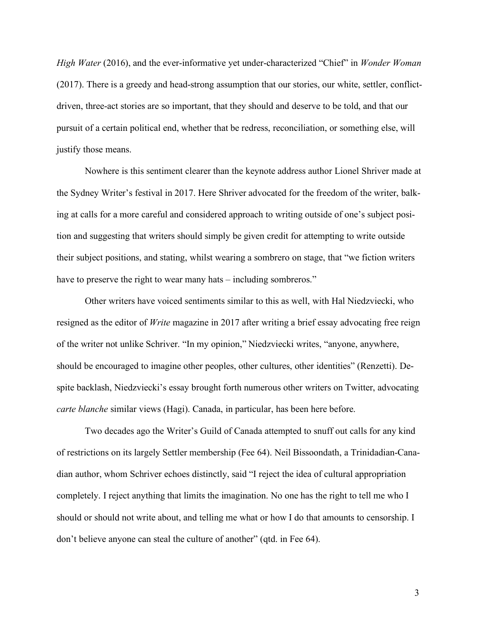*High Water* (2016), and the ever-informative yet under-characterized "Chief" in *Wonder Woman* (2017). There is a greedy and head-strong assumption that our stories, our white, settler, conflictdriven, three-act stories are so important, that they should and deserve to be told, and that our pursuit of a certain political end, whether that be redress, reconciliation, or something else, will justify those means.

Nowhere is this sentiment clearer than the keynote address author Lionel Shriver made at the Sydney Writer's festival in 2017. Here Shriver advocated for the freedom of the writer, balking at calls for a more careful and considered approach to writing outside of one's subject position and suggesting that writers should simply be given credit for attempting to write outside their subject positions, and stating, whilst wearing a sombrero on stage, that "we fiction writers have to preserve the right to wear many hats – including sombreros."

Other writers have voiced sentiments similar to this as well, with Hal Niedzviecki, who resigned as the editor of *Write* magazine in 2017 after writing a brief essay advocating free reign of the writer not unlike Schriver. "In my opinion," Niedzviecki writes, "anyone, anywhere, should be encouraged to imagine other peoples, other cultures, other identities" (Renzetti). Despite backlash, Niedzviecki's essay brought forth numerous other writers on Twitter, advocating *carte blanche* similar views (Hagi). Canada, in particular, has been here before.

Two decades ago the Writer's Guild of Canada attempted to snuff out calls for any kind of restrictions on its largely Settler membership (Fee 64). Neil Bissoondath, a Trinidadian-Canadian author, whom Schriver echoes distinctly, said "I reject the idea of cultural appropriation completely. I reject anything that limits the imagination. No one has the right to tell me who I should or should not write about, and telling me what or how I do that amounts to censorship. I don't believe anyone can steal the culture of another" (qtd. in Fee 64).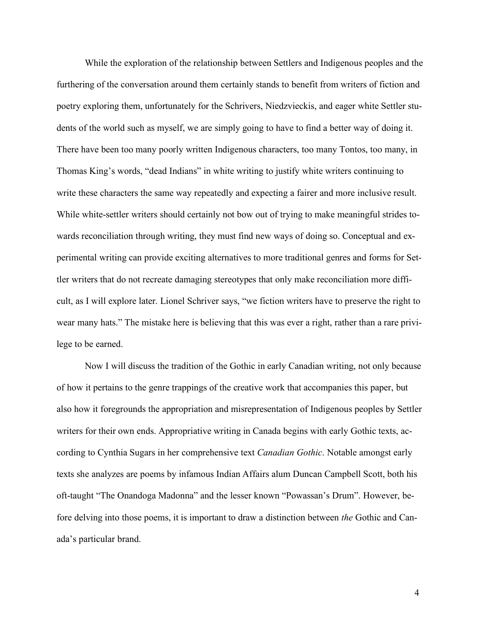While the exploration of the relationship between Settlers and Indigenous peoples and the furthering of the conversation around them certainly stands to benefit from writers of fiction and poetry exploring them, unfortunately for the Schrivers, Niedzvieckis, and eager white Settler students of the world such as myself, we are simply going to have to find a better way of doing it. There have been too many poorly written Indigenous characters, too many Tontos, too many, in Thomas King's words, "dead Indians" in white writing to justify white writers continuing to write these characters the same way repeatedly and expecting a fairer and more inclusive result. While white-settler writers should certainly not bow out of trying to make meaningful strides towards reconciliation through writing, they must find new ways of doing so. Conceptual and experimental writing can provide exciting alternatives to more traditional genres and forms for Settler writers that do not recreate damaging stereotypes that only make reconciliation more difficult, as I will explore later. Lionel Schriver says, "we fiction writers have to preserve the right to wear many hats." The mistake here is believing that this was ever a right, rather than a rare privilege to be earned.

Now I will discuss the tradition of the Gothic in early Canadian writing, not only because of how it pertains to the genre trappings of the creative work that accompanies this paper, but also how it foregrounds the appropriation and misrepresentation of Indigenous peoples by Settler writers for their own ends. Appropriative writing in Canada begins with early Gothic texts, according to Cynthia Sugars in her comprehensive text *Canadian Gothic*. Notable amongst early texts she analyzes are poems by infamous Indian Affairs alum Duncan Campbell Scott, both his oft-taught "The Onandoga Madonna" and the lesser known "Powassan's Drum". However, before delving into those poems, it is important to draw a distinction between *the* Gothic and Canada's particular brand.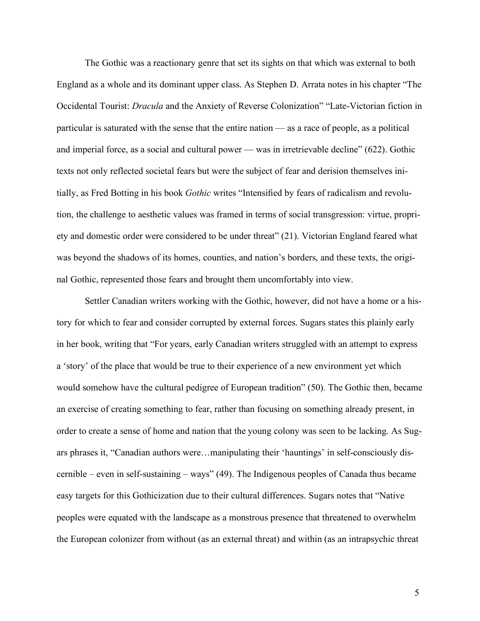The Gothic was a reactionary genre that set its sights on that which was external to both England as a whole and its dominant upper class. As Stephen D. Arrata notes in his chapter "The Occidental Tourist: *Dracula* and the Anxiety of Reverse Colonization" "Late-Victorian fiction in particular is saturated with the sense that the entire nation — as a race of people, as a political and imperial force, as a social and cultural power — was in irretrievable decline" (622). Gothic texts not only reflected societal fears but were the subject of fear and derision themselves initially, as Fred Botting in his book *Gothic* writes "Intensified by fears of radicalism and revolution, the challenge to aesthetic values was framed in terms of social transgression: virtue, propriety and domestic order were considered to be under threat" (21). Victorian England feared what was beyond the shadows of its homes, counties, and nation's borders, and these texts, the original Gothic, represented those fears and brought them uncomfortably into view.

Settler Canadian writers working with the Gothic, however, did not have a home or a history for which to fear and consider corrupted by external forces. Sugars states this plainly early in her book, writing that "For years, early Canadian writers struggled with an attempt to express a 'story' of the place that would be true to their experience of a new environment yet which would somehow have the cultural pedigree of European tradition" (50). The Gothic then, became an exercise of creating something to fear, rather than focusing on something already present, in order to create a sense of home and nation that the young colony was seen to be lacking. As Sugars phrases it, "Canadian authors were…manipulating their 'hauntings' in self-consciously discernible – even in self-sustaining – ways" (49). The Indigenous peoples of Canada thus became easy targets for this Gothicization due to their cultural differences. Sugars notes that "Native peoples were equated with the landscape as a monstrous presence that threatened to overwhelm the European colonizer from without (as an external threat) and within (as an intrapsychic threat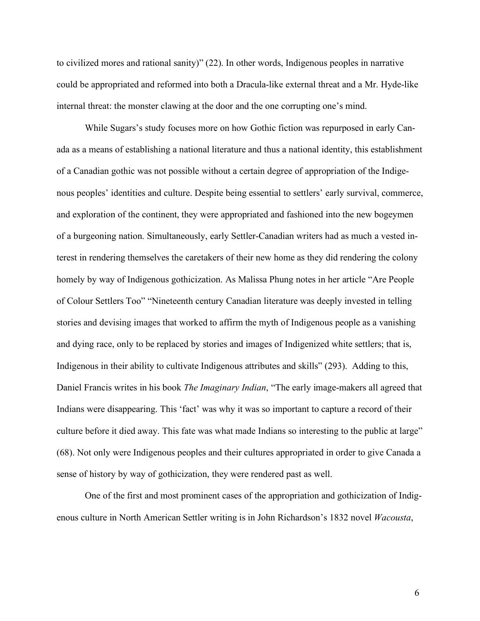to civilized mores and rational sanity)" (22). In other words, Indigenous peoples in narrative could be appropriated and reformed into both a Dracula-like external threat and a Mr. Hyde-like internal threat: the monster clawing at the door and the one corrupting one's mind.

While Sugars's study focuses more on how Gothic fiction was repurposed in early Canada as a means of establishing a national literature and thus a national identity, this establishment of a Canadian gothic was not possible without a certain degree of appropriation of the Indigenous peoples' identities and culture. Despite being essential to settlers' early survival, commerce, and exploration of the continent, they were appropriated and fashioned into the new bogeymen of a burgeoning nation. Simultaneously, early Settler-Canadian writers had as much a vested interest in rendering themselves the caretakers of their new home as they did rendering the colony homely by way of Indigenous gothicization. As Malissa Phung notes in her article "Are People of Colour Settlers Too" "Nineteenth century Canadian literature was deeply invested in telling stories and devising images that worked to affirm the myth of Indigenous people as a vanishing and dying race, only to be replaced by stories and images of Indigenized white settlers; that is, Indigenous in their ability to cultivate Indigenous attributes and skills" (293). Adding to this, Daniel Francis writes in his book *The Imaginary Indian*, "The early image-makers all agreed that Indians were disappearing. This 'fact' was why it was so important to capture a record of their culture before it died away. This fate was what made Indians so interesting to the public at large" (68). Not only were Indigenous peoples and their cultures appropriated in order to give Canada a sense of history by way of gothicization, they were rendered past as well.

One of the first and most prominent cases of the appropriation and gothicization of Indigenous culture in North American Settler writing is in John Richardson's 1832 novel *Wacousta*,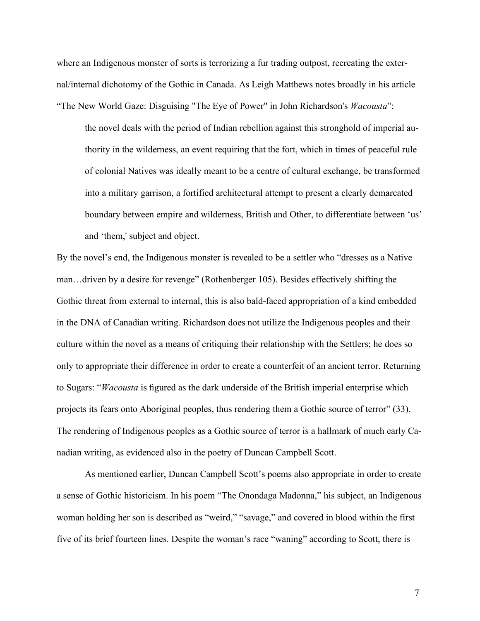where an Indigenous monster of sorts is terrorizing a fur trading outpost, recreating the external/internal dichotomy of the Gothic in Canada. As Leigh Matthews notes broadly in his article "The New World Gaze: Disguising "The Eye of Power" in John Richardson's *Wacousta*":

the novel deals with the period of Indian rebellion against this stronghold of imperial authority in the wilderness, an event requiring that the fort, which in times of peaceful rule of colonial Natives was ideally meant to be a centre of cultural exchange, be transformed into a military garrison, a fortified architectural attempt to present a clearly demarcated boundary between empire and wilderness, British and Other, to differentiate between 'us' and 'them,' subject and object.

By the novel's end, the Indigenous monster is revealed to be a settler who "dresses as a Native man…driven by a desire for revenge" (Rothenberger 105). Besides effectively shifting the Gothic threat from external to internal, this is also bald-faced appropriation of a kind embedded in the DNA of Canadian writing. Richardson does not utilize the Indigenous peoples and their culture within the novel as a means of critiquing their relationship with the Settlers; he does so only to appropriate their difference in order to create a counterfeit of an ancient terror. Returning to Sugars: "*Wacousta* is figured as the dark underside of the British imperial enterprise which projects its fears onto Aboriginal peoples, thus rendering them a Gothic source of terror" (33). The rendering of Indigenous peoples as a Gothic source of terror is a hallmark of much early Canadian writing, as evidenced also in the poetry of Duncan Campbell Scott.

As mentioned earlier, Duncan Campbell Scott's poems also appropriate in order to create a sense of Gothic historicism. In his poem "The Onondaga Madonna," his subject, an Indigenous woman holding her son is described as "weird," "savage," and covered in blood within the first five of its brief fourteen lines. Despite the woman's race "waning" according to Scott, there is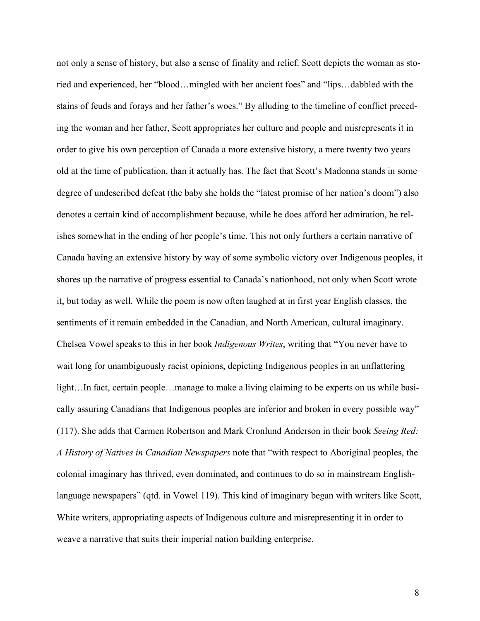not only a sense of history, but also a sense of finality and relief. Scott depicts the woman as storied and experienced, her "blood…mingled with her ancient foes" and "lips…dabbled with the stains of feuds and forays and her father's woes." By alluding to the timeline of conflict preceding the woman and her father, Scott appropriates her culture and people and misrepresents it in order to give his own perception of Canada a more extensive history, a mere twenty two years old at the time of publication, than it actually has. The fact that Scott's Madonna stands in some degree of undescribed defeat (the baby she holds the "latest promise of her nation's doom") also denotes a certain kind of accomplishment because, while he does afford her admiration, he relishes somewhat in the ending of her people's time. This not only furthers a certain narrative of Canada having an extensive history by way of some symbolic victory over Indigenous peoples, it shores up the narrative of progress essential to Canada's nationhood, not only when Scott wrote it, but today as well. While the poem is now often laughed at in first year English classes, the sentiments of it remain embedded in the Canadian, and North American, cultural imaginary. Chelsea Vowel speaks to this in her book *Indigenous Writes*, writing that "You never have to wait long for unambiguously racist opinions, depicting Indigenous peoples in an unflattering light...In fact, certain people...manage to make a living claiming to be experts on us while basically assuring Canadians that Indigenous peoples are inferior and broken in every possible way" (117). She adds that Carmen Robertson and Mark Cronlund Anderson in their book *Seeing Red: A History of Natives in Canadian Newspapers* note that "with respect to Aboriginal peoples, the colonial imaginary has thrived, even dominated, and continues to do so in mainstream Englishlanguage newspapers" (qtd. in Vowel 119). This kind of imaginary began with writers like Scott, White writers, appropriating aspects of Indigenous culture and misrepresenting it in order to weave a narrative that suits their imperial nation building enterprise.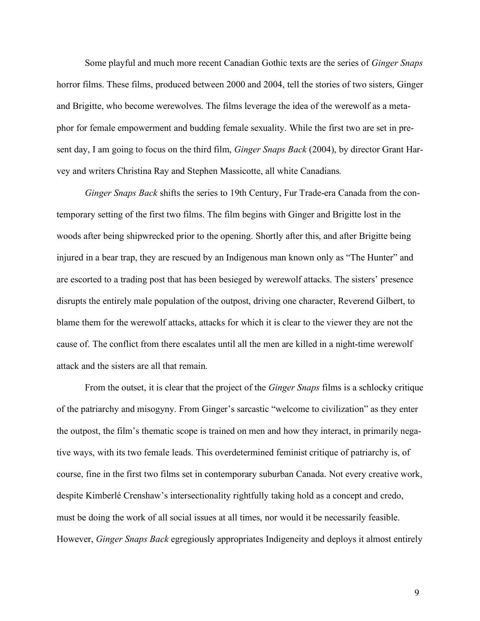Some playful and much more recent Canadian Gothic texts are the series of *Ginger Snaps* horror films. These films, produced between 2000 and 2004, tell the stories of two sisters, Ginger and Brigitte, who become werewolves. The films leverage the idea of the werewolf as a metaphor for female empowerment and budding female sexuality. While the first two are set in present day, I am going to focus on the third film, *Ginger Snaps Back* (2004), by director Grant Harvey and writers Christina Ray and Stephen Massicotte, all white Canadians*.*

*Ginger Snaps Back* shifts the series to 19th Century, Fur Trade-era Canada from the contemporary setting of the first two films. The film begins with Ginger and Brigitte lost in the woods after being shipwrecked prior to the opening. Shortly after this, and after Brigitte being injured in a bear trap, they are rescued by an Indigenous man known only as "The Hunter" and are escorted to a trading post that has been besieged by werewolf attacks. The sisters' presence disrupts the entirely male population of the outpost, driving one character, Reverend Gilbert, to blame them for the werewolf attacks, attacks for which it is clear to the viewer they are not the cause of. The conflict from there escalates until all the men are killed in a night-time werewolf attack and the sisters are all that remain.

From the outset, it is clear that the project of the *Ginger Snaps* films is a schlocky critique of the patriarchy and misogyny. From Ginger's sarcastic "welcome to civilization" as they enter the outpost, the film's thematic scope is trained on men and how they interact, in primarily negative ways, with its two female leads. This overdetermined feminist critique of patriarchy is, of course, fine in the first two films set in contemporary suburban Canada. Not every creative work, despite Kimberlé Crenshaw's intersectionality rightfully taking hold as a concept and credo, must be doing the work of all social issues at all times, nor would it be necessarily feasible. However, *Ginger Snaps Back* egregiously appropriates Indigeneity and deploys it almost entirely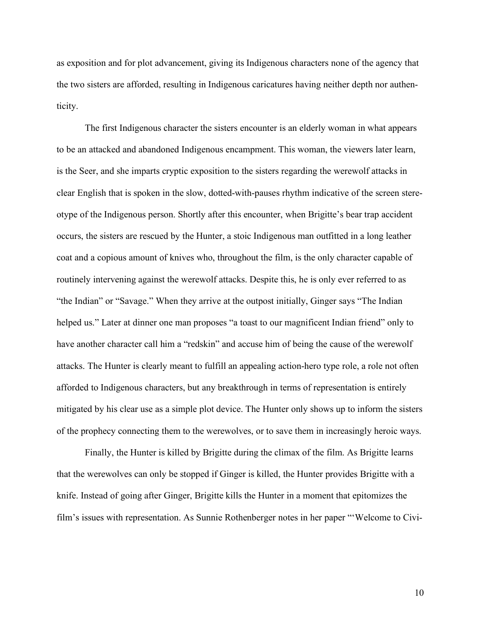as exposition and for plot advancement, giving its Indigenous characters none of the agency that the two sisters are afforded, resulting in Indigenous caricatures having neither depth nor authenticity.

The first Indigenous character the sisters encounter is an elderly woman in what appears to be an attacked and abandoned Indigenous encampment. This woman, the viewers later learn, is the Seer, and she imparts cryptic exposition to the sisters regarding the werewolf attacks in clear English that is spoken in the slow, dotted-with-pauses rhythm indicative of the screen stereotype of the Indigenous person. Shortly after this encounter, when Brigitte's bear trap accident occurs, the sisters are rescued by the Hunter, a stoic Indigenous man outfitted in a long leather coat and a copious amount of knives who, throughout the film, is the only character capable of routinely intervening against the werewolf attacks. Despite this, he is only ever referred to as "the Indian" or "Savage." When they arrive at the outpost initially, Ginger says "The Indian helped us." Later at dinner one man proposes "a toast to our magnificent Indian friend" only to have another character call him a "redskin" and accuse him of being the cause of the werewolf attacks. The Hunter is clearly meant to fulfill an appealing action-hero type role, a role not often afforded to Indigenous characters, but any breakthrough in terms of representation is entirely mitigated by his clear use as a simple plot device. The Hunter only shows up to inform the sisters of the prophecy connecting them to the werewolves, or to save them in increasingly heroic ways.

Finally, the Hunter is killed by Brigitte during the climax of the film. As Brigitte learns that the werewolves can only be stopped if Ginger is killed, the Hunter provides Brigitte with a knife. Instead of going after Ginger, Brigitte kills the Hunter in a moment that epitomizes the film's issues with representation. As Sunnie Rothenberger notes in her paper "'Welcome to Civi-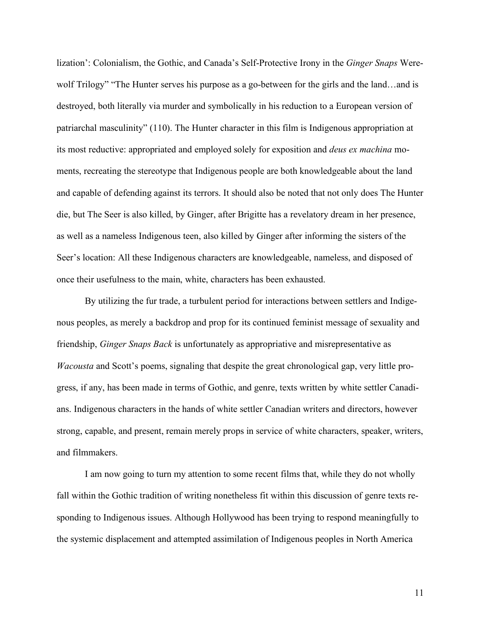lization': Colonialism, the Gothic, and Canada's Self-Protective Irony in the *Ginger Snaps* Werewolf Trilogy" "The Hunter serves his purpose as a go-between for the girls and the land…and is destroyed, both literally via murder and symbolically in his reduction to a European version of patriarchal masculinity" (110). The Hunter character in this film is Indigenous appropriation at its most reductive: appropriated and employed solely for exposition and *deus ex machina* moments, recreating the stereotype that Indigenous people are both knowledgeable about the land and capable of defending against its terrors. It should also be noted that not only does The Hunter die, but The Seer is also killed, by Ginger, after Brigitte has a revelatory dream in her presence, as well as a nameless Indigenous teen, also killed by Ginger after informing the sisters of the Seer's location: All these Indigenous characters are knowledgeable, nameless, and disposed of once their usefulness to the main, white, characters has been exhausted.

By utilizing the fur trade, a turbulent period for interactions between settlers and Indigenous peoples, as merely a backdrop and prop for its continued feminist message of sexuality and friendship, *Ginger Snaps Back* is unfortunately as appropriative and misrepresentative as *Wacousta* and Scott's poems, signaling that despite the great chronological gap, very little progress, if any, has been made in terms of Gothic, and genre, texts written by white settler Canadians. Indigenous characters in the hands of white settler Canadian writers and directors, however strong, capable, and present, remain merely props in service of white characters, speaker, writers, and filmmakers.

I am now going to turn my attention to some recent films that, while they do not wholly fall within the Gothic tradition of writing nonetheless fit within this discussion of genre texts responding to Indigenous issues. Although Hollywood has been trying to respond meaningfully to the systemic displacement and attempted assimilation of Indigenous peoples in North America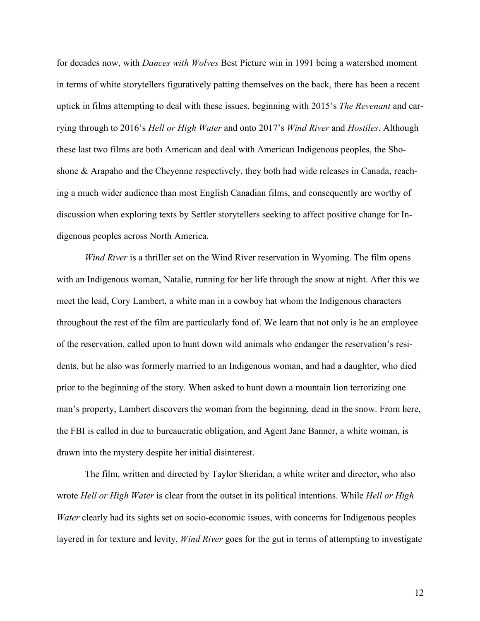for decades now, with *Dances with Wolves* Best Picture win in 1991 being a watershed moment in terms of white storytellers figuratively patting themselves on the back, there has been a recent uptick in films attempting to deal with these issues, beginning with 2015's *The Revenant* and carrying through to 2016's *Hell or High Water* and onto 2017's *Wind River* and *Hostiles*. Although these last two films are both American and deal with American Indigenous peoples, the Shoshone & Arapaho and the Cheyenne respectively, they both had wide releases in Canada, reaching a much wider audience than most English Canadian films, and consequently are worthy of discussion when exploring texts by Settler storytellers seeking to affect positive change for Indigenous peoples across North America.

*Wind River* is a thriller set on the Wind River reservation in Wyoming. The film opens with an Indigenous woman, Natalie, running for her life through the snow at night. After this we meet the lead, Cory Lambert, a white man in a cowboy hat whom the Indigenous characters throughout the rest of the film are particularly fond of. We learn that not only is he an employee of the reservation, called upon to hunt down wild animals who endanger the reservation's residents, but he also was formerly married to an Indigenous woman, and had a daughter, who died prior to the beginning of the story. When asked to hunt down a mountain lion terrorizing one man's property, Lambert discovers the woman from the beginning, dead in the snow. From here, the FBI is called in due to bureaucratic obligation, and Agent Jane Banner, a white woman, is drawn into the mystery despite her initial disinterest.

The film, written and directed by Taylor Sheridan, a white writer and director, who also wrote *Hell or High Water* is clear from the outset in its political intentions. While *Hell or High Water* clearly had its sights set on socio-economic issues, with concerns for Indigenous peoples layered in for texture and levity, *Wind River* goes for the gut in terms of attempting to investigate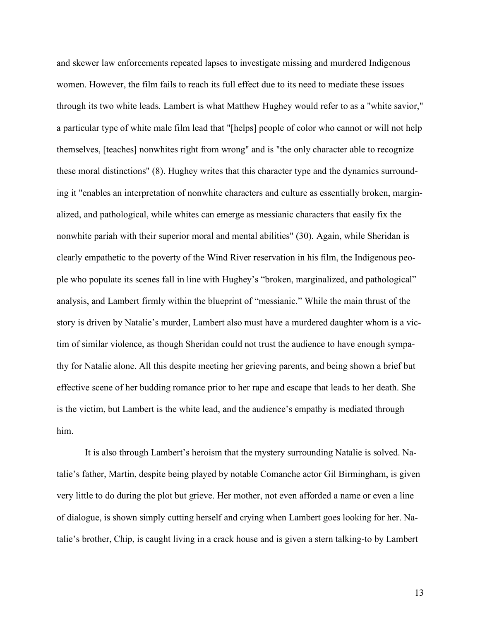and skewer law enforcements repeated lapses to investigate missing and murdered Indigenous women. However, the film fails to reach its full effect due to its need to mediate these issues through its two white leads. Lambert is what Matthew Hughey would refer to as a "white savior," a particular type of white male film lead that "[helps] people of color who cannot or will not help themselves, [teaches] nonwhites right from wrong" and is "the only character able to recognize these moral distinctions" (8). Hughey writes that this character type and the dynamics surrounding it "enables an interpretation of nonwhite characters and culture as essentially broken, marginalized, and pathological, while whites can emerge as messianic characters that easily fix the nonwhite pariah with their superior moral and mental abilities" (30). Again, while Sheridan is clearly empathetic to the poverty of the Wind River reservation in his film, the Indigenous people who populate its scenes fall in line with Hughey's "broken, marginalized, and pathological" analysis, and Lambert firmly within the blueprint of "messianic." While the main thrust of the story is driven by Natalie's murder, Lambert also must have a murdered daughter whom is a victim of similar violence, as though Sheridan could not trust the audience to have enough sympathy for Natalie alone. All this despite meeting her grieving parents, and being shown a brief but effective scene of her budding romance prior to her rape and escape that leads to her death. She is the victim, but Lambert is the white lead, and the audience's empathy is mediated through him.

It is also through Lambert's heroism that the mystery surrounding Natalie is solved. Natalie's father, Martin, despite being played by notable Comanche actor Gil Birmingham, is given very little to do during the plot but grieve. Her mother, not even afforded a name or even a line of dialogue, is shown simply cutting herself and crying when Lambert goes looking for her. Natalie's brother, Chip, is caught living in a crack house and is given a stern talking-to by Lambert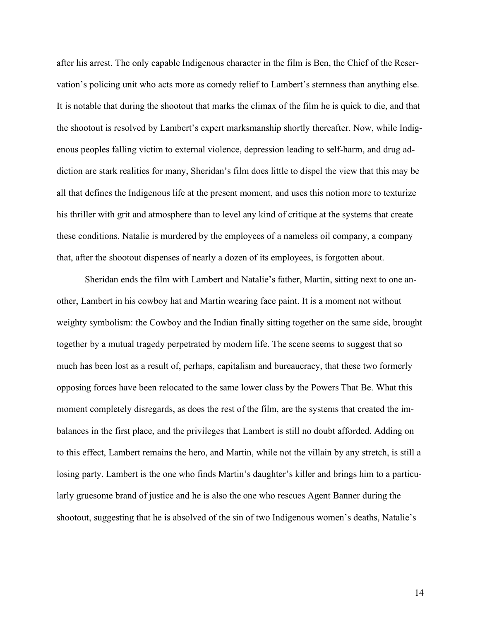after his arrest. The only capable Indigenous character in the film is Ben, the Chief of the Reservation's policing unit who acts more as comedy relief to Lambert's sternness than anything else. It is notable that during the shootout that marks the climax of the film he is quick to die, and that the shootout is resolved by Lambert's expert marksmanship shortly thereafter. Now, while Indigenous peoples falling victim to external violence, depression leading to self-harm, and drug addiction are stark realities for many, Sheridan's film does little to dispel the view that this may be all that defines the Indigenous life at the present moment, and uses this notion more to texturize his thriller with grit and atmosphere than to level any kind of critique at the systems that create these conditions. Natalie is murdered by the employees of a nameless oil company, a company that, after the shootout dispenses of nearly a dozen of its employees, is forgotten about.

Sheridan ends the film with Lambert and Natalie's father, Martin, sitting next to one another, Lambert in his cowboy hat and Martin wearing face paint. It is a moment not without weighty symbolism: the Cowboy and the Indian finally sitting together on the same side, brought together by a mutual tragedy perpetrated by modern life. The scene seems to suggest that so much has been lost as a result of, perhaps, capitalism and bureaucracy, that these two formerly opposing forces have been relocated to the same lower class by the Powers That Be. What this moment completely disregards, as does the rest of the film, are the systems that created the imbalances in the first place, and the privileges that Lambert is still no doubt afforded. Adding on to this effect, Lambert remains the hero, and Martin, while not the villain by any stretch, is still a losing party. Lambert is the one who finds Martin's daughter's killer and brings him to a particularly gruesome brand of justice and he is also the one who rescues Agent Banner during the shootout, suggesting that he is absolved of the sin of two Indigenous women's deaths, Natalie's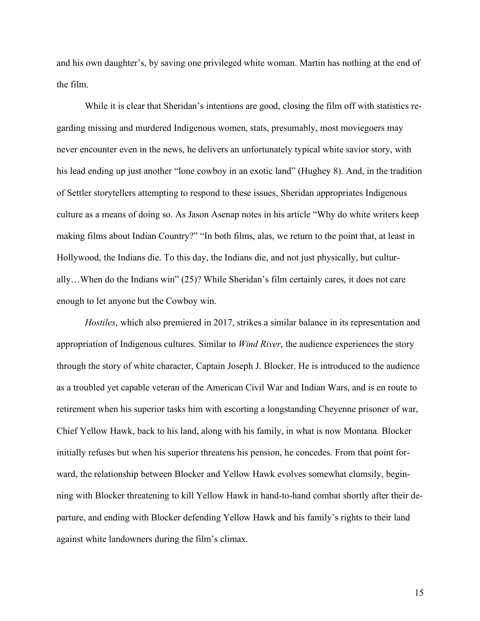and his own daughter's, by saving one privileged white woman. Martin has nothing at the end of the film.

While it is clear that Sheridan's intentions are good, closing the film off with statistics regarding missing and murdered Indigenous women, stats, presumably, most moviegoers may never encounter even in the news, he delivers an unfortunately typical white savior story, with his lead ending up just another "lone cowboy in an exotic land" (Hughey 8). And, in the tradition of Settler storytellers attempting to respond to these issues, Sheridan appropriates Indigenous culture as a means of doing so. As Jason Asenap notes in his article "Why do white writers keep making films about Indian Country?" "In both films, alas, we return to the point that, at least in Hollywood, the Indians die. To this day, the Indians die, and not just physically, but culturally…When do the Indians win" (25)? While Sheridan's film certainly cares, it does not care enough to let anyone but the Cowboy win.

*Hostiles*, which also premiered in 2017, strikes a similar balance in its representation and appropriation of Indigenous cultures. Similar to *Wind River*, the audience experiences the story through the story of white character, Captain Joseph J. Blocker. He is introduced to the audience as a troubled yet capable veteran of the American Civil War and Indian Wars, and is en route to retirement when his superior tasks him with escorting a longstanding Cheyenne prisoner of war, Chief Yellow Hawk, back to his land, along with his family, in what is now Montana. Blocker initially refuses but when his superior threatens his pension, he concedes. From that point forward, the relationship between Blocker and Yellow Hawk evolves somewhat clumsily, beginning with Blocker threatening to kill Yellow Hawk in hand-to-hand combat shortly after their departure, and ending with Blocker defending Yellow Hawk and his family's rights to their land against white landowners during the film's climax.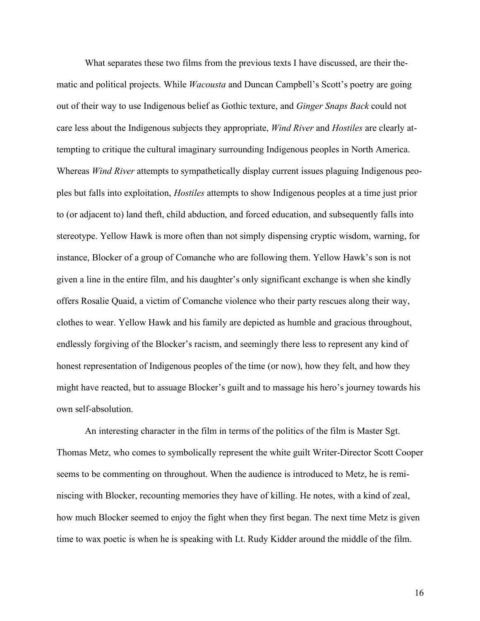What separates these two films from the previous texts I have discussed, are their thematic and political projects. While *Wacousta* and Duncan Campbell's Scott's poetry are going out of their way to use Indigenous belief as Gothic texture, and *Ginger Snaps Back* could not care less about the Indigenous subjects they appropriate, *Wind River* and *Hostiles* are clearly attempting to critique the cultural imaginary surrounding Indigenous peoples in North America. Whereas *Wind River* attempts to sympathetically display current issues plaguing Indigenous peoples but falls into exploitation, *Hostiles* attempts to show Indigenous peoples at a time just prior to (or adjacent to) land theft, child abduction, and forced education, and subsequently falls into stereotype. Yellow Hawk is more often than not simply dispensing cryptic wisdom, warning, for instance, Blocker of a group of Comanche who are following them. Yellow Hawk's son is not given a line in the entire film, and his daughter's only significant exchange is when she kindly offers Rosalie Quaid, a victim of Comanche violence who their party rescues along their way, clothes to wear. Yellow Hawk and his family are depicted as humble and gracious throughout, endlessly forgiving of the Blocker's racism, and seemingly there less to represent any kind of honest representation of Indigenous peoples of the time (or now), how they felt, and how they might have reacted, but to assuage Blocker's guilt and to massage his hero's journey towards his own self-absolution.

An interesting character in the film in terms of the politics of the film is Master Sgt. Thomas Metz, who comes to symbolically represent the white guilt Writer-Director Scott Cooper seems to be commenting on throughout. When the audience is introduced to Metz, he is reminiscing with Blocker, recounting memories they have of killing. He notes, with a kind of zeal, how much Blocker seemed to enjoy the fight when they first began. The next time Metz is given time to wax poetic is when he is speaking with Lt. Rudy Kidder around the middle of the film.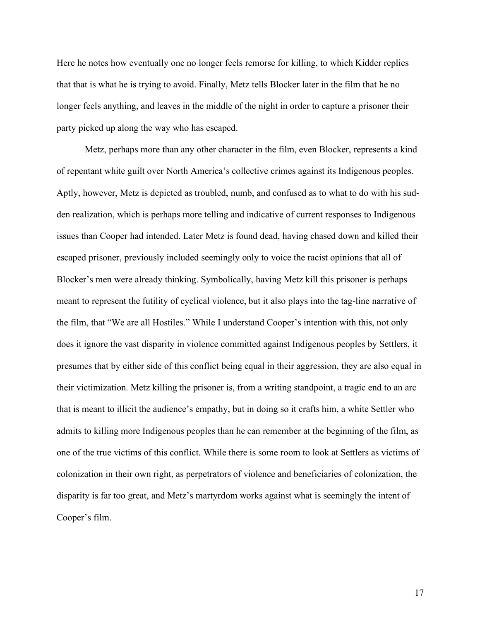Here he notes how eventually one no longer feels remorse for killing, to which Kidder replies that that is what he is trying to avoid. Finally, Metz tells Blocker later in the film that he no longer feels anything, and leaves in the middle of the night in order to capture a prisoner their party picked up along the way who has escaped.

Metz, perhaps more than any other character in the film, even Blocker, represents a kind of repentant white guilt over North America's collective crimes against its Indigenous peoples. Aptly, however, Metz is depicted as troubled, numb, and confused as to what to do with his sudden realization, which is perhaps more telling and indicative of current responses to Indigenous issues than Cooper had intended. Later Metz is found dead, having chased down and killed their escaped prisoner, previously included seemingly only to voice the racist opinions that all of Blocker's men were already thinking. Symbolically, having Metz kill this prisoner is perhaps meant to represent the futility of cyclical violence, but it also plays into the tag-line narrative of the film, that "We are all Hostiles." While I understand Cooper's intention with this, not only does it ignore the vast disparity in violence committed against Indigenous peoples by Settlers, it presumes that by either side of this conflict being equal in their aggression, they are also equal in their victimization. Metz killing the prisoner is, from a writing standpoint, a tragic end to an arc that is meant to illicit the audience's empathy, but in doing so it crafts him, a white Settler who admits to killing more Indigenous peoples than he can remember at the beginning of the film, as one of the true victims of this conflict. While there is some room to look at Settlers as victims of colonization in their own right, as perpetrators of violence and beneficiaries of colonization, the disparity is far too great, and Metz's martyrdom works against what is seemingly the intent of Cooper's film.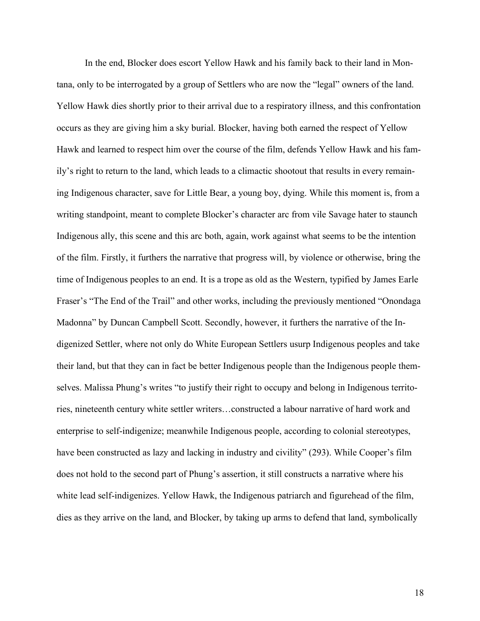In the end, Blocker does escort Yellow Hawk and his family back to their land in Montana, only to be interrogated by a group of Settlers who are now the "legal" owners of the land. Yellow Hawk dies shortly prior to their arrival due to a respiratory illness, and this confrontation occurs as they are giving him a sky burial. Blocker, having both earned the respect of Yellow Hawk and learned to respect him over the course of the film, defends Yellow Hawk and his family's right to return to the land, which leads to a climactic shootout that results in every remaining Indigenous character, save for Little Bear, a young boy, dying. While this moment is, from a writing standpoint, meant to complete Blocker's character arc from vile Savage hater to staunch Indigenous ally, this scene and this arc both, again, work against what seems to be the intention of the film. Firstly, it furthers the narrative that progress will, by violence or otherwise, bring the time of Indigenous peoples to an end. It is a trope as old as the Western, typified by James Earle Fraser's "The End of the Trail" and other works, including the previously mentioned "Onondaga Madonna" by Duncan Campbell Scott. Secondly, however, it furthers the narrative of the Indigenized Settler, where not only do White European Settlers usurp Indigenous peoples and take their land, but that they can in fact be better Indigenous people than the Indigenous people themselves. Malissa Phung's writes "to justify their right to occupy and belong in Indigenous territories, nineteenth century white settler writers…constructed a labour narrative of hard work and enterprise to self-indigenize; meanwhile Indigenous people, according to colonial stereotypes, have been constructed as lazy and lacking in industry and civility" (293). While Cooper's film does not hold to the second part of Phung's assertion, it still constructs a narrative where his white lead self-indigenizes. Yellow Hawk, the Indigenous patriarch and figurehead of the film, dies as they arrive on the land, and Blocker, by taking up arms to defend that land, symbolically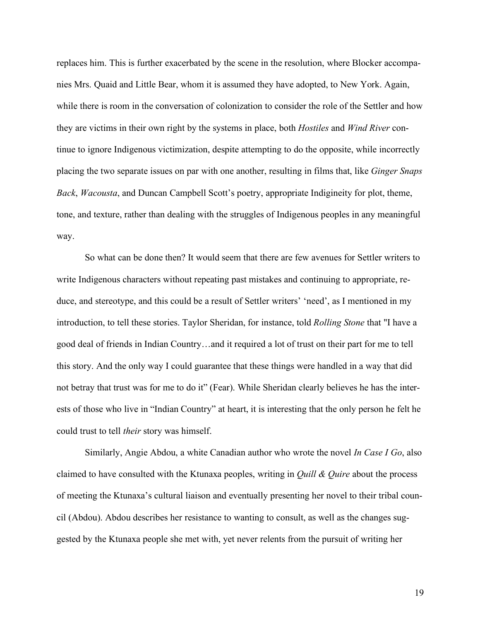replaces him. This is further exacerbated by the scene in the resolution, where Blocker accompanies Mrs. Quaid and Little Bear, whom it is assumed they have adopted, to New York. Again, while there is room in the conversation of colonization to consider the role of the Settler and how they are victims in their own right by the systems in place, both *Hostiles* and *Wind River* continue to ignore Indigenous victimization, despite attempting to do the opposite, while incorrectly placing the two separate issues on par with one another, resulting in films that, like *Ginger Snaps Back*, *Wacousta*, and Duncan Campbell Scott's poetry, appropriate Indigineity for plot, theme, tone, and texture, rather than dealing with the struggles of Indigenous peoples in any meaningful way.

So what can be done then? It would seem that there are few avenues for Settler writers to write Indigenous characters without repeating past mistakes and continuing to appropriate, reduce, and stereotype, and this could be a result of Settler writers' 'need', as I mentioned in my introduction, to tell these stories. Taylor Sheridan, for instance, told *Rolling Stone* that "I have a good deal of friends in Indian Country…and it required a lot of trust on their part for me to tell this story. And the only way I could guarantee that these things were handled in a way that did not betray that trust was for me to do it" (Fear). While Sheridan clearly believes he has the interests of those who live in "Indian Country" at heart, it is interesting that the only person he felt he could trust to tell *their* story was himself.

Similarly, Angie Abdou, a white Canadian author who wrote the novel *In Case I Go*, also claimed to have consulted with the Ktunaxa peoples, writing in *Quill & Quire* about the process of meeting the Ktunaxa's cultural liaison and eventually presenting her novel to their tribal council (Abdou). Abdou describes her resistance to wanting to consult, as well as the changes suggested by the Ktunaxa people she met with, yet never relents from the pursuit of writing her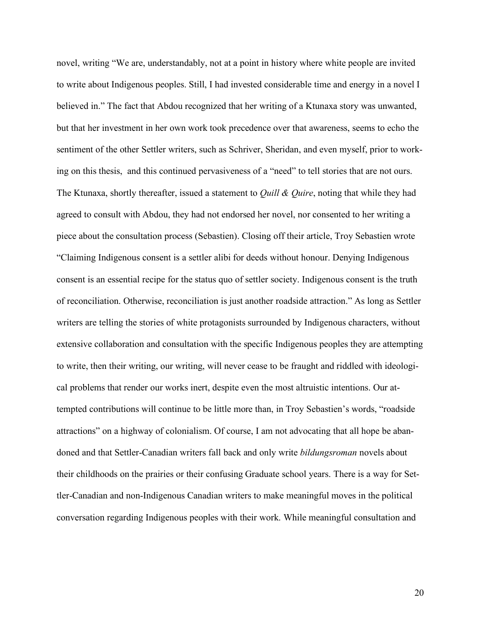novel, writing "We are, understandably, not at a point in history where white people are invited to write about Indigenous peoples. Still, I had invested considerable time and energy in a novel I believed in." The fact that Abdou recognized that her writing of a Ktunaxa story was unwanted, but that her investment in her own work took precedence over that awareness, seems to echo the sentiment of the other Settler writers, such as Schriver, Sheridan, and even myself, prior to working on this thesis, and this continued pervasiveness of a "need" to tell stories that are not ours. The Ktunaxa, shortly thereafter, issued a statement to *Quill & Quire*, noting that while they had agreed to consult with Abdou, they had not endorsed her novel, nor consented to her writing a piece about the consultation process (Sebastien). Closing off their article, Troy Sebastien wrote "Claiming Indigenous consent is a settler alibi for deeds without honour. Denying Indigenous consent is an essential recipe for the status quo of settler society. Indigenous consent is the truth of reconciliation. Otherwise, reconciliation is just another roadside attraction." As long as Settler writers are telling the stories of white protagonists surrounded by Indigenous characters, without extensive collaboration and consultation with the specific Indigenous peoples they are attempting to write, then their writing, our writing, will never cease to be fraught and riddled with ideological problems that render our works inert, despite even the most altruistic intentions. Our attempted contributions will continue to be little more than, in Troy Sebastien's words, "roadside attractions" on a highway of colonialism. Of course, I am not advocating that all hope be abandoned and that Settler-Canadian writers fall back and only write *bildungsroman* novels about their childhoods on the prairies or their confusing Graduate school years. There is a way for Settler-Canadian and non-Indigenous Canadian writers to make meaningful moves in the political conversation regarding Indigenous peoples with their work. While meaningful consultation and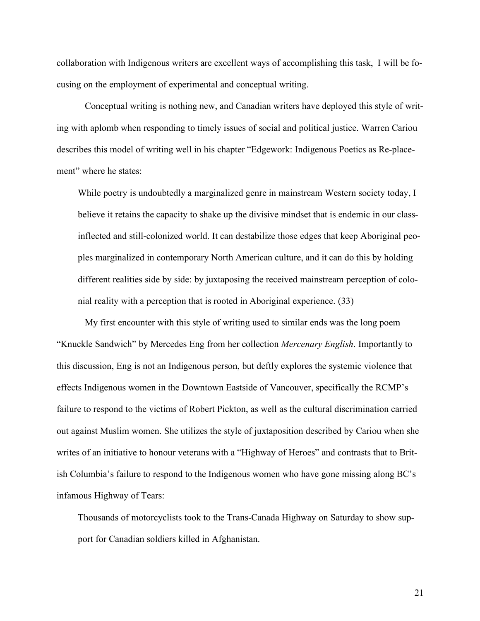collaboration with Indigenous writers are excellent ways of accomplishing this task, I will be focusing on the employment of experimental and conceptual writing.

Conceptual writing is nothing new, and Canadian writers have deployed this style of writing with aplomb when responding to timely issues of social and political justice. Warren Cariou describes this model of writing well in his chapter "Edgework: Indigenous Poetics as Re-placement" where he states:

While poetry is undoubtedly a marginalized genre in mainstream Western society today, I believe it retains the capacity to shake up the divisive mindset that is endemic in our classinflected and still-colonized world. It can destabilize those edges that keep Aboriginal peoples marginalized in contemporary North American culture, and it can do this by holding different realities side by side: by juxtaposing the received mainstream perception of colonial reality with a perception that is rooted in Aboriginal experience. (33)

My first encounter with this style of writing used to similar ends was the long poem "Knuckle Sandwich" by Mercedes Eng from her collection *Mercenary English*. Importantly to this discussion, Eng is not an Indigenous person, but deftly explores the systemic violence that effects Indigenous women in the Downtown Eastside of Vancouver, specifically the RCMP's failure to respond to the victims of Robert Pickton, as well as the cultural discrimination carried out against Muslim women. She utilizes the style of juxtaposition described by Cariou when she writes of an initiative to honour veterans with a "Highway of Heroes" and contrasts that to British Columbia's failure to respond to the Indigenous women who have gone missing along BC's infamous Highway of Tears:

Thousands of motorcyclists took to the Trans-Canada Highway on Saturday to show support for Canadian soldiers killed in Afghanistan.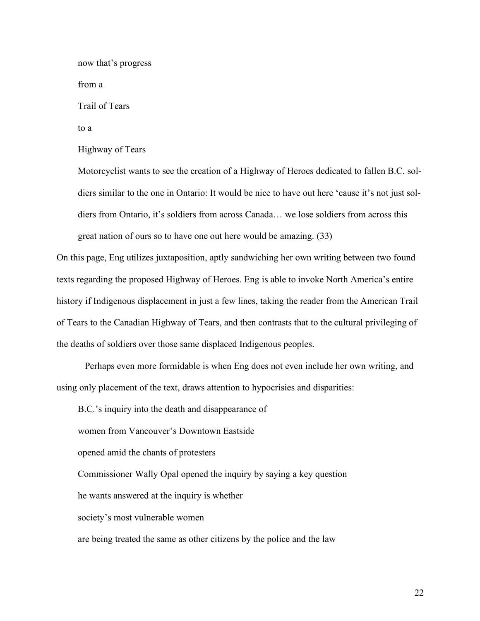now that's progress from a Trail of Tears to a Highway of Tears

Motorcyclist wants to see the creation of a Highway of Heroes dedicated to fallen B.C. soldiers similar to the one in Ontario: It would be nice to have out here 'cause it's not just soldiers from Ontario, it's soldiers from across Canada… we lose soldiers from across this great nation of ours so to have one out here would be amazing. (33)

On this page, Eng utilizes juxtaposition, aptly sandwiching her own writing between two found texts regarding the proposed Highway of Heroes. Eng is able to invoke North America's entire history if Indigenous displacement in just a few lines, taking the reader from the American Trail of Tears to the Canadian Highway of Tears, and then contrasts that to the cultural privileging of the deaths of soldiers over those same displaced Indigenous peoples.

Perhaps even more formidable is when Eng does not even include her own writing, and using only placement of the text, draws attention to hypocrisies and disparities:

B.C.'s inquiry into the death and disappearance of

women from Vancouver's Downtown Eastside

opened amid the chants of protesters

Commissioner Wally Opal opened the inquiry by saying a key question

he wants answered at the inquiry is whether

society's most vulnerable women

are being treated the same as other citizens by the police and the law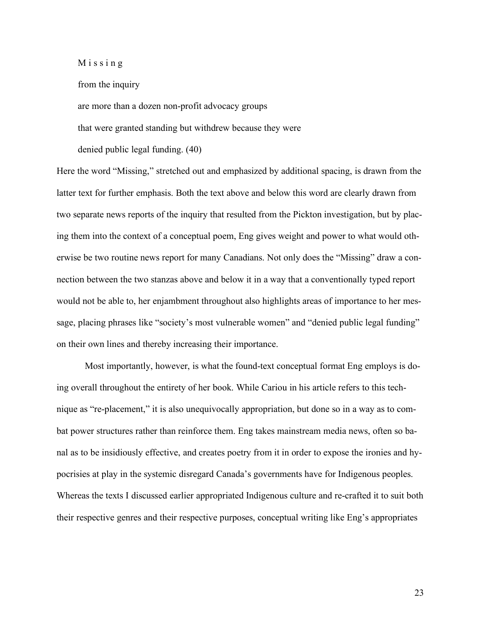M i s s i n g

from the inquiry

are more than a dozen non-profit advocacy groups

that were granted standing but withdrew because they were

denied public legal funding. (40)

Here the word "Missing," stretched out and emphasized by additional spacing, is drawn from the latter text for further emphasis. Both the text above and below this word are clearly drawn from two separate news reports of the inquiry that resulted from the Pickton investigation, but by placing them into the context of a conceptual poem, Eng gives weight and power to what would otherwise be two routine news report for many Canadians. Not only does the "Missing" draw a connection between the two stanzas above and below it in a way that a conventionally typed report would not be able to, her enjambment throughout also highlights areas of importance to her message, placing phrases like "society's most vulnerable women" and "denied public legal funding" on their own lines and thereby increasing their importance.

Most importantly, however, is what the found-text conceptual format Eng employs is doing overall throughout the entirety of her book. While Cariou in his article refers to this technique as "re-placement," it is also unequivocally appropriation, but done so in a way as to combat power structures rather than reinforce them. Eng takes mainstream media news, often so banal as to be insidiously effective, and creates poetry from it in order to expose the ironies and hypocrisies at play in the systemic disregard Canada's governments have for Indigenous peoples. Whereas the texts I discussed earlier appropriated Indigenous culture and re-crafted it to suit both their respective genres and their respective purposes, conceptual writing like Eng's appropriates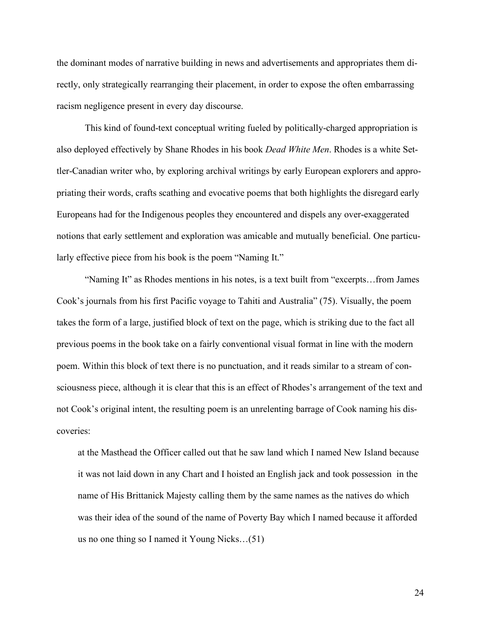the dominant modes of narrative building in news and advertisements and appropriates them directly, only strategically rearranging their placement, in order to expose the often embarrassing racism negligence present in every day discourse.

This kind of found-text conceptual writing fueled by politically-charged appropriation is also deployed effectively by Shane Rhodes in his book *Dead White Men*. Rhodes is a white Settler-Canadian writer who, by exploring archival writings by early European explorers and appropriating their words, crafts scathing and evocative poems that both highlights the disregard early Europeans had for the Indigenous peoples they encountered and dispels any over-exaggerated notions that early settlement and exploration was amicable and mutually beneficial. One particularly effective piece from his book is the poem "Naming It."

"Naming It" as Rhodes mentions in his notes, is a text built from "excerpts…from James Cook's journals from his first Pacific voyage to Tahiti and Australia" (75). Visually, the poem takes the form of a large, justified block of text on the page, which is striking due to the fact all previous poems in the book take on a fairly conventional visual format in line with the modern poem. Within this block of text there is no punctuation, and it reads similar to a stream of consciousness piece, although it is clear that this is an effect of Rhodes's arrangement of the text and not Cook's original intent, the resulting poem is an unrelenting barrage of Cook naming his discoveries:

at the Masthead the Officer called out that he saw land which I named New Island because it was not laid down in any Chart and I hoisted an English jack and took possession in the name of His Brittanick Majesty calling them by the same names as the natives do which was their idea of the sound of the name of Poverty Bay which I named because it afforded us no one thing so I named it Young Nicks…(51)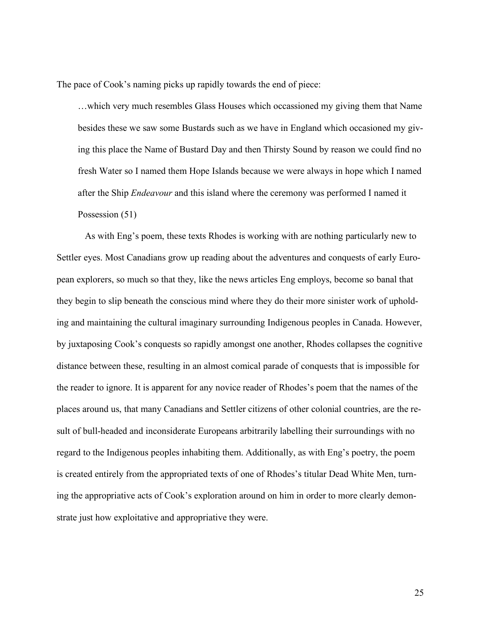The pace of Cook's naming picks up rapidly towards the end of piece:

…which very much resembles Glass Houses which occassioned my giving them that Name besides these we saw some Bustards such as we have in England which occasioned my giving this place the Name of Bustard Day and then Thirsty Sound by reason we could find no fresh Water so I named them Hope Islands because we were always in hope which I named after the Ship *Endeavour* and this island where the ceremony was performed I named it Possession (51)

As with Eng's poem, these texts Rhodes is working with are nothing particularly new to Settler eyes. Most Canadians grow up reading about the adventures and conquests of early European explorers, so much so that they, like the news articles Eng employs, become so banal that they begin to slip beneath the conscious mind where they do their more sinister work of upholding and maintaining the cultural imaginary surrounding Indigenous peoples in Canada. However, by juxtaposing Cook's conquests so rapidly amongst one another, Rhodes collapses the cognitive distance between these, resulting in an almost comical parade of conquests that is impossible for the reader to ignore. It is apparent for any novice reader of Rhodes's poem that the names of the places around us, that many Canadians and Settler citizens of other colonial countries, are the result of bull-headed and inconsiderate Europeans arbitrarily labelling their surroundings with no regard to the Indigenous peoples inhabiting them. Additionally, as with Eng's poetry, the poem is created entirely from the appropriated texts of one of Rhodes's titular Dead White Men, turning the appropriative acts of Cook's exploration around on him in order to more clearly demonstrate just how exploitative and appropriative they were.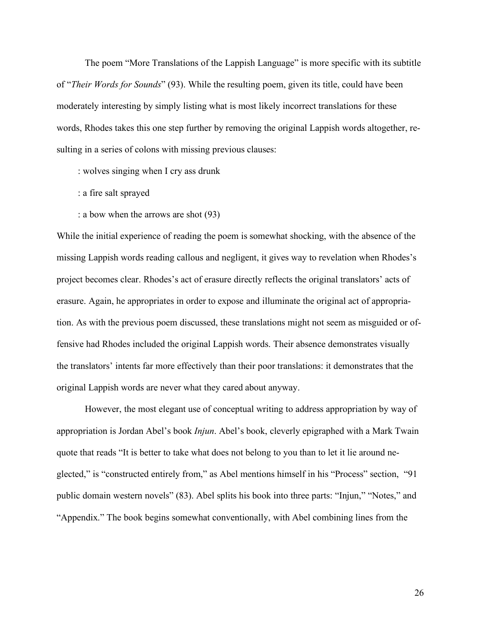The poem "More Translations of the Lappish Language" is more specific with its subtitle of "*Their Words for Sounds*" (93). While the resulting poem, given its title, could have been moderately interesting by simply listing what is most likely incorrect translations for these words, Rhodes takes this one step further by removing the original Lappish words altogether, resulting in a series of colons with missing previous clauses:

: wolves singing when I cry ass drunk

- : a fire salt sprayed
- : a bow when the arrows are shot (93)

While the initial experience of reading the poem is somewhat shocking, with the absence of the missing Lappish words reading callous and negligent, it gives way to revelation when Rhodes's project becomes clear. Rhodes's act of erasure directly reflects the original translators' acts of erasure. Again, he appropriates in order to expose and illuminate the original act of appropriation. As with the previous poem discussed, these translations might not seem as misguided or offensive had Rhodes included the original Lappish words. Their absence demonstrates visually the translators' intents far more effectively than their poor translations: it demonstrates that the original Lappish words are never what they cared about anyway.

However, the most elegant use of conceptual writing to address appropriation by way of appropriation is Jordan Abel's book *Injun*. Abel's book, cleverly epigraphed with a Mark Twain quote that reads "It is better to take what does not belong to you than to let it lie around neglected," is "constructed entirely from," as Abel mentions himself in his "Process" section, "91 public domain western novels" (83). Abel splits his book into three parts: "Injun," "Notes," and "Appendix." The book begins somewhat conventionally, with Abel combining lines from the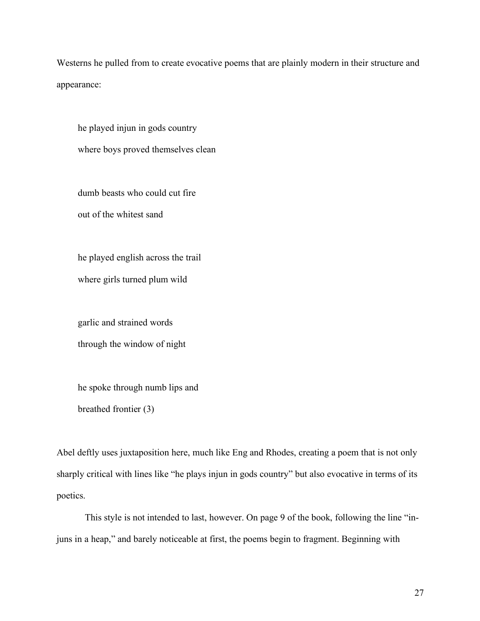Westerns he pulled from to create evocative poems that are plainly modern in their structure and appearance:

he played injun in gods country where boys proved themselves clean

dumb beasts who could cut fire out of the whitest sand

he played english across the trail

where girls turned plum wild

garlic and strained words through the window of night

he spoke through numb lips and

breathed frontier (3)

Abel deftly uses juxtaposition here, much like Eng and Rhodes, creating a poem that is not only sharply critical with lines like "he plays injun in gods country" but also evocative in terms of its poetics.

This style is not intended to last, however. On page 9 of the book, following the line "injuns in a heap," and barely noticeable at first, the poems begin to fragment. Beginning with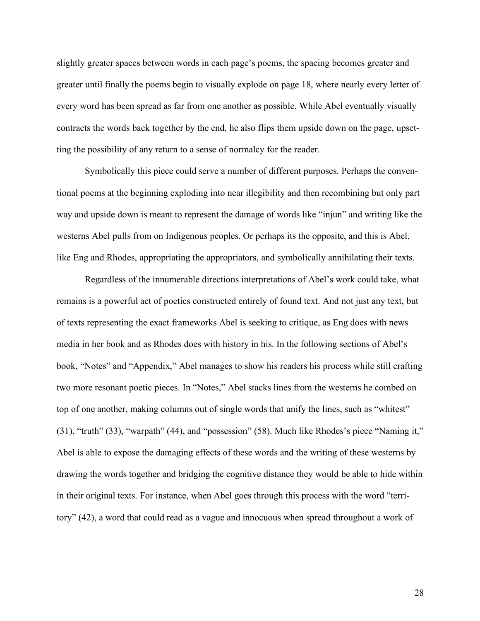slightly greater spaces between words in each page's poems, the spacing becomes greater and greater until finally the poems begin to visually explode on page 18, where nearly every letter of every word has been spread as far from one another as possible. While Abel eventually visually contracts the words back together by the end, he also flips them upside down on the page, upsetting the possibility of any return to a sense of normalcy for the reader.

Symbolically this piece could serve a number of different purposes. Perhaps the conventional poems at the beginning exploding into near illegibility and then recombining but only part way and upside down is meant to represent the damage of words like "injun" and writing like the westerns Abel pulls from on Indigenous peoples. Or perhaps its the opposite, and this is Abel, like Eng and Rhodes, appropriating the appropriators, and symbolically annihilating their texts.

Regardless of the innumerable directions interpretations of Abel's work could take, what remains is a powerful act of poetics constructed entirely of found text. And not just any text, but of texts representing the exact frameworks Abel is seeking to critique, as Eng does with news media in her book and as Rhodes does with history in his. In the following sections of Abel's book, "Notes" and "Appendix," Abel manages to show his readers his process while still crafting two more resonant poetic pieces. In "Notes," Abel stacks lines from the westerns he combed on top of one another, making columns out of single words that unify the lines, such as "whitest" (31), "truth" (33), "warpath" (44), and "possession" (58). Much like Rhodes's piece "Naming it," Abel is able to expose the damaging effects of these words and the writing of these westerns by drawing the words together and bridging the cognitive distance they would be able to hide within in their original texts. For instance, when Abel goes through this process with the word "territory" (42), a word that could read as a vague and innocuous when spread throughout a work of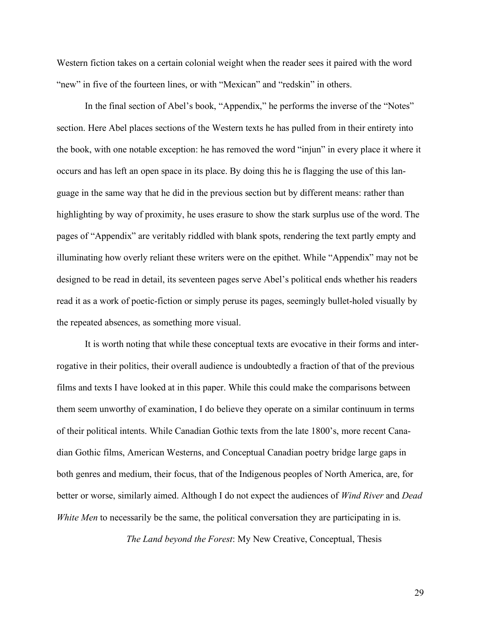Western fiction takes on a certain colonial weight when the reader sees it paired with the word "new" in five of the fourteen lines, or with "Mexican" and "redskin" in others.

In the final section of Abel's book, "Appendix," he performs the inverse of the "Notes" section. Here Abel places sections of the Western texts he has pulled from in their entirety into the book, with one notable exception: he has removed the word "injun" in every place it where it occurs and has left an open space in its place. By doing this he is flagging the use of this language in the same way that he did in the previous section but by different means: rather than highlighting by way of proximity, he uses erasure to show the stark surplus use of the word. The pages of "Appendix" are veritably riddled with blank spots, rendering the text partly empty and illuminating how overly reliant these writers were on the epithet. While "Appendix" may not be designed to be read in detail, its seventeen pages serve Abel's political ends whether his readers read it as a work of poetic-fiction or simply peruse its pages, seemingly bullet-holed visually by the repeated absences, as something more visual.

It is worth noting that while these conceptual texts are evocative in their forms and interrogative in their politics, their overall audience is undoubtedly a fraction of that of the previous films and texts I have looked at in this paper. While this could make the comparisons between them seem unworthy of examination, I do believe they operate on a similar continuum in terms of their political intents. While Canadian Gothic texts from the late 1800's, more recent Canadian Gothic films, American Westerns, and Conceptual Canadian poetry bridge large gaps in both genres and medium, their focus, that of the Indigenous peoples of North America, are, for better or worse, similarly aimed. Although I do not expect the audiences of *Wind River* and *Dead White Men* to necessarily be the same, the political conversation they are participating in is.

*The Land beyond the Forest*: My New Creative, Conceptual, Thesis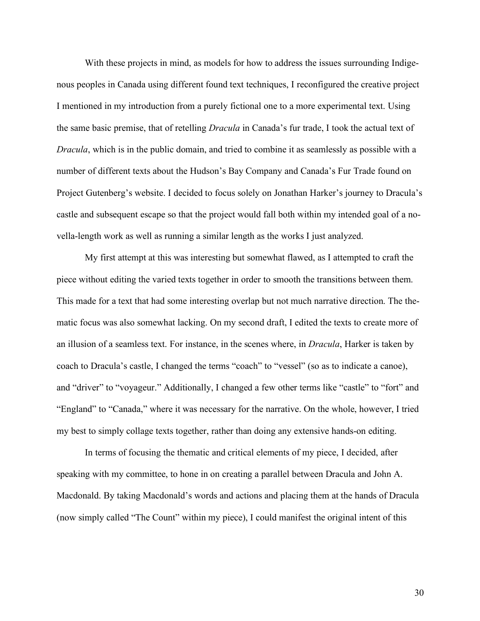With these projects in mind, as models for how to address the issues surrounding Indigenous peoples in Canada using different found text techniques, I reconfigured the creative project I mentioned in my introduction from a purely fictional one to a more experimental text. Using the same basic premise, that of retelling *Dracula* in Canada's fur trade, I took the actual text of *Dracula*, which is in the public domain, and tried to combine it as seamlessly as possible with a number of different texts about the Hudson's Bay Company and Canada's Fur Trade found on Project Gutenberg's website. I decided to focus solely on Jonathan Harker's journey to Dracula's castle and subsequent escape so that the project would fall both within my intended goal of a novella-length work as well as running a similar length as the works I just analyzed.

My first attempt at this was interesting but somewhat flawed, as I attempted to craft the piece without editing the varied texts together in order to smooth the transitions between them. This made for a text that had some interesting overlap but not much narrative direction. The thematic focus was also somewhat lacking. On my second draft, I edited the texts to create more of an illusion of a seamless text. For instance, in the scenes where, in *Dracula*, Harker is taken by coach to Dracula's castle, I changed the terms "coach" to "vessel" (so as to indicate a canoe), and "driver" to "voyageur." Additionally, I changed a few other terms like "castle" to "fort" and "England" to "Canada," where it was necessary for the narrative. On the whole, however, I tried my best to simply collage texts together, rather than doing any extensive hands-on editing.

In terms of focusing the thematic and critical elements of my piece, I decided, after speaking with my committee, to hone in on creating a parallel between Dracula and John A. Macdonald. By taking Macdonald's words and actions and placing them at the hands of Dracula (now simply called "The Count" within my piece), I could manifest the original intent of this

30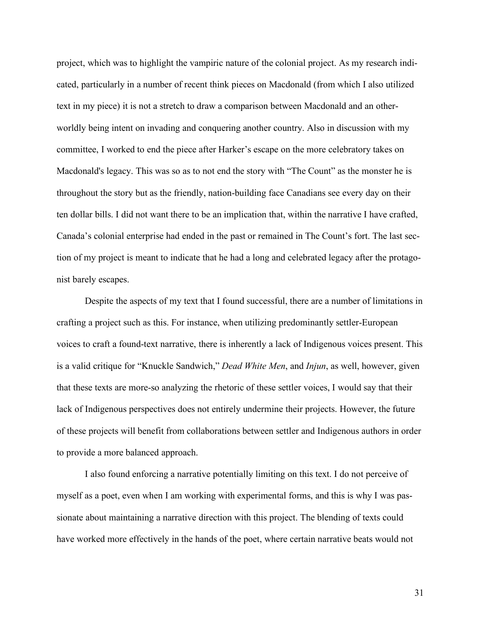project, which was to highlight the vampiric nature of the colonial project. As my research indicated, particularly in a number of recent think pieces on Macdonald (from which I also utilized text in my piece) it is not a stretch to draw a comparison between Macdonald and an otherworldly being intent on invading and conquering another country. Also in discussion with my committee, I worked to end the piece after Harker's escape on the more celebratory takes on Macdonald's legacy. This was so as to not end the story with "The Count" as the monster he is throughout the story but as the friendly, nation-building face Canadians see every day on their ten dollar bills. I did not want there to be an implication that, within the narrative I have crafted, Canada's colonial enterprise had ended in the past or remained in The Count's fort. The last section of my project is meant to indicate that he had a long and celebrated legacy after the protagonist barely escapes.

Despite the aspects of my text that I found successful, there are a number of limitations in crafting a project such as this. For instance, when utilizing predominantly settler-European voices to craft a found-text narrative, there is inherently a lack of Indigenous voices present. This is a valid critique for "Knuckle Sandwich," *Dead White Men*, and *Injun*, as well, however, given that these texts are more-so analyzing the rhetoric of these settler voices, I would say that their lack of Indigenous perspectives does not entirely undermine their projects. However, the future of these projects will benefit from collaborations between settler and Indigenous authors in order to provide a more balanced approach.

I also found enforcing a narrative potentially limiting on this text. I do not perceive of myself as a poet, even when I am working with experimental forms, and this is why I was passionate about maintaining a narrative direction with this project. The blending of texts could have worked more effectively in the hands of the poet, where certain narrative beats would not

31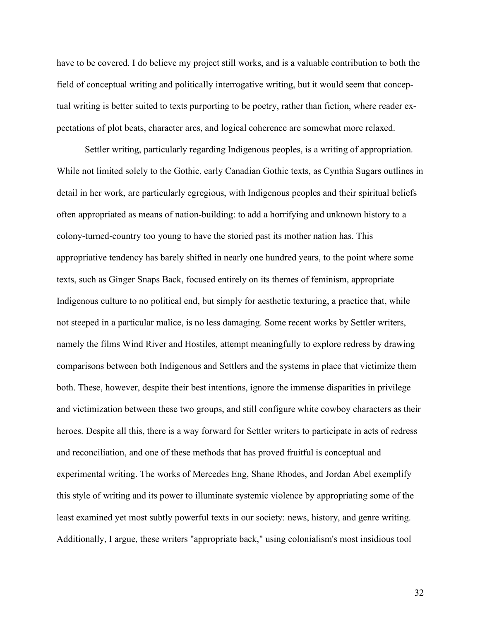have to be covered. I do believe my project still works, and is a valuable contribution to both the field of conceptual writing and politically interrogative writing, but it would seem that conceptual writing is better suited to texts purporting to be poetry, rather than fiction, where reader expectations of plot beats, character arcs, and logical coherence are somewhat more relaxed.

Settler writing, particularly regarding Indigenous peoples, is a writing of appropriation. While not limited solely to the Gothic, early Canadian Gothic texts, as Cynthia Sugars outlines in detail in her work, are particularly egregious, with Indigenous peoples and their spiritual beliefs often appropriated as means of nation-building: to add a horrifying and unknown history to a colony-turned-country too young to have the storied past its mother nation has. This appropriative tendency has barely shifted in nearly one hundred years, to the point where some texts, such as Ginger Snaps Back, focused entirely on its themes of feminism, appropriate Indigenous culture to no political end, but simply for aesthetic texturing, a practice that, while not steeped in a particular malice, is no less damaging. Some recent works by Settler writers, namely the films Wind River and Hostiles, attempt meaningfully to explore redress by drawing comparisons between both Indigenous and Settlers and the systems in place that victimize them both. These, however, despite their best intentions, ignore the immense disparities in privilege and victimization between these two groups, and still configure white cowboy characters as their heroes. Despite all this, there is a way forward for Settler writers to participate in acts of redress and reconciliation, and one of these methods that has proved fruitful is conceptual and experimental writing. The works of Mercedes Eng, Shane Rhodes, and Jordan Abel exemplify this style of writing and its power to illuminate systemic violence by appropriating some of the least examined yet most subtly powerful texts in our society: news, history, and genre writing. Additionally, I argue, these writers "appropriate back," using colonialism's most insidious tool

32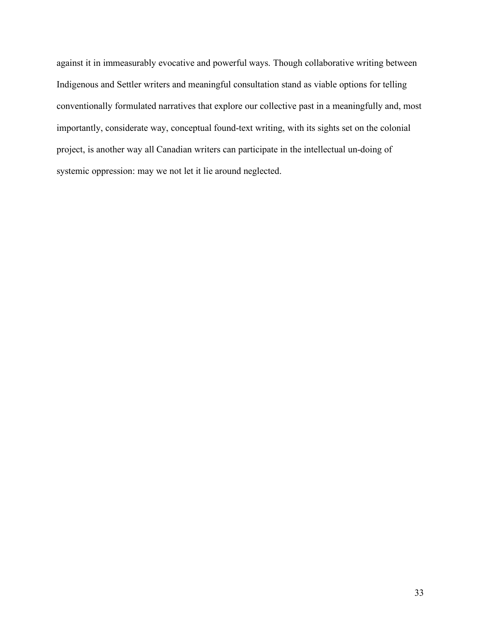against it in immeasurably evocative and powerful ways. Though collaborative writing between Indigenous and Settler writers and meaningful consultation stand as viable options for telling conventionally formulated narratives that explore our collective past in a meaningfully and, most importantly, considerate way, conceptual found-text writing, with its sights set on the colonial project, is another way all Canadian writers can participate in the intellectual un-doing of systemic oppression: may we not let it lie around neglected.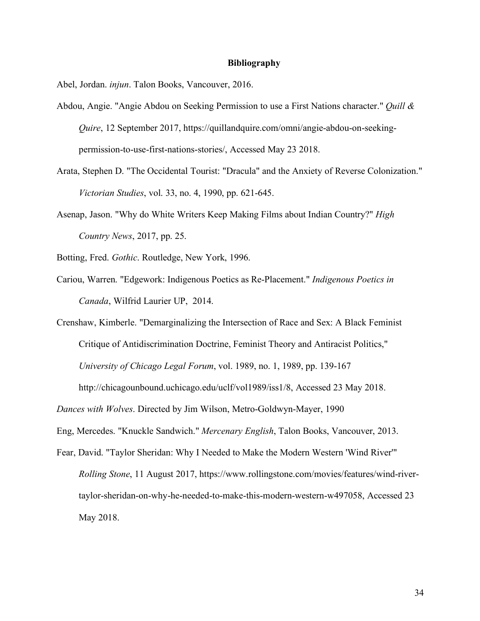## **Bibliography**

Abel, Jordan. *injun*. Talon Books, Vancouver, 2016.

- Abdou, Angie. "Angie Abdou on Seeking Permission to use a First Nations character." *Quill & Quire*, 12 September 2017, https://quillandquire.com/omni/angie-abdou-on-seekingpermission-to-use-first-nations-stories/, Accessed May 23 2018.
- Arata, Stephen D. "The Occidental Tourist: "Dracula" and the Anxiety of Reverse Colonization." *Victorian Studies*, vol. 33, no. 4, 1990, pp. 621-645.
- Asenap, Jason. "Why do White Writers Keep Making Films about Indian Country?" *High Country News*, 2017, pp. 25.

Botting, Fred. *Gothic*. Routledge, New York, 1996.

Cariou, Warren. "Edgework: Indigenous Poetics as Re-Placement." *Indigenous Poetics in Canada*, Wilfrid Laurier UP, 2014.

Crenshaw, Kimberle. "Demarginalizing the Intersection of Race and Sex: A Black Feminist Critique of Antidiscrimination Doctrine, Feminist Theory and Antiracist Politics," *University of Chicago Legal Forum*, vol. 1989, no. 1, 1989, pp. 139-167

http://chicagounbound.uchicago.edu/uclf/vol1989/iss1/8, Accessed 23 May 2018.

*Dances with Wolves*. Directed by Jim Wilson, Metro-Goldwyn-Mayer, 1990

Eng, Mercedes. "Knuckle Sandwich." *Mercenary English*, Talon Books, Vancouver, 2013.

Fear, David. "Taylor Sheridan: Why I Needed to Make the Modern Western 'Wind River'" *Rolling Stone*, 11 August 2017, https://www.rollingstone.com/movies/features/wind-rivertaylor-sheridan-on-why-he-needed-to-make-this-modern-western-w497058, Accessed 23 May 2018.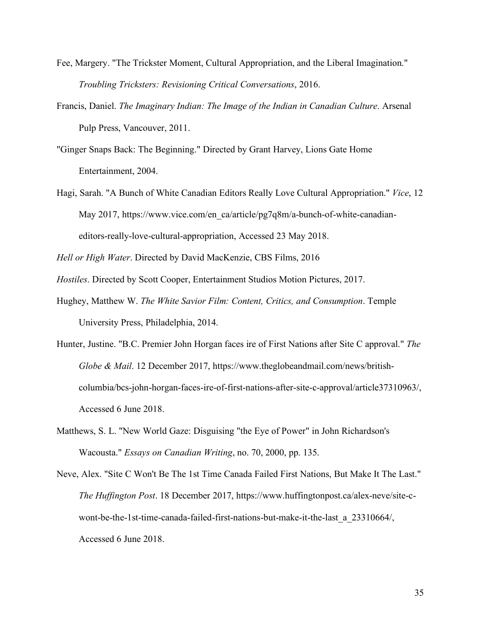- Fee, Margery. "The Trickster Moment, Cultural Appropriation, and the Liberal Imagination." *Troubling Tricksters: Revisioning Critical Conversations*, 2016.
- Francis, Daniel. *The Imaginary Indian: The Image of the Indian in Canadian Culture*. Arsenal Pulp Press, Vancouver, 2011.
- "Ginger Snaps Back: The Beginning." Directed by Grant Harvey, Lions Gate Home Entertainment, 2004.
- Hagi, Sarah. "A Bunch of White Canadian Editors Really Love Cultural Appropriation." *Vice*, 12 May 2017, https://www.vice.com/en\_ca/article/pg7q8m/a-bunch-of-white-canadianeditors-really-love-cultural-appropriation, Accessed 23 May 2018.

*Hell or High Water*. Directed by David MacKenzie, CBS Films, 2016

*Hostiles*. Directed by Scott Cooper, Entertainment Studios Motion Pictures, 2017.

- Hughey, Matthew W. *The White Savior Film: Content, Critics, and Consumption*. Temple University Press, Philadelphia, 2014.
- Hunter, Justine. "B.C. Premier John Horgan faces ire of First Nations after Site C approval." *The Globe & Mail*. 12 December 2017, https://www.theglobeandmail.com/news/britishcolumbia/bcs-john-horgan-faces-ire-of-first-nations-after-site-c-approval/article37310963/, Accessed 6 June 2018.
- Matthews, S. L. "New World Gaze: Disguising "the Eye of Power" in John Richardson's Wacousta." *Essays on Canadian Writing*, no. 70, 2000, pp. 135.
- Neve, Alex. "Site C Won't Be The 1st Time Canada Failed First Nations, But Make It The Last." *The Huffington Post*. 18 December 2017, https://www.huffingtonpost.ca/alex-neve/site-cwont-be-the-1st-time-canada-failed-first-nations-but-make-it-the-last\_a\_23310664/, Accessed 6 June 2018.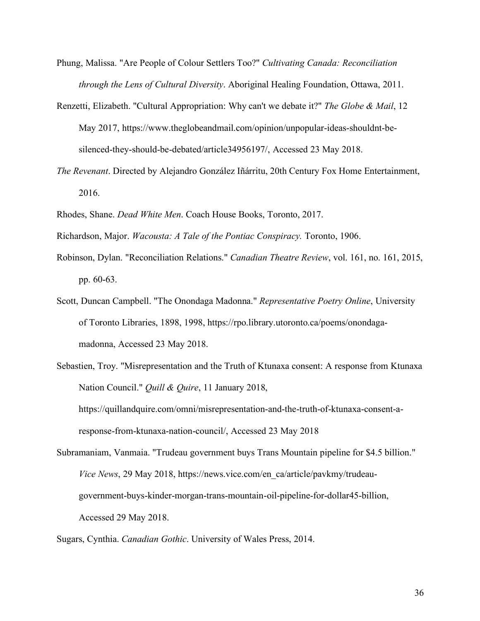- Phung, Malissa. "Are People of Colour Settlers Too?" *Cultivating Canada: Reconciliation through the Lens of Cultural Diversity*. Aboriginal Healing Foundation, Ottawa, 2011.
- Renzetti, Elizabeth. "Cultural Appropriation: Why can't we debate it?" *The Globe & Mail*, 12 May 2017, https://www.theglobeandmail.com/opinion/unpopular-ideas-shouldnt-besilenced-they-should-be-debated/article34956197/, Accessed 23 May 2018.
- *The Revenant*. Directed by Alejandro González Iñárritu, 20th Century Fox Home Entertainment, 2016.
- Rhodes, Shane. *Dead White Men*. Coach House Books, Toronto, 2017.

Richardson, Major. *Wacousta: A Tale of the Pontiac Conspiracy.* Toronto, 1906.

- Robinson, Dylan. "Reconciliation Relations." *Canadian Theatre Review*, vol. 161, no. 161, 2015, pp. 60-63.
- Scott, Duncan Campbell. "The Onondaga Madonna." *Representative Poetry Online*, University of Toronto Libraries, 1898, 1998, https://rpo.library.utoronto.ca/poems/onondagamadonna, Accessed 23 May 2018.
- Sebastien, Troy. "Misrepresentation and the Truth of Ktunaxa consent: A response from Ktunaxa Nation Council." *Quill & Quire*, 11 January 2018, https://quillandquire.com/omni/misrepresentation-and-the-truth-of-ktunaxa-consent-a-

response-from-ktunaxa-nation-council/, Accessed 23 May 2018

- Subramaniam, Vanmaia. "Trudeau government buys Trans Mountain pipeline for \$4.5 billion." *Vice News*, 29 May 2018, https://news.vice.com/en\_ca/article/pavkmy/trudeaugovernment-buys-kinder-morgan-trans-mountain-oil-pipeline-for-dollar45-billion, Accessed 29 May 2018.
- Sugars, Cynthia. *Canadian Gothic*. University of Wales Press, 2014.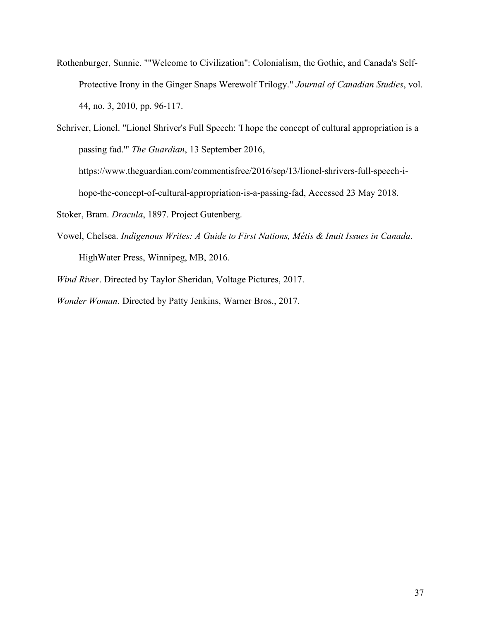Rothenburger, Sunnie. ""Welcome to Civilization": Colonialism, the Gothic, and Canada's Self-Protective Irony in the Ginger Snaps Werewolf Trilogy." *Journal of Canadian Studies*, vol. 44, no. 3, 2010, pp. 96-117.

Schriver, Lionel. "Lionel Shriver's Full Speech: 'I hope the concept of cultural appropriation is a passing fad.'" *The Guardian*, 13 September 2016, https://www.theguardian.com/commentisfree/2016/sep/13/lionel-shrivers-full-speech-ihope-the-concept-of-cultural-appropriation-is-a-passing-fad, Accessed 23 May 2018.

Stoker, Bram. *Dracula*, 1897. Project Gutenberg.

Vowel, Chelsea. *Indigenous Writes: A Guide to First Nations, Métis & Inuit Issues in Canada*. HighWater Press, Winnipeg, MB, 2016.

*Wind River*. Directed by Taylor Sheridan, Voltage Pictures, 2017.

*Wonder Woman*. Directed by Patty Jenkins, Warner Bros., 2017.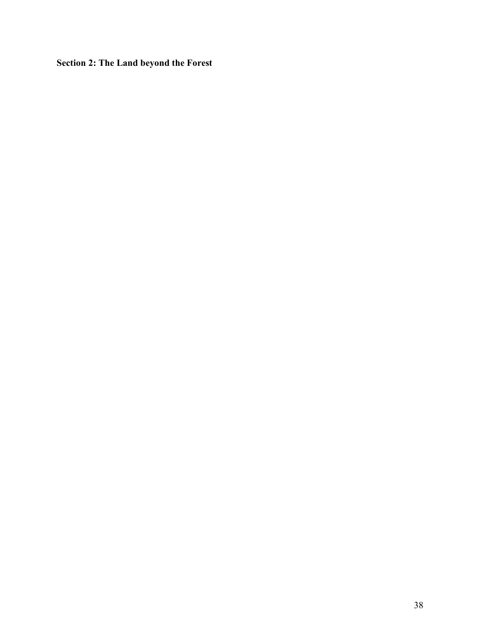**Section 2: The Land beyond the Forest**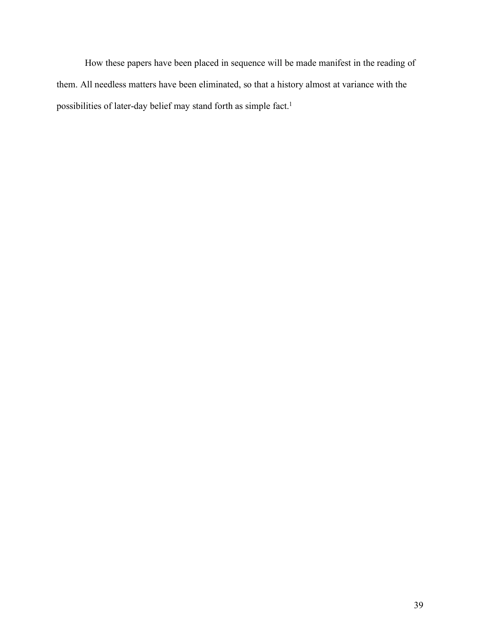How these papers have been placed in sequence will be made manifest in the reading of them. All needless matters have been eliminated, so that a history almost at variance with the possibilities of later-day belief may stand forth as simple fact.<sup>1</sup>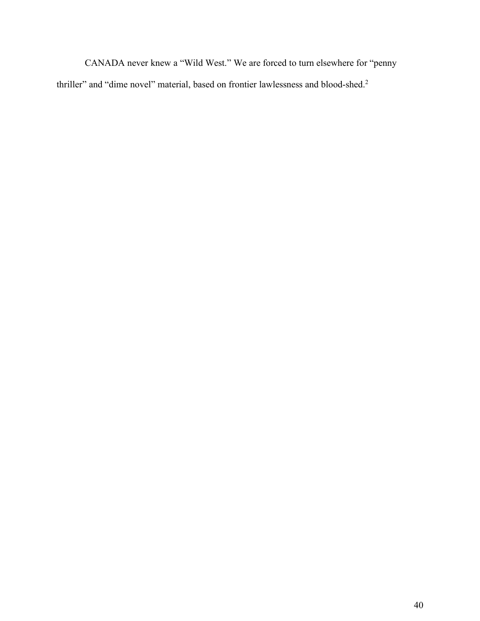CANADA never knew a "Wild West." We are forced to turn elsewhere for "penny thriller" and "dime novel" material, based on frontier lawlessness and blood-shed.<sup>2</sup>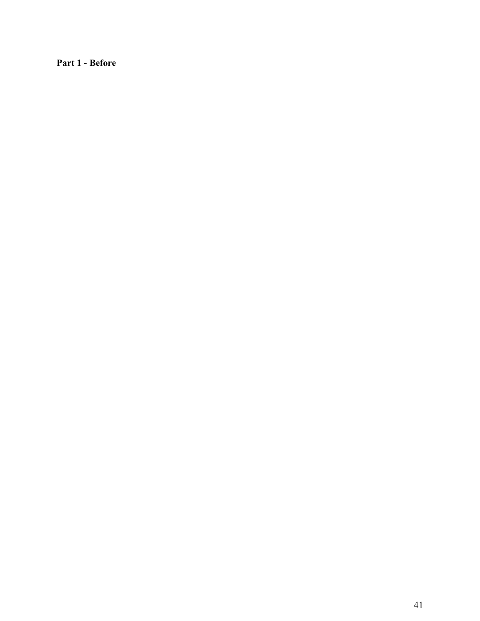**Part 1 - Before**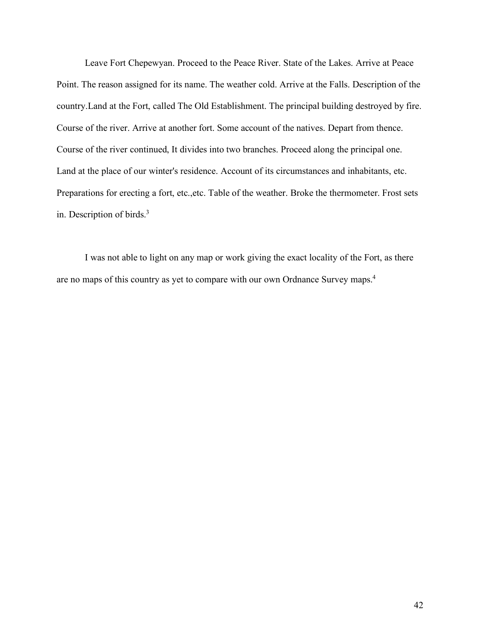Leave Fort Chepewyan. Proceed to the Peace River. State of the Lakes. Arrive at Peace Point. The reason assigned for its name. The weather cold. Arrive at the Falls. Description of the country.Land at the Fort, called The Old Establishment. The principal building destroyed by fire. Course of the river. Arrive at another fort. Some account of the natives. Depart from thence. Course of the river continued, It divides into two branches. Proceed along the principal one. Land at the place of our winter's residence. Account of its circumstances and inhabitants, etc. Preparations for erecting a fort, etc.,etc. Table of the weather. Broke the thermometer. Frost sets in. Description of birds.3

I was not able to light on any map or work giving the exact locality of the Fort, as there are no maps of this country as yet to compare with our own Ordnance Survey maps.4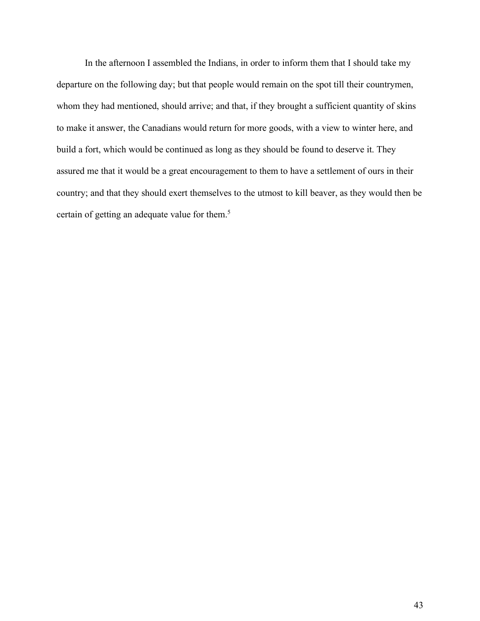In the afternoon I assembled the Indians, in order to inform them that I should take my departure on the following day; but that people would remain on the spot till their countrymen, whom they had mentioned, should arrive; and that, if they brought a sufficient quantity of skins to make it answer, the Canadians would return for more goods, with a view to winter here, and build a fort, which would be continued as long as they should be found to deserve it. They assured me that it would be a great encouragement to them to have a settlement of ours in their country; and that they should exert themselves to the utmost to kill beaver, as they would then be certain of getting an adequate value for them.5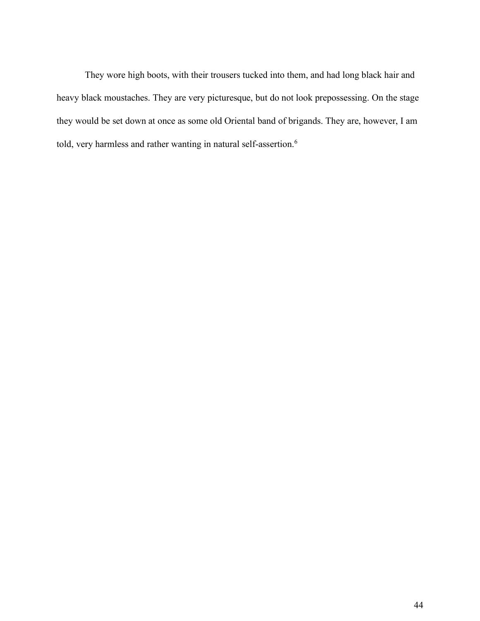They wore high boots, with their trousers tucked into them, and had long black hair and heavy black moustaches. They are very picturesque, but do not look prepossessing. On the stage they would be set down at once as some old Oriental band of brigands. They are, however, I am told, very harmless and rather wanting in natural self-assertion.<sup>6</sup>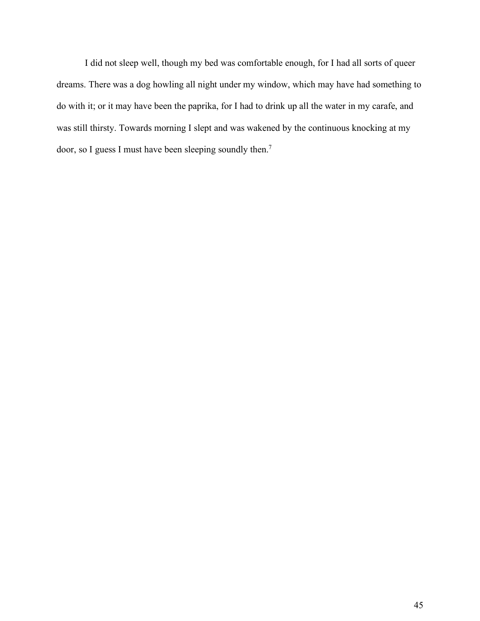I did not sleep well, though my bed was comfortable enough, for I had all sorts of queer dreams. There was a dog howling all night under my window, which may have had something to do with it; or it may have been the paprika, for I had to drink up all the water in my carafe, and was still thirsty. Towards morning I slept and was wakened by the continuous knocking at my door, so I guess I must have been sleeping soundly then.7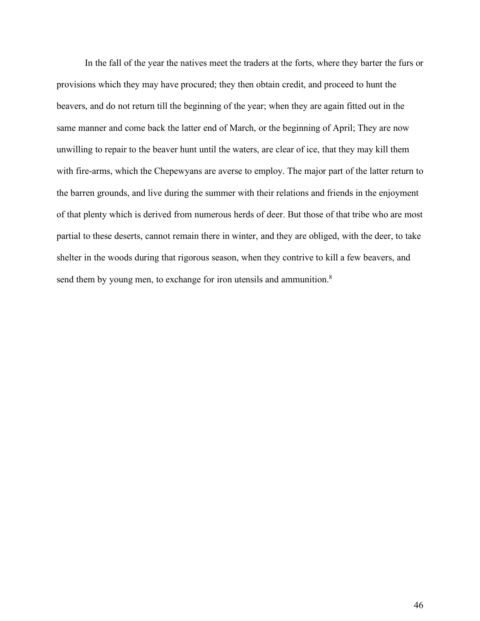In the fall of the year the natives meet the traders at the forts, where they barter the furs or provisions which they may have procured; they then obtain credit, and proceed to hunt the beavers, and do not return till the beginning of the year; when they are again fitted out in the same manner and come back the latter end of March, or the beginning of April; They are now unwilling to repair to the beaver hunt until the waters, are clear of ice, that they may kill them with fire-arms, which the Chepewyans are averse to employ. The major part of the latter return to the barren grounds, and live during the summer with their relations and friends in the enjoyment of that plenty which is derived from numerous herds of deer. But those of that tribe who are most partial to these deserts, cannot remain there in winter, and they are obliged, with the deer, to take shelter in the woods during that rigorous season, when they contrive to kill a few beavers, and send them by young men, to exchange for iron utensils and ammunition.<sup>8</sup>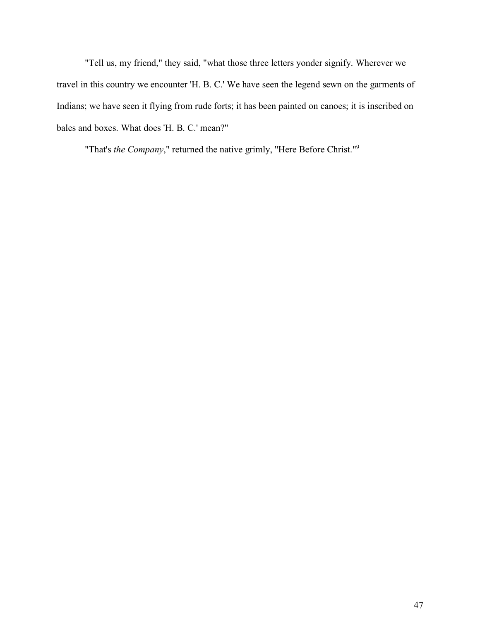"Tell us, my friend," they said, "what those three letters yonder signify. Wherever we travel in this country we encounter 'H. B. C.' We have seen the legend sewn on the garments of Indians; we have seen it flying from rude forts; it has been painted on canoes; it is inscribed on bales and boxes. What does 'H. B. C.' mean?"

"That's *the Company*," returned the native grimly, "Here Before Christ."9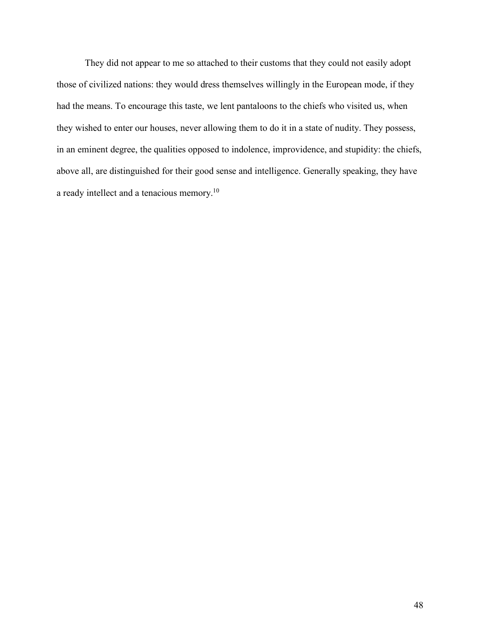They did not appear to me so attached to their customs that they could not easily adopt those of civilized nations: they would dress themselves willingly in the European mode, if they had the means. To encourage this taste, we lent pantaloons to the chiefs who visited us, when they wished to enter our houses, never allowing them to do it in a state of nudity. They possess, in an eminent degree, the qualities opposed to indolence, improvidence, and stupidity: the chiefs, above all, are distinguished for their good sense and intelligence. Generally speaking, they have a ready intellect and a tenacious memory.10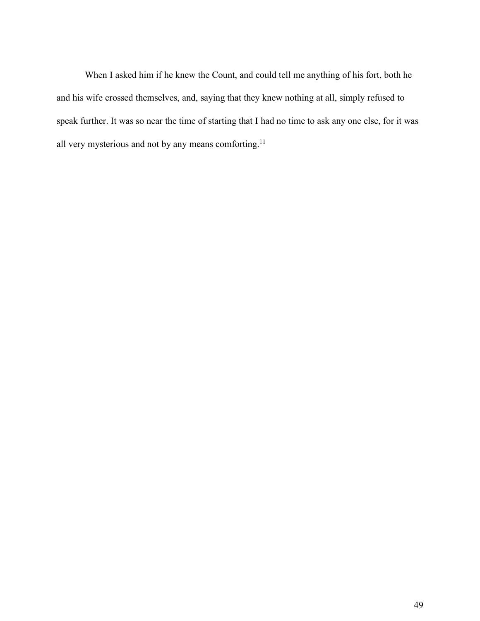When I asked him if he knew the Count, and could tell me anything of his fort, both he and his wife crossed themselves, and, saying that they knew nothing at all, simply refused to speak further. It was so near the time of starting that I had no time to ask any one else, for it was all very mysterious and not by any means comforting.<sup>11</sup>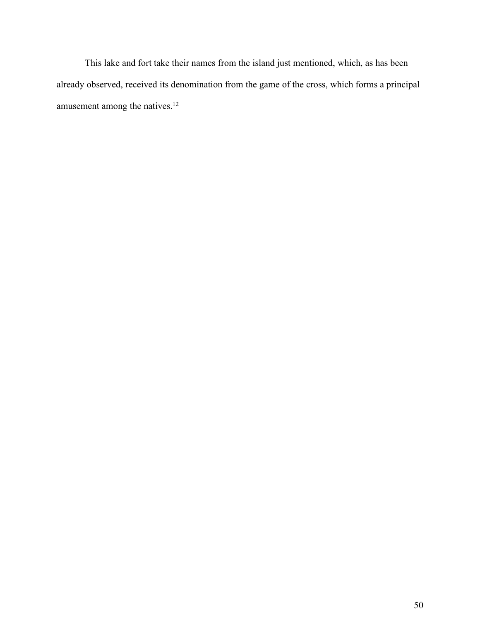This lake and fort take their names from the island just mentioned, which, as has been already observed, received its denomination from the game of the cross, which forms a principal amusement among the natives.<sup>12</sup>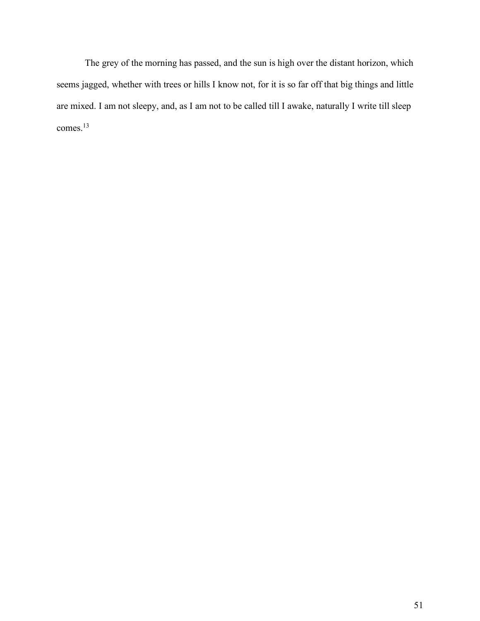The grey of the morning has passed, and the sun is high over the distant horizon, which seems jagged, whether with trees or hills I know not, for it is so far off that big things and little are mixed. I am not sleepy, and, as I am not to be called till I awake, naturally I write till sleep comes.13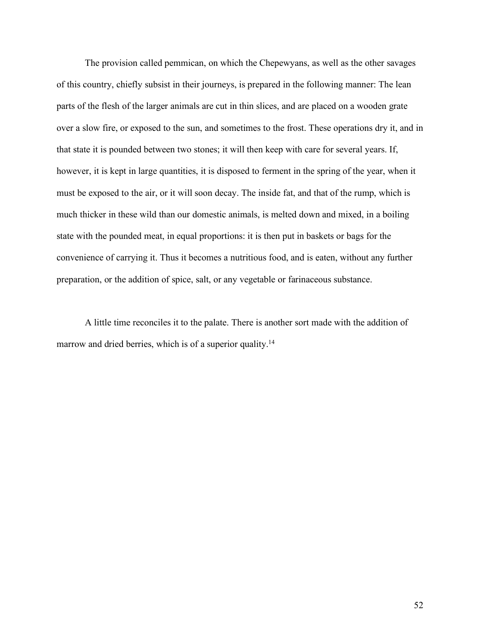The provision called pemmican, on which the Chepewyans, as well as the other savages of this country, chiefly subsist in their journeys, is prepared in the following manner: The lean parts of the flesh of the larger animals are cut in thin slices, and are placed on a wooden grate over a slow fire, or exposed to the sun, and sometimes to the frost. These operations dry it, and in that state it is pounded between two stones; it will then keep with care for several years. If, however, it is kept in large quantities, it is disposed to ferment in the spring of the year, when it must be exposed to the air, or it will soon decay. The inside fat, and that of the rump, which is much thicker in these wild than our domestic animals, is melted down and mixed, in a boiling state with the pounded meat, in equal proportions: it is then put in baskets or bags for the convenience of carrying it. Thus it becomes a nutritious food, and is eaten, without any further preparation, or the addition of spice, salt, or any vegetable or farinaceous substance.

A little time reconciles it to the palate. There is another sort made with the addition of marrow and dried berries, which is of a superior quality.<sup>14</sup>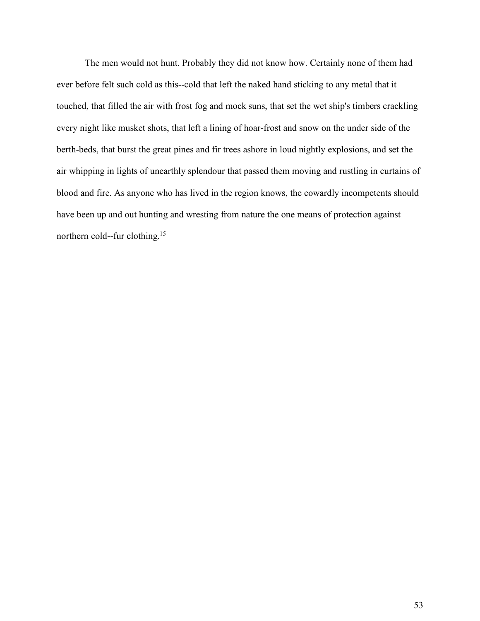The men would not hunt. Probably they did not know how. Certainly none of them had ever before felt such cold as this--cold that left the naked hand sticking to any metal that it touched, that filled the air with frost fog and mock suns, that set the wet ship's timbers crackling every night like musket shots, that left a lining of hoar-frost and snow on the under side of the berth-beds, that burst the great pines and fir trees ashore in loud nightly explosions, and set the air whipping in lights of unearthly splendour that passed them moving and rustling in curtains of blood and fire. As anyone who has lived in the region knows, the cowardly incompetents should have been up and out hunting and wresting from nature the one means of protection against northern cold--fur clothing.15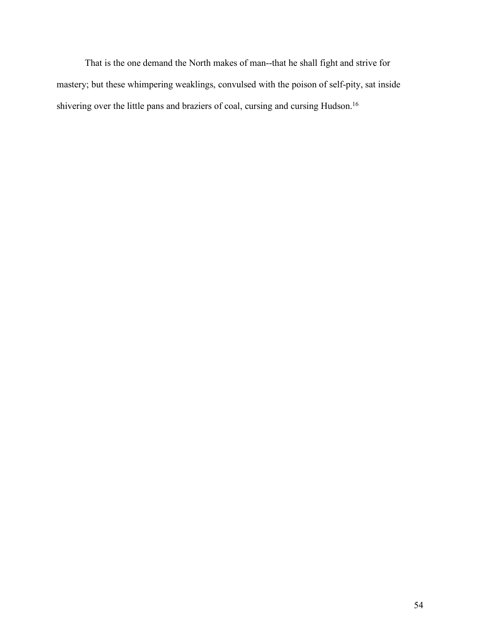That is the one demand the North makes of man--that he shall fight and strive for mastery; but these whimpering weaklings, convulsed with the poison of self-pity, sat inside shivering over the little pans and braziers of coal, cursing and cursing Hudson.16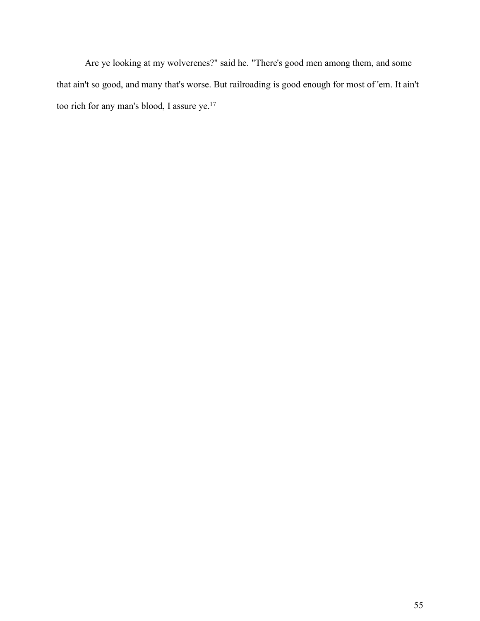Are ye looking at my wolverenes?" said he. "There's good men among them, and some that ain't so good, and many that's worse. But railroading is good enough for most of 'em. It ain't too rich for any man's blood, I assure ye.17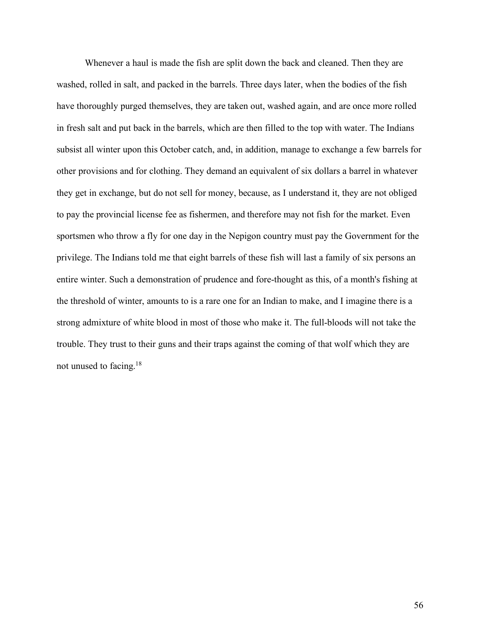Whenever a haul is made the fish are split down the back and cleaned. Then they are washed, rolled in salt, and packed in the barrels. Three days later, when the bodies of the fish have thoroughly purged themselves, they are taken out, washed again, and are once more rolled in fresh salt and put back in the barrels, which are then filled to the top with water. The Indians subsist all winter upon this October catch, and, in addition, manage to exchange a few barrels for other provisions and for clothing. They demand an equivalent of six dollars a barrel in whatever they get in exchange, but do not sell for money, because, as I understand it, they are not obliged to pay the provincial license fee as fishermen, and therefore may not fish for the market. Even sportsmen who throw a fly for one day in the Nepigon country must pay the Government for the privilege. The Indians told me that eight barrels of these fish will last a family of six persons an entire winter. Such a demonstration of prudence and fore-thought as this, of a month's fishing at the threshold of winter, amounts to is a rare one for an Indian to make, and I imagine there is a strong admixture of white blood in most of those who make it. The full-bloods will not take the trouble. They trust to their guns and their traps against the coming of that wolf which they are not unused to facing.18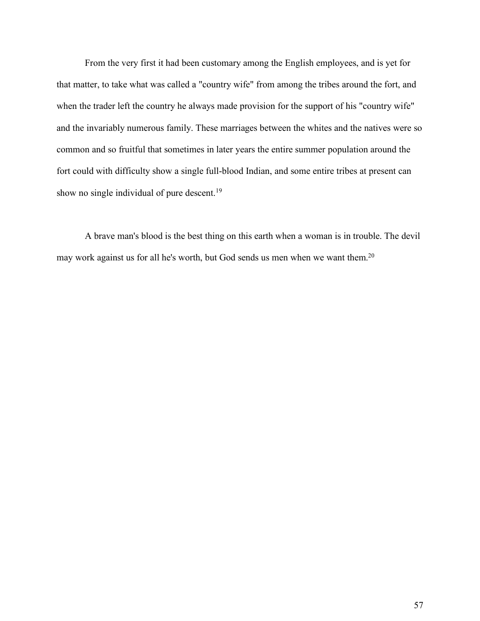From the very first it had been customary among the English employees, and is yet for that matter, to take what was called a "country wife" from among the tribes around the fort, and when the trader left the country he always made provision for the support of his "country wife" and the invariably numerous family. These marriages between the whites and the natives were so common and so fruitful that sometimes in later years the entire summer population around the fort could with difficulty show a single full-blood Indian, and some entire tribes at present can show no single individual of pure descent.<sup>19</sup>

A brave man's blood is the best thing on this earth when a woman is in trouble. The devil may work against us for all he's worth, but God sends us men when we want them.<sup>20</sup>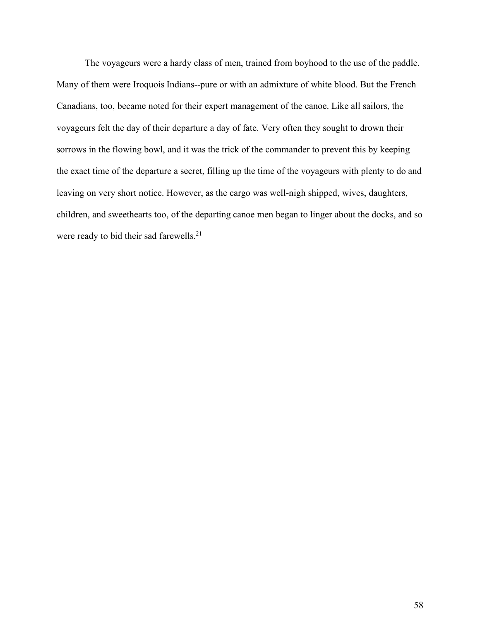The voyageurs were a hardy class of men, trained from boyhood to the use of the paddle. Many of them were Iroquois Indians--pure or with an admixture of white blood. But the French Canadians, too, became noted for their expert management of the canoe. Like all sailors, the voyageurs felt the day of their departure a day of fate. Very often they sought to drown their sorrows in the flowing bowl, and it was the trick of the commander to prevent this by keeping the exact time of the departure a secret, filling up the time of the voyageurs with plenty to do and leaving on very short notice. However, as the cargo was well-nigh shipped, wives, daughters, children, and sweethearts too, of the departing canoe men began to linger about the docks, and so were ready to bid their sad farewells.<sup>21</sup>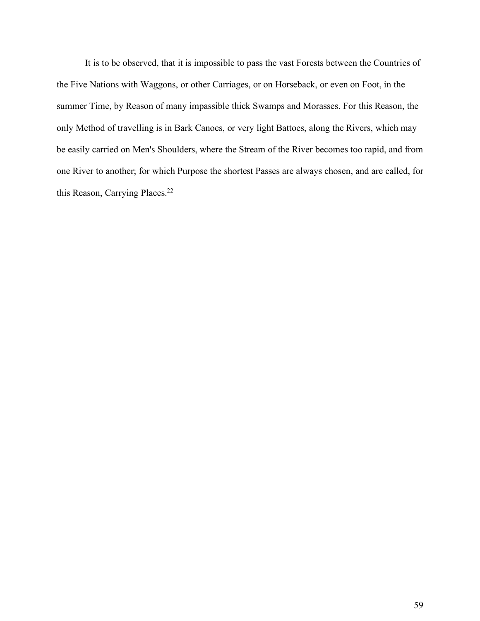It is to be observed, that it is impossible to pass the vast Forests between the Countries of the Five Nations with Waggons, or other Carriages, or on Horseback, or even on Foot, in the summer Time, by Reason of many impassible thick Swamps and Morasses. For this Reason, the only Method of travelling is in Bark Canoes, or very light Battoes, along the Rivers, which may be easily carried on Men's Shoulders, where the Stream of the River becomes too rapid, and from one River to another; for which Purpose the shortest Passes are always chosen, and are called, for this Reason, Carrying Places.<sup>22</sup>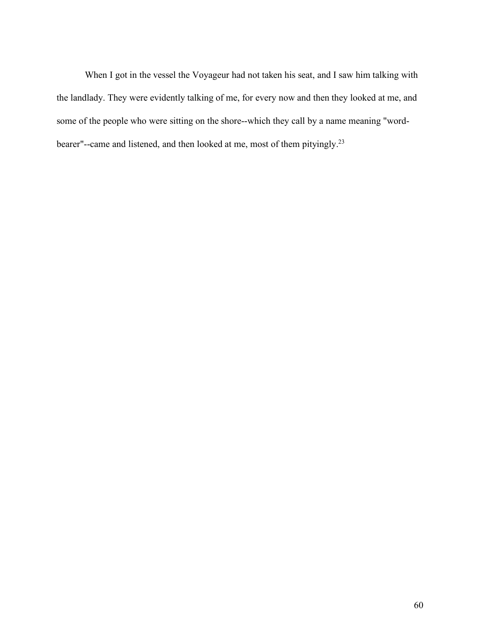When I got in the vessel the Voyageur had not taken his seat, and I saw him talking with the landlady. They were evidently talking of me, for every now and then they looked at me, and some of the people who were sitting on the shore--which they call by a name meaning "wordbearer"--came and listened, and then looked at me, most of them pityingly.23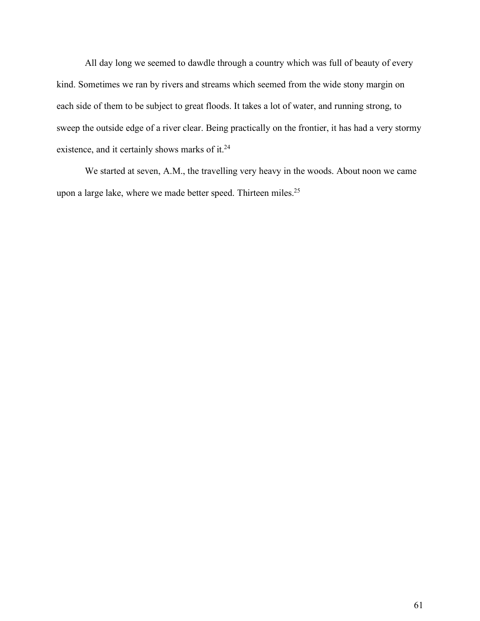All day long we seemed to dawdle through a country which was full of beauty of every kind. Sometimes we ran by rivers and streams which seemed from the wide stony margin on each side of them to be subject to great floods. It takes a lot of water, and running strong, to sweep the outside edge of a river clear. Being practically on the frontier, it has had a very stormy existence, and it certainly shows marks of it.<sup>24</sup>

We started at seven, A.M., the travelling very heavy in the woods. About noon we came upon a large lake, where we made better speed. Thirteen miles.<sup>25</sup>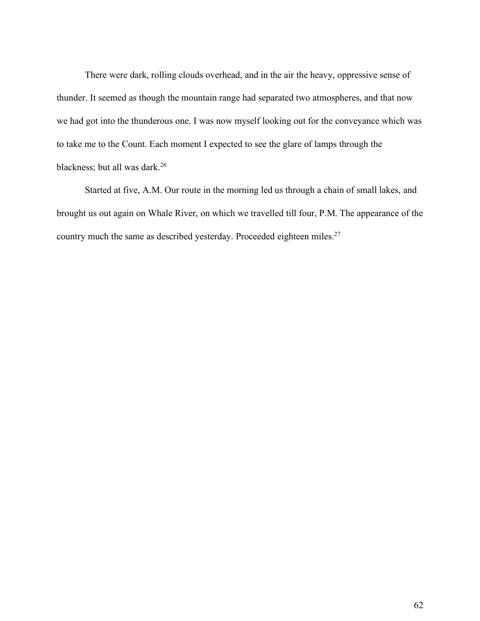There were dark, rolling clouds overhead, and in the air the heavy, oppressive sense of thunder. It seemed as though the mountain range had separated two atmospheres, and that now we had got into the thunderous one. I was now myself looking out for the conveyance which was to take me to the Count. Each moment I expected to see the glare of lamps through the blackness; but all was dark.<sup>26</sup>

Started at five, A.M. Our route in the morning led us through a chain of small lakes, and brought us out again on Whale River, on which we travelled till four, P.M. The appearance of the country much the same as described yesterday. Proceeded eighteen miles.<sup>27</sup>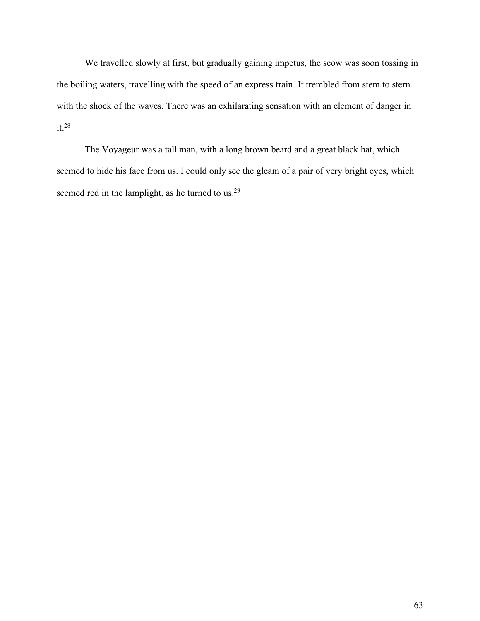We travelled slowly at first, but gradually gaining impetus, the scow was soon tossing in the boiling waters, travelling with the speed of an express train. It trembled from stem to stern with the shock of the waves. There was an exhilarating sensation with an element of danger in it.28

The Voyageur was a tall man, with a long brown beard and a great black hat, which seemed to hide his face from us. I could only see the gleam of a pair of very bright eyes, which seemed red in the lamplight, as he turned to us.<sup>29</sup>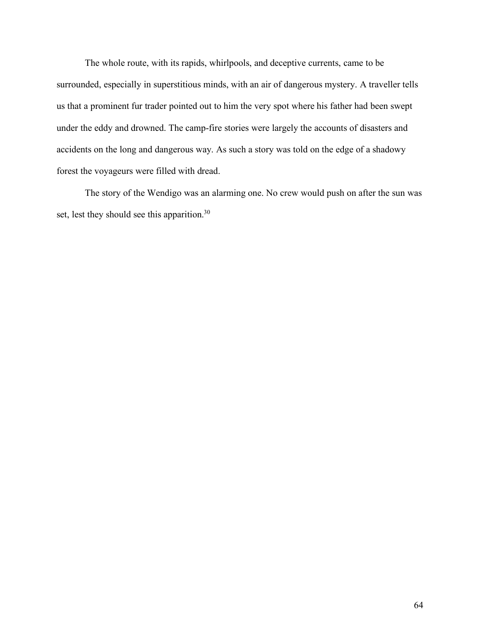The whole route, with its rapids, whirlpools, and deceptive currents, came to be surrounded, especially in superstitious minds, with an air of dangerous mystery. A traveller tells us that a prominent fur trader pointed out to him the very spot where his father had been swept under the eddy and drowned. The camp-fire stories were largely the accounts of disasters and accidents on the long and dangerous way. As such a story was told on the edge of a shadowy forest the voyageurs were filled with dread.

The story of the Wendigo was an alarming one. No crew would push on after the sun was set, lest they should see this apparition.<sup>30</sup>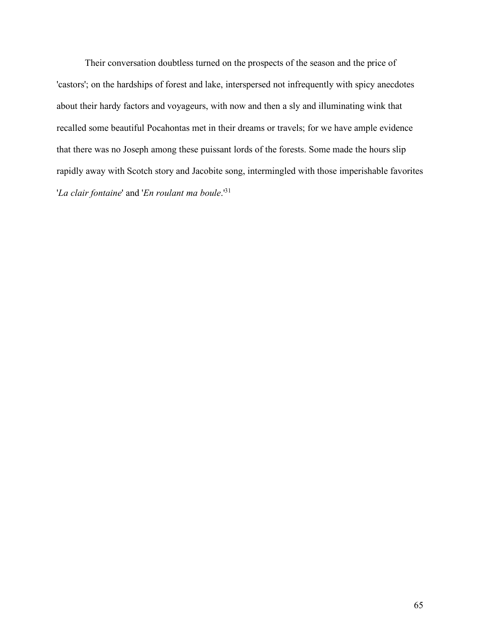Their conversation doubtless turned on the prospects of the season and the price of 'castors'; on the hardships of forest and lake, interspersed not infrequently with spicy anecdotes about their hardy factors and voyageurs, with now and then a sly and illuminating wink that recalled some beautiful Pocahontas met in their dreams or travels; for we have ample evidence that there was no Joseph among these puissant lords of the forests. Some made the hours slip rapidly away with Scotch story and Jacobite song, intermingled with those imperishable favorites '*La clair fontaine*' and '*En roulant ma boule*.'31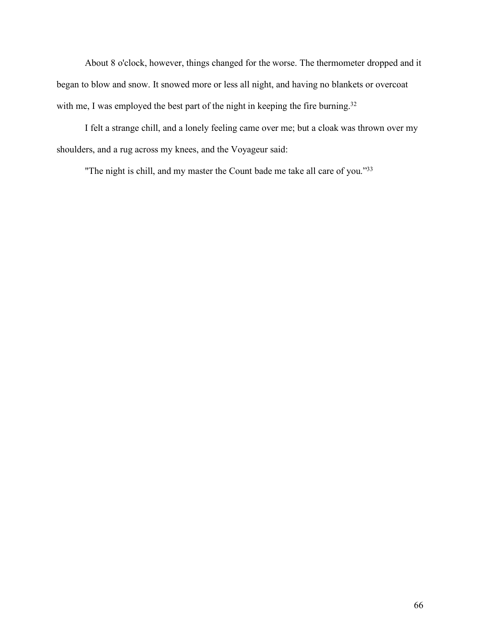About 8 o'clock, however, things changed for the worse. The thermometer dropped and it began to blow and snow. It snowed more or less all night, and having no blankets or overcoat with me, I was employed the best part of the night in keeping the fire burning.<sup>32</sup>

I felt a strange chill, and a lonely feeling came over me; but a cloak was thrown over my shoulders, and a rug across my knees, and the Voyageur said:

"The night is chill, and my master the Count bade me take all care of you."33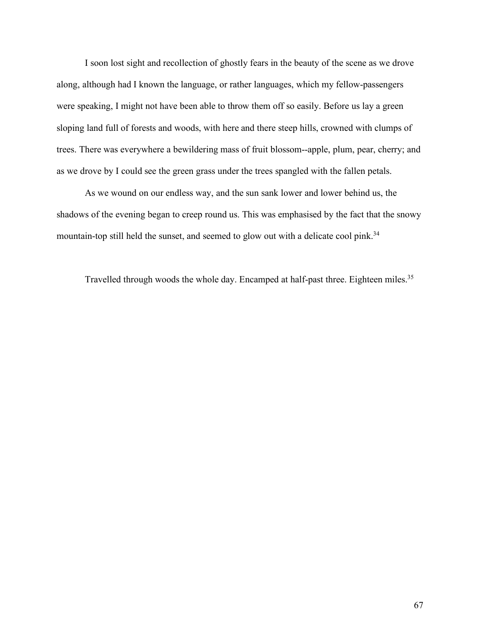I soon lost sight and recollection of ghostly fears in the beauty of the scene as we drove along, although had I known the language, or rather languages, which my fellow-passengers were speaking, I might not have been able to throw them off so easily. Before us lay a green sloping land full of forests and woods, with here and there steep hills, crowned with clumps of trees. There was everywhere a bewildering mass of fruit blossom--apple, plum, pear, cherry; and as we drove by I could see the green grass under the trees spangled with the fallen petals.

As we wound on our endless way, and the sun sank lower and lower behind us, the shadows of the evening began to creep round us. This was emphasised by the fact that the snowy mountain-top still held the sunset, and seemed to glow out with a delicate cool pink.<sup>34</sup>

Travelled through woods the whole day. Encamped at half-past three. Eighteen miles.35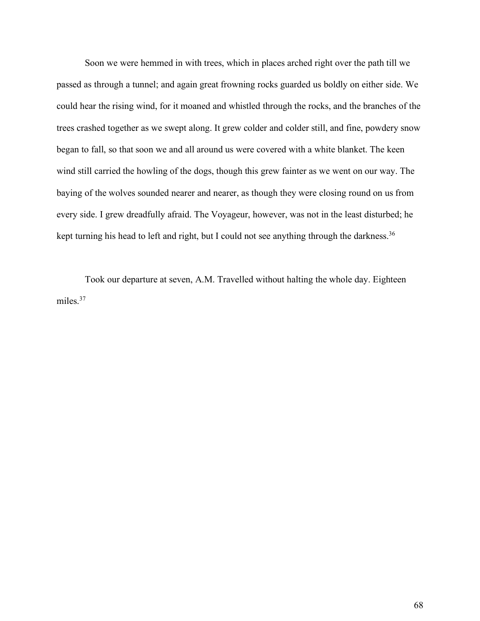Soon we were hemmed in with trees, which in places arched right over the path till we passed as through a tunnel; and again great frowning rocks guarded us boldly on either side. We could hear the rising wind, for it moaned and whistled through the rocks, and the branches of the trees crashed together as we swept along. It grew colder and colder still, and fine, powdery snow began to fall, so that soon we and all around us were covered with a white blanket. The keen wind still carried the howling of the dogs, though this grew fainter as we went on our way. The baying of the wolves sounded nearer and nearer, as though they were closing round on us from every side. I grew dreadfully afraid. The Voyageur, however, was not in the least disturbed; he kept turning his head to left and right, but I could not see anything through the darkness.<sup>36</sup>

Took our departure at seven, A.M. Travelled without halting the whole day. Eighteen miles.<sup>37</sup>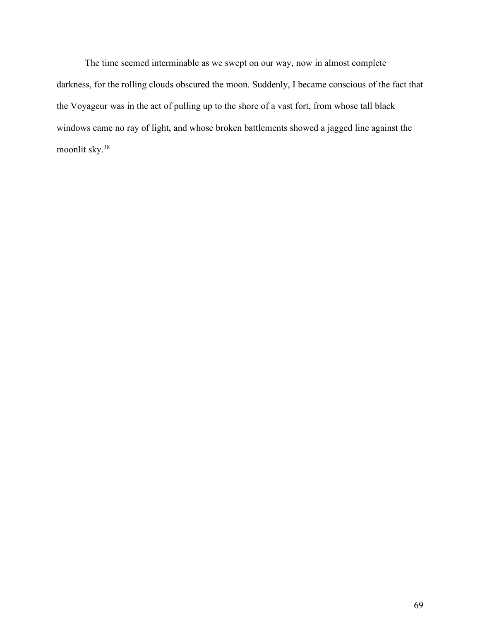The time seemed interminable as we swept on our way, now in almost complete darkness, for the rolling clouds obscured the moon. Suddenly, I became conscious of the fact that the Voyageur was in the act of pulling up to the shore of a vast fort, from whose tall black windows came no ray of light, and whose broken battlements showed a jagged line against the moonlit sky.38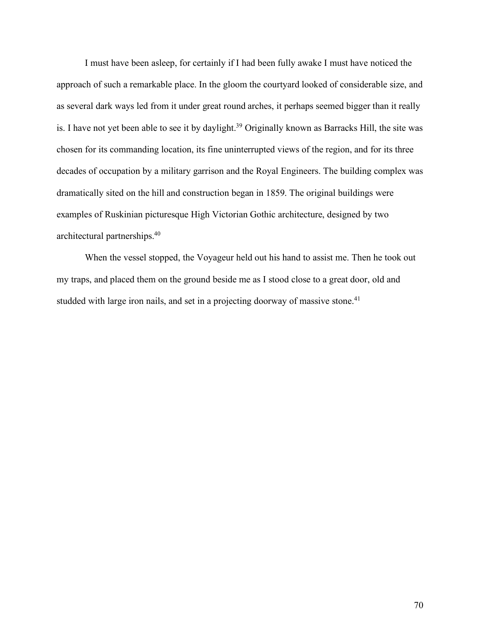I must have been asleep, for certainly if I had been fully awake I must have noticed the approach of such a remarkable place. In the gloom the courtyard looked of considerable size, and as several dark ways led from it under great round arches, it perhaps seemed bigger than it really is. I have not yet been able to see it by daylight.<sup>39</sup> Originally known as Barracks Hill, the site was chosen for its commanding location, its fine uninterrupted views of the region, and for its three decades of occupation by a military garrison and the Royal Engineers. The building complex was dramatically sited on the hill and construction began in 1859. The original buildings were examples of Ruskinian picturesque High Victorian Gothic architecture, designed by two architectural partnerships.40

When the vessel stopped, the Voyageur held out his hand to assist me. Then he took out my traps, and placed them on the ground beside me as I stood close to a great door, old and studded with large iron nails, and set in a projecting doorway of massive stone.<sup>41</sup>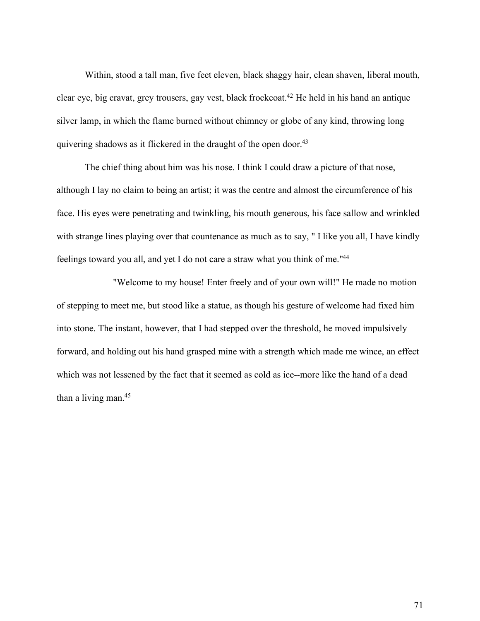Within, stood a tall man, five feet eleven, black shaggy hair, clean shaven, liberal mouth, clear eye, big cravat, grey trousers, gay vest, black frockcoat.42 He held in his hand an antique silver lamp, in which the flame burned without chimney or globe of any kind, throwing long quivering shadows as it flickered in the draught of the open door.43

The chief thing about him was his nose. I think I could draw a picture of that nose, although I lay no claim to being an artist; it was the centre and almost the circumference of his face. His eyes were penetrating and twinkling, his mouth generous, his face sallow and wrinkled with strange lines playing over that countenance as much as to say, "I like you all, I have kindly feelings toward you all, and yet I do not care a straw what you think of me."44

"Welcome to my house! Enter freely and of your own will!" He made no motion of stepping to meet me, but stood like a statue, as though his gesture of welcome had fixed him into stone. The instant, however, that I had stepped over the threshold, he moved impulsively forward, and holding out his hand grasped mine with a strength which made me wince, an effect which was not lessened by the fact that it seemed as cold as ice--more like the hand of a dead than a living man.<sup>45</sup>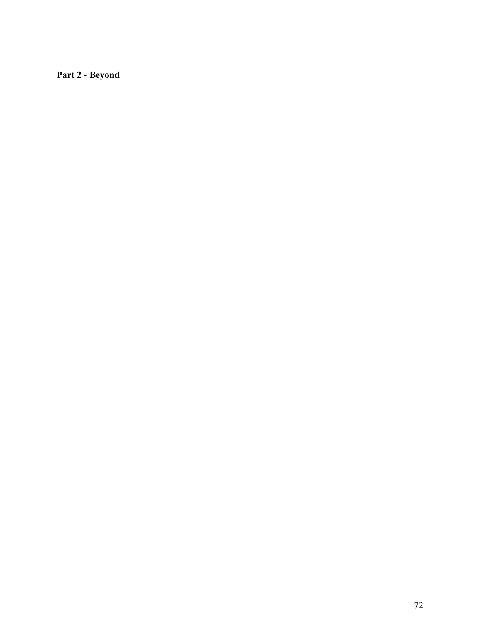**Part 2 - Beyond**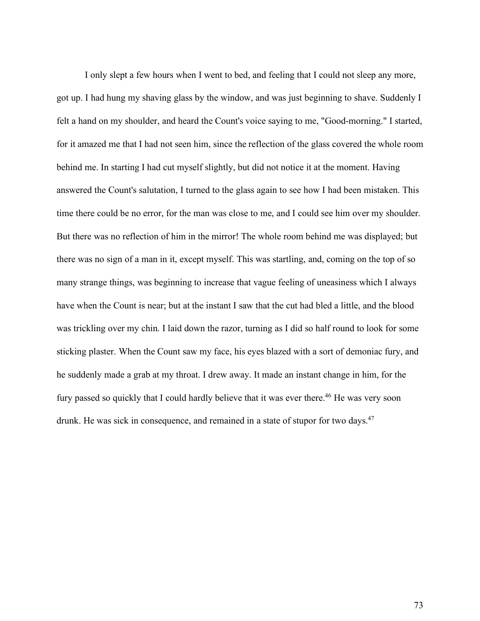I only slept a few hours when I went to bed, and feeling that I could not sleep any more, got up. I had hung my shaving glass by the window, and was just beginning to shave. Suddenly I felt a hand on my shoulder, and heard the Count's voice saying to me, "Good-morning." I started, for it amazed me that I had not seen him, since the reflection of the glass covered the whole room behind me. In starting I had cut myself slightly, but did not notice it at the moment. Having answered the Count's salutation, I turned to the glass again to see how I had been mistaken. This time there could be no error, for the man was close to me, and I could see him over my shoulder. But there was no reflection of him in the mirror! The whole room behind me was displayed; but there was no sign of a man in it, except myself. This was startling, and, coming on the top of so many strange things, was beginning to increase that vague feeling of uneasiness which I always have when the Count is near; but at the instant I saw that the cut had bled a little, and the blood was trickling over my chin. I laid down the razor, turning as I did so half round to look for some sticking plaster. When the Count saw my face, his eyes blazed with a sort of demoniac fury, and he suddenly made a grab at my throat. I drew away. It made an instant change in him, for the fury passed so quickly that I could hardly believe that it was ever there.<sup>46</sup> He was very soon drunk. He was sick in consequence, and remained in a state of stupor for two days.<sup>47</sup>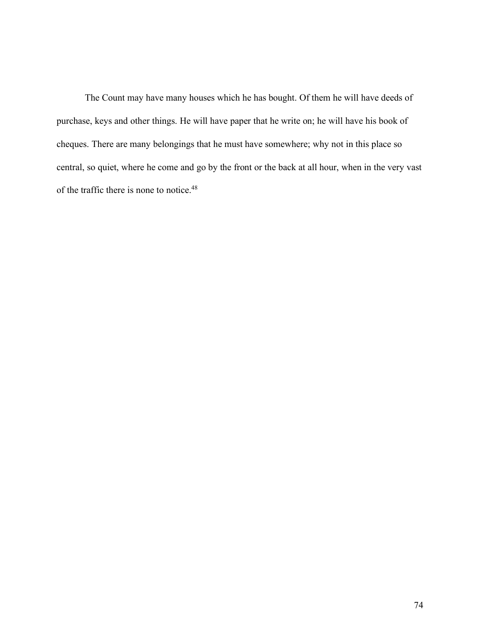The Count may have many houses which he has bought. Of them he will have deeds of purchase, keys and other things. He will have paper that he write on; he will have his book of cheques. There are many belongings that he must have somewhere; why not in this place so central, so quiet, where he come and go by the front or the back at all hour, when in the very vast of the traffic there is none to notice.48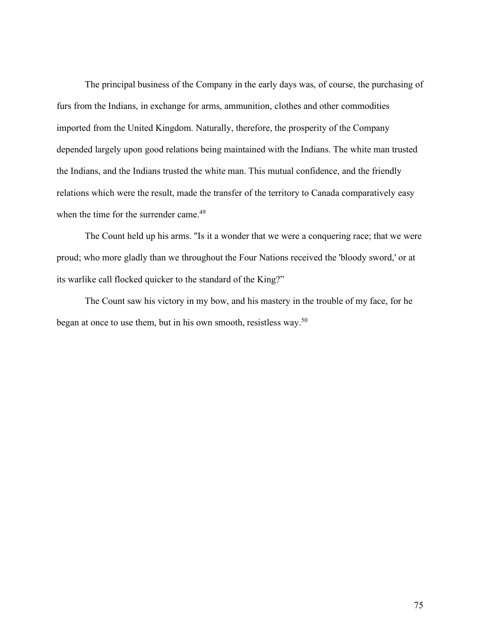The principal business of the Company in the early days was, of course, the purchasing of furs from the Indians, in exchange for arms, ammunition, clothes and other commodities imported from the United Kingdom. Naturally, therefore, the prosperity of the Company depended largely upon good relations being maintained with the Indians. The white man trusted the Indians, and the Indians trusted the white man. This mutual confidence, and the friendly relations which were the result, made the transfer of the territory to Canada comparatively easy when the time for the surrender came.<sup>49</sup>

The Count held up his arms. "Is it a wonder that we were a conquering race; that we were proud; who more gladly than we throughout the Four Nations received the 'bloody sword,' or at its warlike call flocked quicker to the standard of the King?"

The Count saw his victory in my bow, and his mastery in the trouble of my face, for he began at once to use them, but in his own smooth, resistless way.50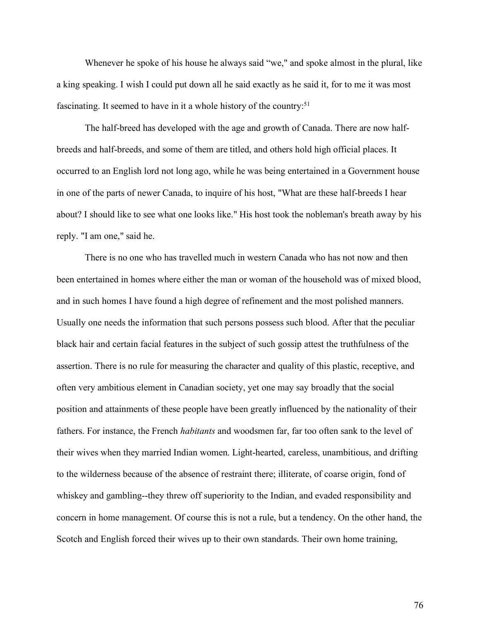Whenever he spoke of his house he always said "we," and spoke almost in the plural, like a king speaking. I wish I could put down all he said exactly as he said it, for to me it was most fascinating. It seemed to have in it a whole history of the country:<sup>51</sup>

The half-breed has developed with the age and growth of Canada. There are now halfbreeds and half-breeds, and some of them are titled, and others hold high official places. It occurred to an English lord not long ago, while he was being entertained in a Government house in one of the parts of newer Canada, to inquire of his host, "What are these half-breeds I hear about? I should like to see what one looks like." His host took the nobleman's breath away by his reply. "I am one," said he.

There is no one who has travelled much in western Canada who has not now and then been entertained in homes where either the man or woman of the household was of mixed blood, and in such homes I have found a high degree of refinement and the most polished manners. Usually one needs the information that such persons possess such blood. After that the peculiar black hair and certain facial features in the subject of such gossip attest the truthfulness of the assertion. There is no rule for measuring the character and quality of this plastic, receptive, and often very ambitious element in Canadian society, yet one may say broadly that the social position and attainments of these people have been greatly influenced by the nationality of their fathers. For instance, the French *habitants* and woodsmen far, far too often sank to the level of their wives when they married Indian women. Light-hearted, careless, unambitious, and drifting to the wilderness because of the absence of restraint there; illiterate, of coarse origin, fond of whiskey and gambling--they threw off superiority to the Indian, and evaded responsibility and concern in home management. Of course this is not a rule, but a tendency. On the other hand, the Scotch and English forced their wives up to their own standards. Their own home training,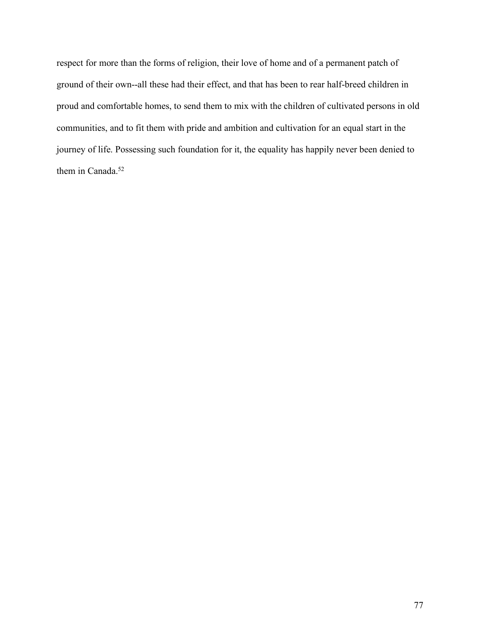respect for more than the forms of religion, their love of home and of a permanent patch of ground of their own--all these had their effect, and that has been to rear half-breed children in proud and comfortable homes, to send them to mix with the children of cultivated persons in old communities, and to fit them with pride and ambition and cultivation for an equal start in the journey of life. Possessing such foundation for it, the equality has happily never been denied to them in Canada.<sup>52</sup>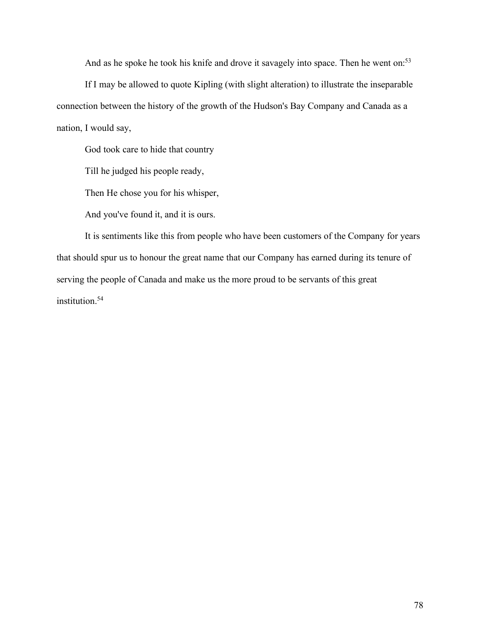And as he spoke he took his knife and drove it savagely into space. Then he went on:<sup>53</sup>

If I may be allowed to quote Kipling (with slight alteration) to illustrate the inseparable connection between the history of the growth of the Hudson's Bay Company and Canada as a nation, I would say,

God took care to hide that country

Till he judged his people ready,

Then He chose you for his whisper,

And you've found it, and it is ours.

It is sentiments like this from people who have been customers of the Company for years that should spur us to honour the great name that our Company has earned during its tenure of serving the people of Canada and make us the more proud to be servants of this great institution.54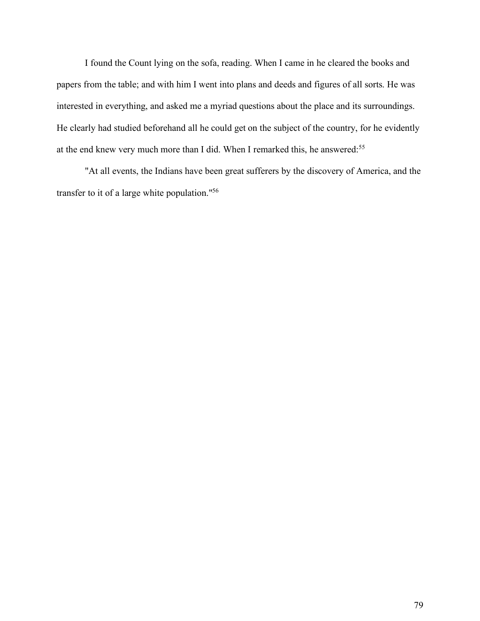I found the Count lying on the sofa, reading. When I came in he cleared the books and papers from the table; and with him I went into plans and deeds and figures of all sorts. He was interested in everything, and asked me a myriad questions about the place and its surroundings. He clearly had studied beforehand all he could get on the subject of the country, for he evidently at the end knew very much more than I did. When I remarked this, he answered:<sup>55</sup>

"At all events, the Indians have been great sufferers by the discovery of America, and the transfer to it of a large white population."56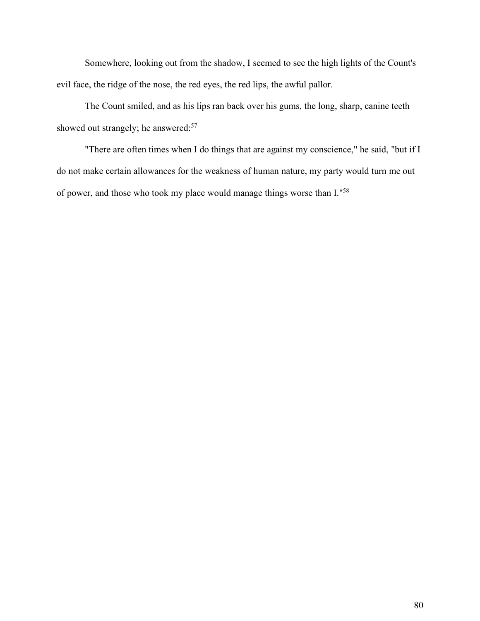Somewhere, looking out from the shadow, I seemed to see the high lights of the Count's evil face, the ridge of the nose, the red eyes, the red lips, the awful pallor.

The Count smiled, and as his lips ran back over his gums, the long, sharp, canine teeth showed out strangely; he answered:<sup>57</sup>

"There are often times when I do things that are against my conscience," he said, "but if I do not make certain allowances for the weakness of human nature, my party would turn me out of power, and those who took my place would manage things worse than I."58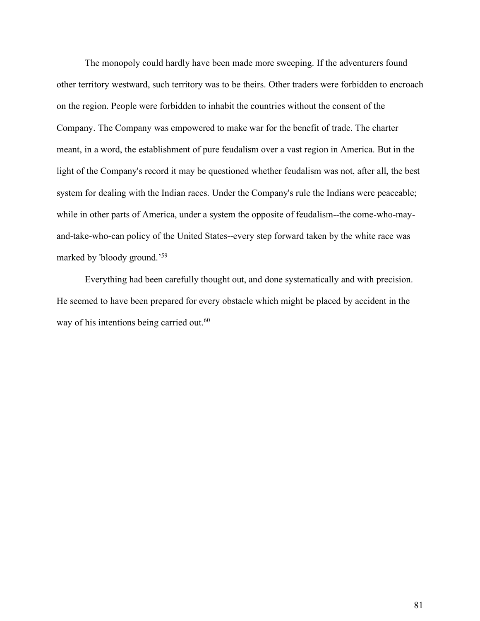The monopoly could hardly have been made more sweeping. If the adventurers found other territory westward, such territory was to be theirs. Other traders were forbidden to encroach on the region. People were forbidden to inhabit the countries without the consent of the Company. The Company was empowered to make war for the benefit of trade. The charter meant, in a word, the establishment of pure feudalism over a vast region in America. But in the light of the Company's record it may be questioned whether feudalism was not, after all, the best system for dealing with the Indian races. Under the Company's rule the Indians were peaceable; while in other parts of America, under a system the opposite of feudalism--the come-who-mayand-take-who-can policy of the United States--every step forward taken by the white race was marked by 'bloody ground.'59

Everything had been carefully thought out, and done systematically and with precision. He seemed to have been prepared for every obstacle which might be placed by accident in the way of his intentions being carried out.<sup>60</sup>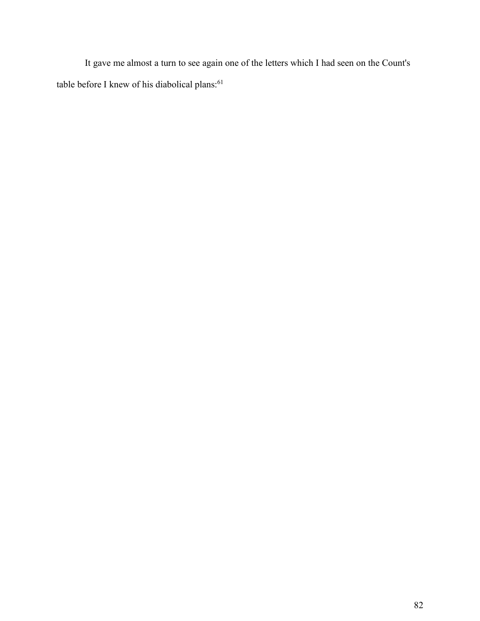It gave me almost a turn to see again one of the letters which I had seen on the Count's table before I knew of his diabolical plans: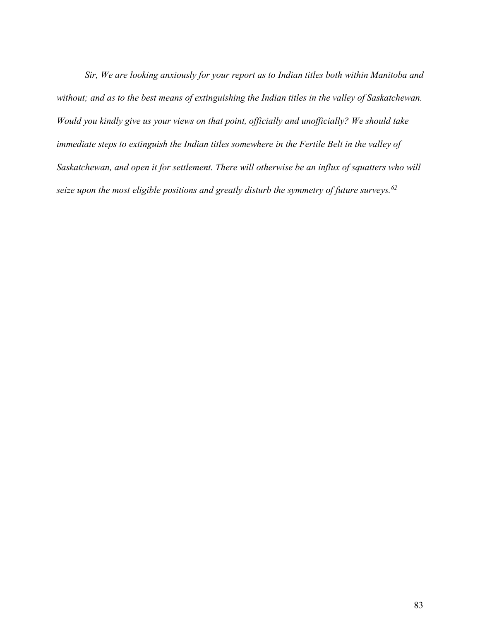*Sir, We are looking anxiously for your report as to Indian titles both within Manitoba and without; and as to the best means of extinguishing the Indian titles in the valley of Saskatchewan. Would you kindly give us your views on that point, officially and unofficially? We should take immediate steps to extinguish the Indian titles somewhere in the Fertile Belt in the valley of Saskatchewan, and open it for settlement. There will otherwise be an influx of squatters who will seize upon the most eligible positions and greatly disturb the symmetry of future surveys.62*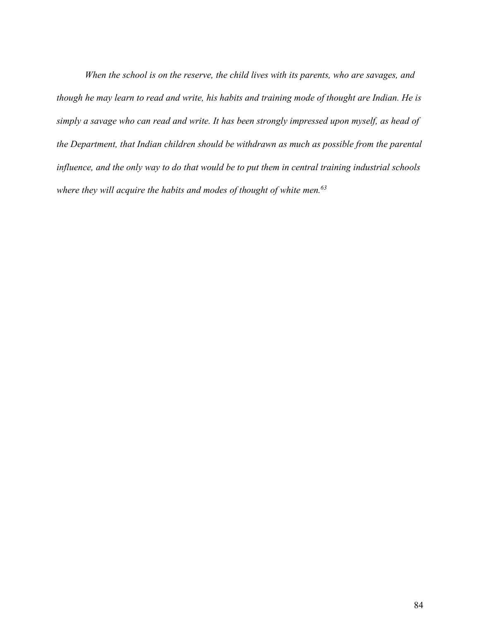*When the school is on the reserve, the child lives with its parents, who are savages, and* though he may learn to read and write, his habits and training mode of thought are Indian. He is *simply a savage who can read and write. It has been strongly impressed upon myself, as head of the Department, that Indian children should be withdrawn as much as possible from the parental influence, and the only way to do that would be to put them in central training industrial schools where they will acquire the habits and modes of thought of white men.63*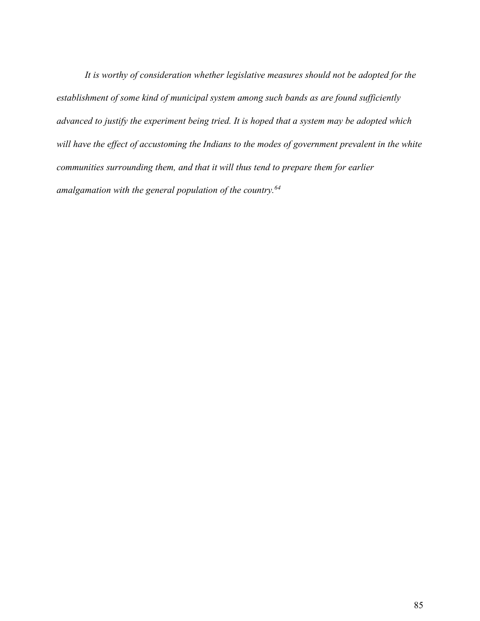*It is worthy of consideration whether legislative measures should not be adopted for the establishment of some kind of municipal system among such bands as are found sufficiently advanced to justify the experiment being tried. It is hoped that a system may be adopted which will have the effect of accustoming the Indians to the modes of government prevalent in the white communities surrounding them, and that it will thus tend to prepare them for earlier amalgamation with the general population of the country.64*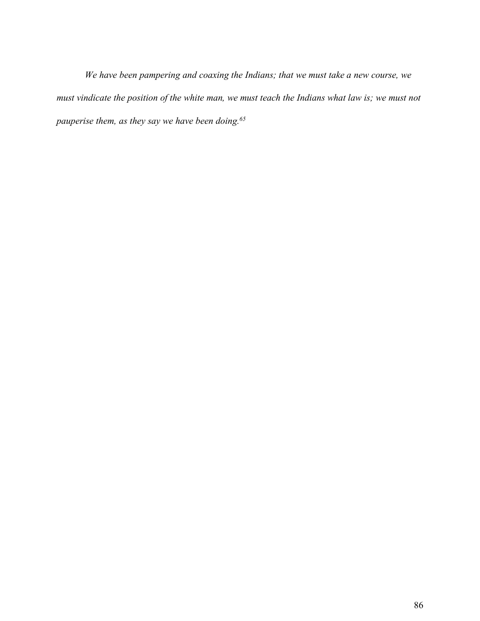*We have been pampering and coaxing the Indians; that we must take a new course, we* must vindicate the position of the white man, we must teach the Indians what law is; we must not *pauperise them, as they say we have been doing.65*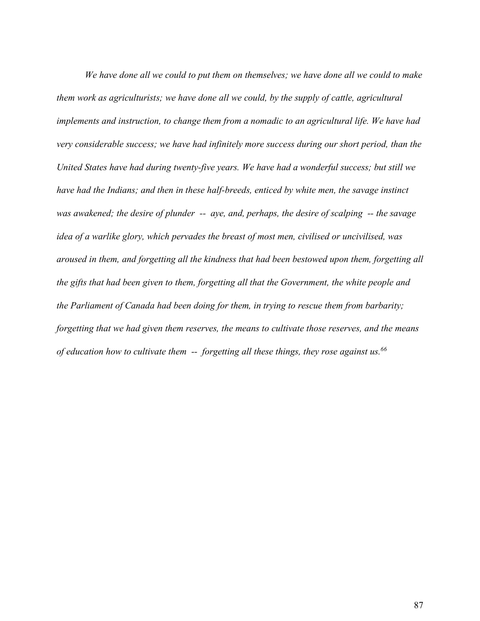*We have done all we could to put them on themselves; we have done all we could to make them work as agriculturists; we have done all we could, by the supply of cattle, agricultural implements and instruction, to change them from a nomadic to an agricultural life. We have had very considerable success; we have had infinitely more success during our short period, than the United States have had during twenty-five years. We have had a wonderful success; but still we have had the Indians; and then in these half-breeds, enticed by white men, the savage instinct was awakened; the desire of plunder -- aye, and, perhaps, the desire of scalping -- the savage idea of a warlike glory, which pervades the breast of most men, civilised or uncivilised, was aroused in them, and forgetting all the kindness that had been bestowed upon them, forgetting all the gifts that had been given to them, forgetting all that the Government, the white people and the Parliament of Canada had been doing for them, in trying to rescue them from barbarity; forgetting that we had given them reserves, the means to cultivate those reserves, and the means of education how to cultivate them -- forgetting all these things, they rose against us.66*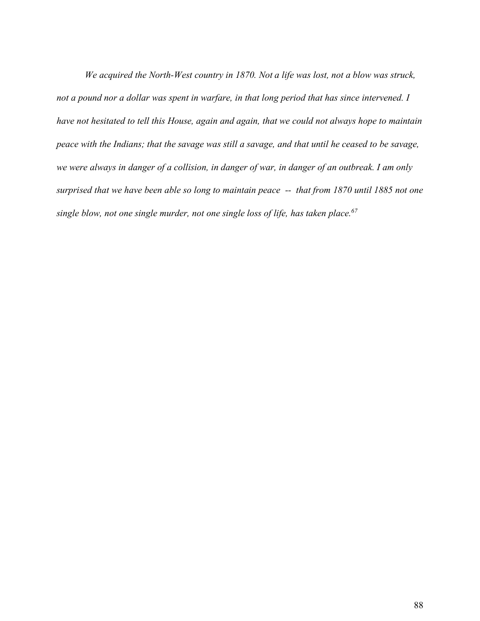*We acquired the North-West country in 1870. Not a life was lost, not a blow was struck,* not a pound nor a dollar was spent in warfare, in that long period that has since intervened. I *have not hesitated to tell this House, again and again, that we could not always hope to maintain* peace with the Indians; that the savage was still a savage, and that until he ceased to be savage, we were always in danger of a collision, in danger of war, in danger of an outbreak. I am only surprised that we have been able so long to maintain peace -- that from 1870 until 1885 not one *single blow, not one single murder, not one single loss of life, has taken place.67*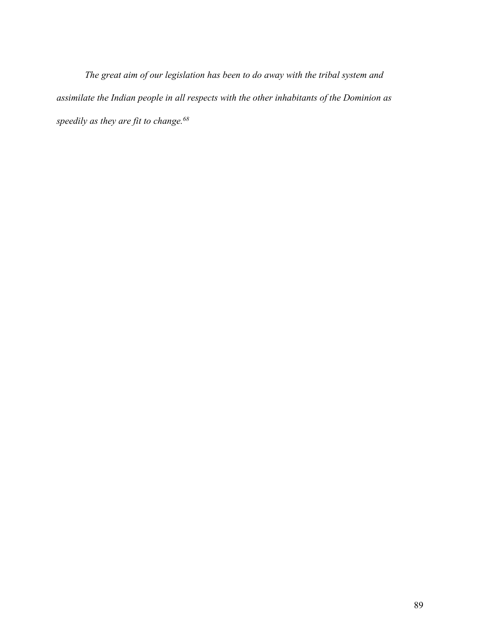*The great aim of our legislation has been to do away with the tribal system and assimilate the Indian people in all respects with the other inhabitants of the Dominion as speedily as they are fit to change.68*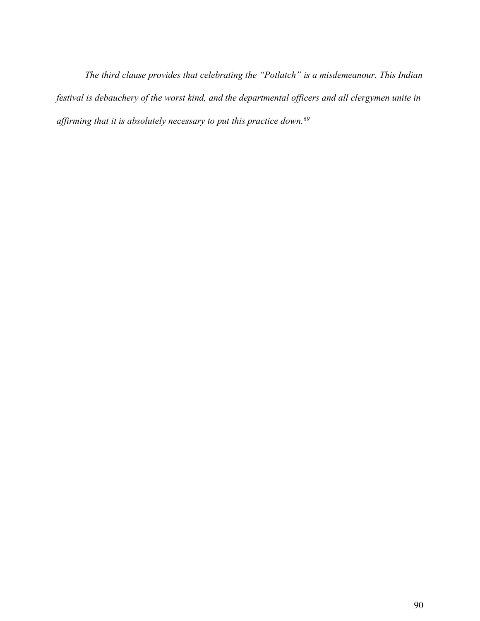*The third clause provides that celebrating the "Potlatch" is a misdemeanour. This Indian festival is debauchery of the worst kind, and the departmental officers and all clergymen unite in affirming that it is absolutely necessary to put this practice down.69*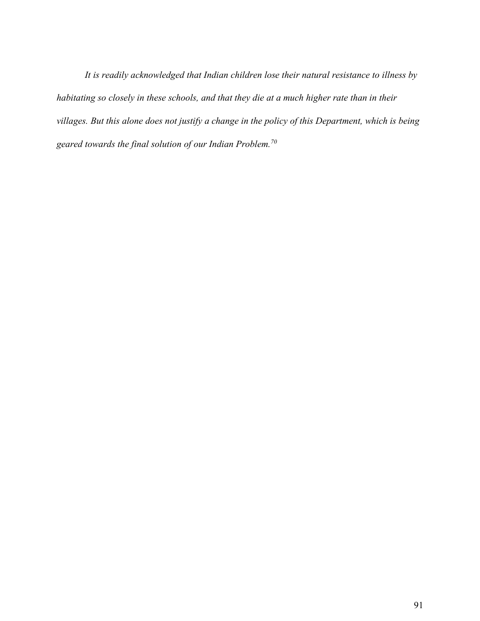*It is readily acknowledged that Indian children lose their natural resistance to illness by habitating so closely in these schools, and that they die at a much higher rate than in their* villages. But this alone does not justify a change in the policy of this Department, which is being *geared towards the final solution of our Indian Problem.70*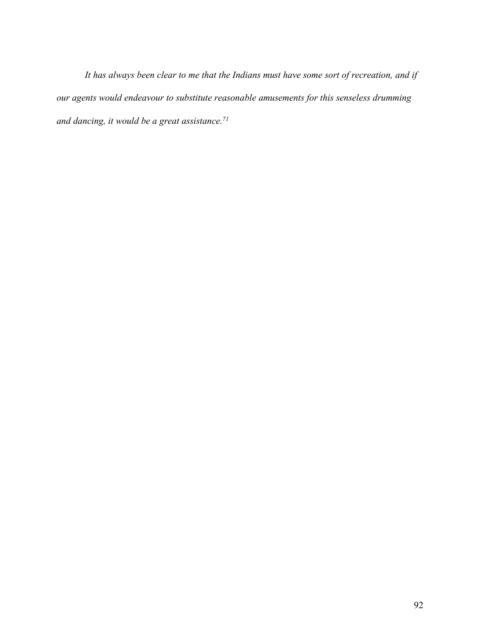*It has always been clear to me that the Indians must have some sort of recreation, and if our agents would endeavour to substitute reasonable amusements for this senseless drumming and dancing, it would be a great assistance.71*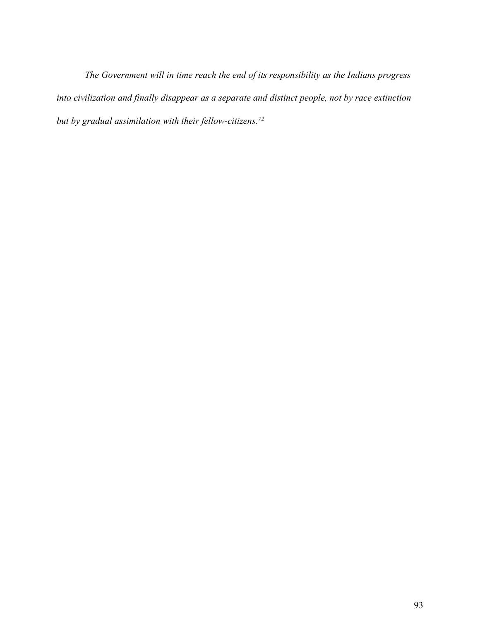*The Government will in time reach the end of its responsibility as the Indians progress into civilization and finally disappear as a separate and distinct people, not by race extinction but by gradual assimilation with their fellow-citizens.72*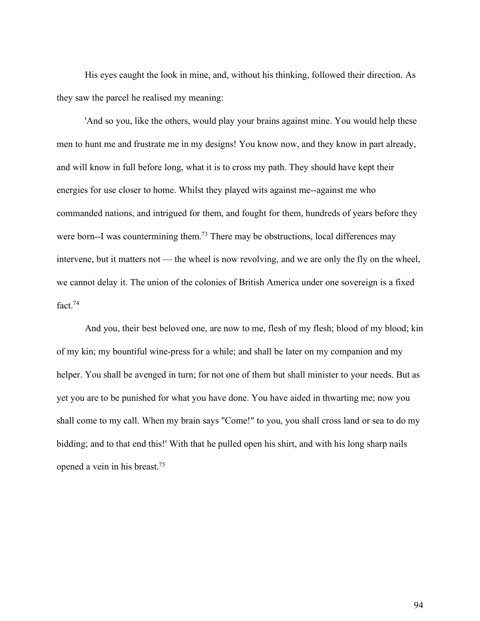His eyes caught the look in mine, and, without his thinking, followed their direction. As they saw the parcel he realised my meaning:

'And so you, like the others, would play your brains against mine. You would help these men to hunt me and frustrate me in my designs! You know now, and they know in part already, and will know in full before long, what it is to cross my path. They should have kept their energies for use closer to home. Whilst they played wits against me--against me who commanded nations, and intrigued for them, and fought for them, hundreds of years before they were born--I was countermining them.<sup>73</sup> There may be obstructions, local differences may intervene, but it matters not — the wheel is now revolving, and we are only the fly on the wheel, we cannot delay it. The union of the colonies of British America under one sovereign is a fixed fact. 74

And you, their best beloved one, are now to me, flesh of my flesh; blood of my blood; kin of my kin; my bountiful wine-press for a while; and shall be later on my companion and my helper. You shall be avenged in turn; for not one of them but shall minister to your needs. But as yet you are to be punished for what you have done. You have aided in thwarting me; now you shall come to my call. When my brain says "Come!" to you, you shall cross land or sea to do my bidding; and to that end this!' With that he pulled open his shirt, and with his long sharp nails opened a vein in his breast.75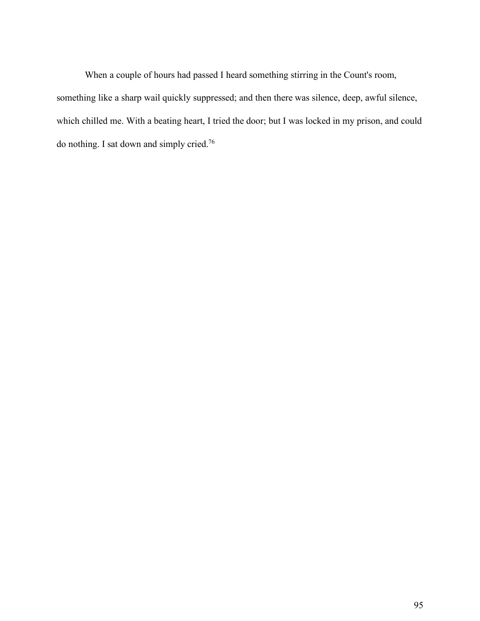When a couple of hours had passed I heard something stirring in the Count's room, something like a sharp wail quickly suppressed; and then there was silence, deep, awful silence, which chilled me. With a beating heart, I tried the door; but I was locked in my prison, and could do nothing. I sat down and simply cried.76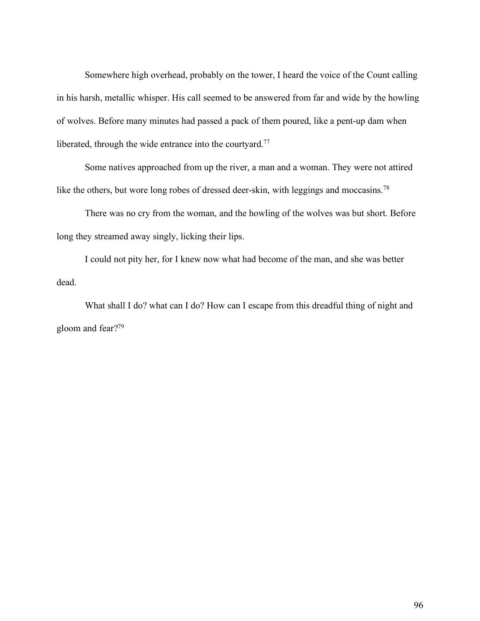Somewhere high overhead, probably on the tower, I heard the voice of the Count calling in his harsh, metallic whisper. His call seemed to be answered from far and wide by the howling of wolves. Before many minutes had passed a pack of them poured, like a pent-up dam when liberated, through the wide entrance into the courtyard.<sup>77</sup>

Some natives approached from up the river, a man and a woman. They were not attired like the others, but wore long robes of dressed deer-skin, with leggings and moccasins.<sup>78</sup>

There was no cry from the woman, and the howling of the wolves was but short. Before long they streamed away singly, licking their lips.

I could not pity her, for I knew now what had become of the man, and she was better dead.

What shall I do? what can I do? How can I escape from this dreadful thing of night and gloom and fear?79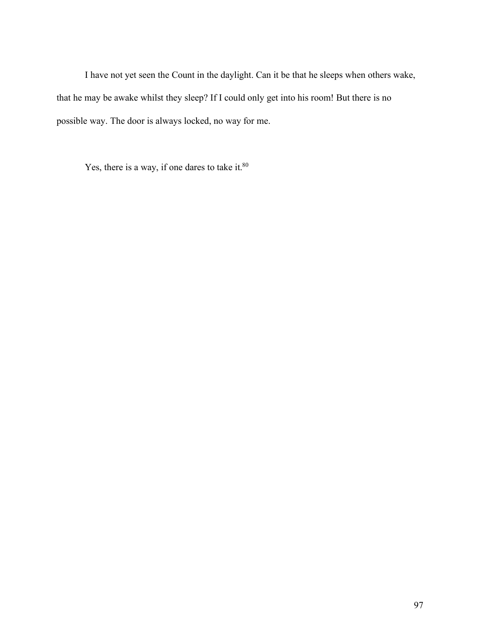I have not yet seen the Count in the daylight. Can it be that he sleeps when others wake, that he may be awake whilst they sleep? If I could only get into his room! But there is no possible way. The door is always locked, no way for me.

Yes, there is a way, if one dares to take it.<sup>80</sup>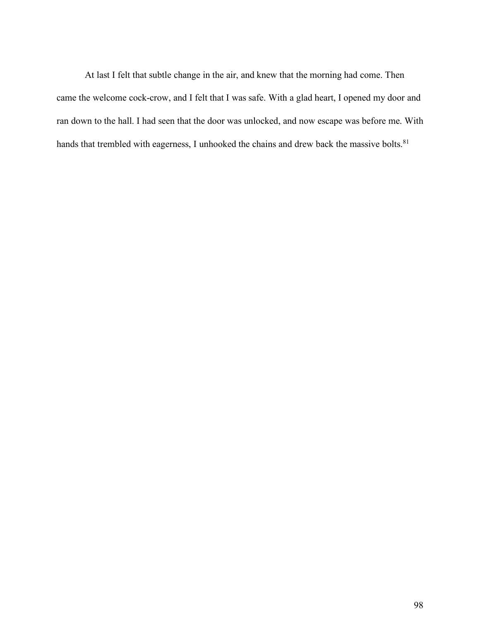At last I felt that subtle change in the air, and knew that the morning had come. Then came the welcome cock-crow, and I felt that I was safe. With a glad heart, I opened my door and ran down to the hall. I had seen that the door was unlocked, and now escape was before me. With hands that trembled with eagerness, I unhooked the chains and drew back the massive bolts.<sup>81</sup>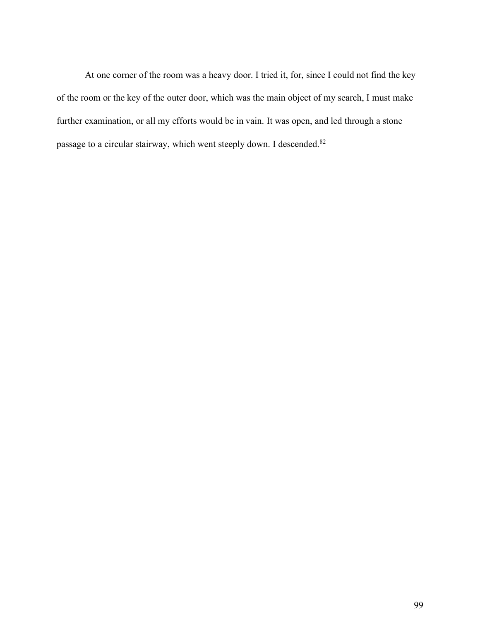At one corner of the room was a heavy door. I tried it, for, since I could not find the key of the room or the key of the outer door, which was the main object of my search, I must make further examination, or all my efforts would be in vain. It was open, and led through a stone passage to a circular stairway, which went steeply down. I descended.<sup>82</sup>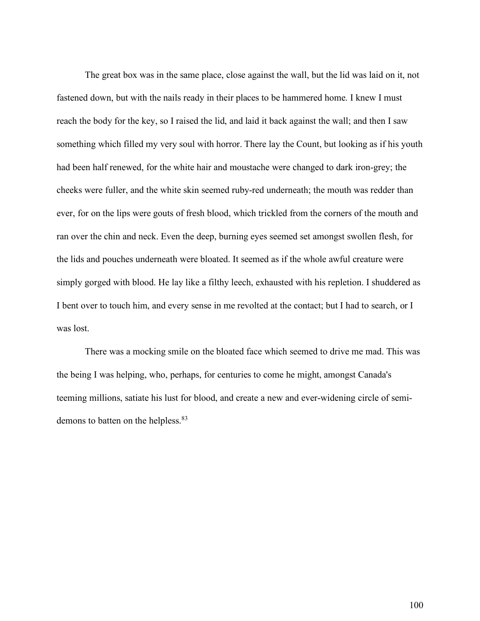The great box was in the same place, close against the wall, but the lid was laid on it, not fastened down, but with the nails ready in their places to be hammered home. I knew I must reach the body for the key, so I raised the lid, and laid it back against the wall; and then I saw something which filled my very soul with horror. There lay the Count, but looking as if his youth had been half renewed, for the white hair and moustache were changed to dark iron-grey; the cheeks were fuller, and the white skin seemed ruby-red underneath; the mouth was redder than ever, for on the lips were gouts of fresh blood, which trickled from the corners of the mouth and ran over the chin and neck. Even the deep, burning eyes seemed set amongst swollen flesh, for the lids and pouches underneath were bloated. It seemed as if the whole awful creature were simply gorged with blood. He lay like a filthy leech, exhausted with his repletion. I shuddered as I bent over to touch him, and every sense in me revolted at the contact; but I had to search, or I was lost.

There was a mocking smile on the bloated face which seemed to drive me mad. This was the being I was helping, who, perhaps, for centuries to come he might, amongst Canada's teeming millions, satiate his lust for blood, and create a new and ever-widening circle of semidemons to batten on the helpless.<sup>83</sup>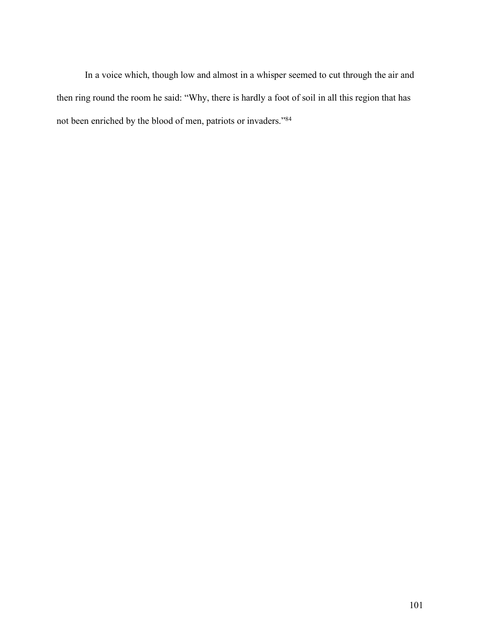In a voice which, though low and almost in a whisper seemed to cut through the air and then ring round the room he said: "Why, there is hardly a foot of soil in all this region that has not been enriched by the blood of men, patriots or invaders."84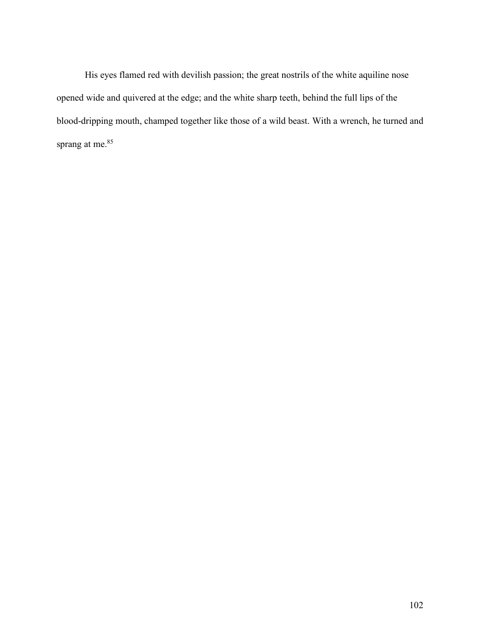His eyes flamed red with devilish passion; the great nostrils of the white aquiline nose opened wide and quivered at the edge; and the white sharp teeth, behind the full lips of the blood-dripping mouth, champed together like those of a wild beast. With a wrench, he turned and sprang at me.<sup>85</sup>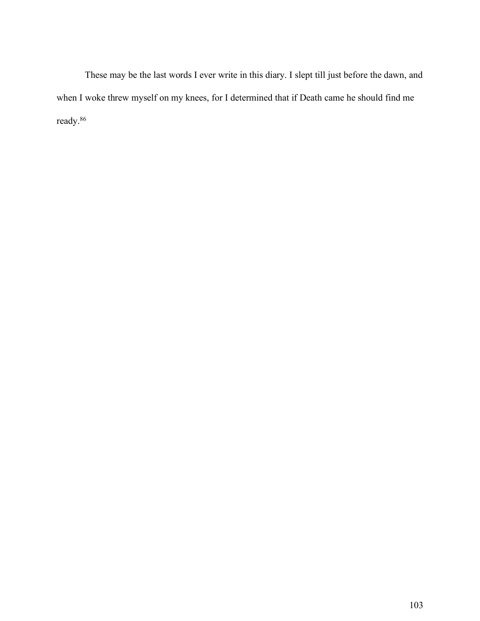These may be the last words I ever write in this diary. I slept till just before the dawn, and when I woke threw myself on my knees, for I determined that if Death came he should find me ready.86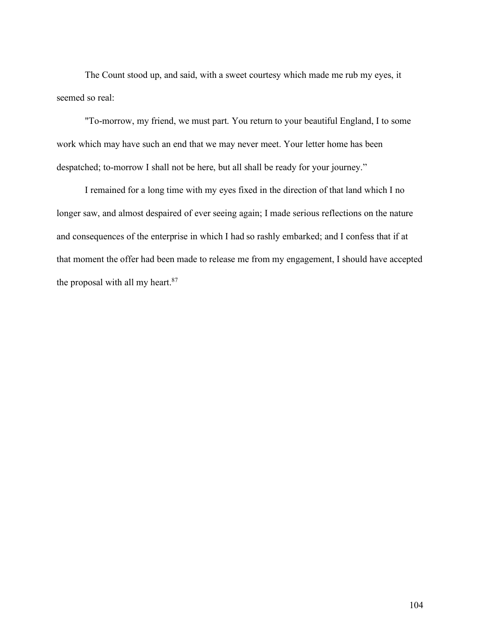The Count stood up, and said, with a sweet courtesy which made me rub my eyes, it seemed so real:

"To-morrow, my friend, we must part. You return to your beautiful England, I to some work which may have such an end that we may never meet. Your letter home has been despatched; to-morrow I shall not be here, but all shall be ready for your journey."

I remained for a long time with my eyes fixed in the direction of that land which I no longer saw, and almost despaired of ever seeing again; I made serious reflections on the nature and consequences of the enterprise in which I had so rashly embarked; and I confess that if at that moment the offer had been made to release me from my engagement, I should have accepted the proposal with all my heart. $87$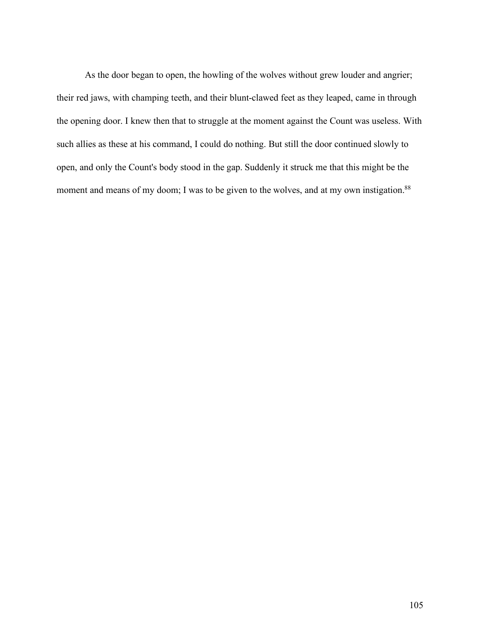As the door began to open, the howling of the wolves without grew louder and angrier; their red jaws, with champing teeth, and their blunt-clawed feet as they leaped, came in through the opening door. I knew then that to struggle at the moment against the Count was useless. With such allies as these at his command, I could do nothing. But still the door continued slowly to open, and only the Count's body stood in the gap. Suddenly it struck me that this might be the moment and means of my doom; I was to be given to the wolves, and at my own instigation.<sup>88</sup>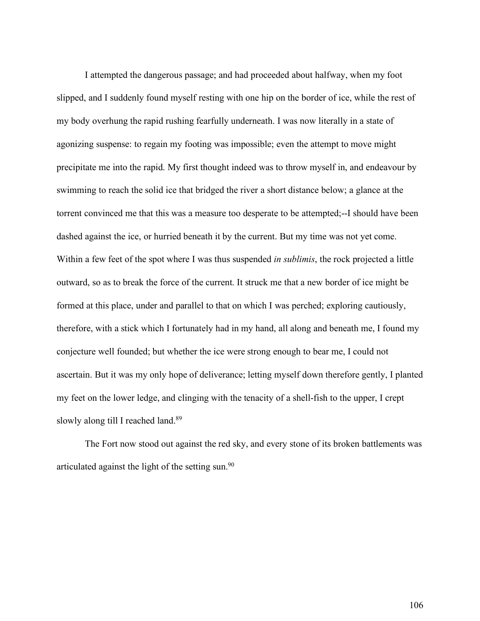I attempted the dangerous passage; and had proceeded about halfway, when my foot slipped, and I suddenly found myself resting with one hip on the border of ice, while the rest of my body overhung the rapid rushing fearfully underneath. I was now literally in a state of agonizing suspense: to regain my footing was impossible; even the attempt to move might precipitate me into the rapid. My first thought indeed was to throw myself in, and endeavour by swimming to reach the solid ice that bridged the river a short distance below; a glance at the torrent convinced me that this was a measure too desperate to be attempted;--I should have been dashed against the ice, or hurried beneath it by the current. But my time was not yet come. Within a few feet of the spot where I was thus suspended *in sublimis*, the rock projected a little outward, so as to break the force of the current. It struck me that a new border of ice might be formed at this place, under and parallel to that on which I was perched; exploring cautiously, therefore, with a stick which I fortunately had in my hand, all along and beneath me, I found my conjecture well founded; but whether the ice were strong enough to bear me, I could not ascertain. But it was my only hope of deliverance; letting myself down therefore gently, I planted my feet on the lower ledge, and clinging with the tenacity of a shell-fish to the upper, I crept slowly along till I reached land.<sup>89</sup>

The Fort now stood out against the red sky, and every stone of its broken battlements was articulated against the light of the setting sun.90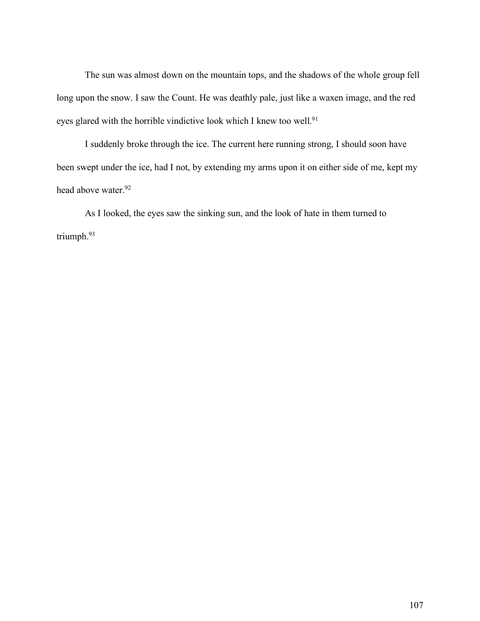The sun was almost down on the mountain tops, and the shadows of the whole group fell long upon the snow. I saw the Count. He was deathly pale, just like a waxen image, and the red eyes glared with the horrible vindictive look which I knew too well.<sup>91</sup>

I suddenly broke through the ice. The current here running strong, I should soon have been swept under the ice, had I not, by extending my arms upon it on either side of me, kept my head above water.<sup>92</sup>

As I looked, the eyes saw the sinking sun, and the look of hate in them turned to triumph.93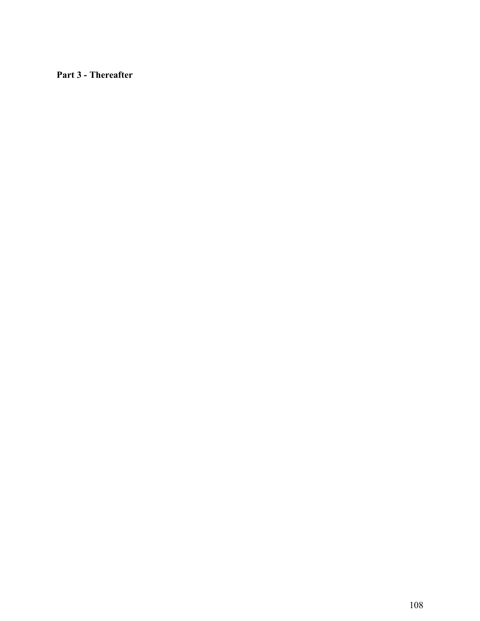**Part 3 - Thereafter**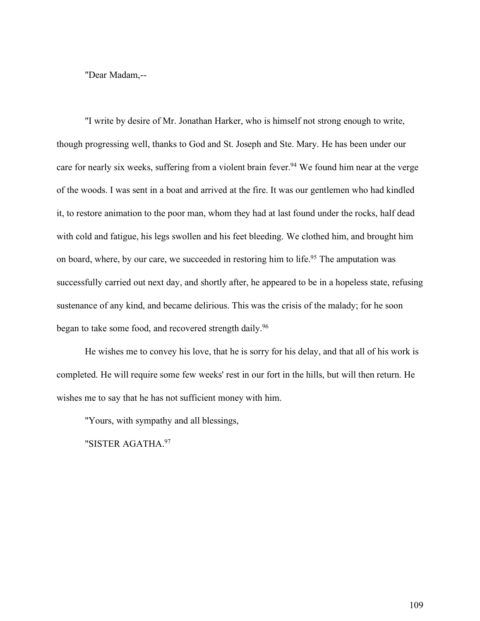"Dear Madam,--

"I write by desire of Mr. Jonathan Harker, who is himself not strong enough to write, though progressing well, thanks to God and St. Joseph and Ste. Mary. He has been under our care for nearly six weeks, suffering from a violent brain fever.<sup>94</sup> We found him near at the verge of the woods. I was sent in a boat and arrived at the fire. It was our gentlemen who had kindled it, to restore animation to the poor man, whom they had at last found under the rocks, half dead with cold and fatigue, his legs swollen and his feet bleeding. We clothed him, and brought him on board, where, by our care, we succeeded in restoring him to life.<sup>95</sup> The amputation was successfully carried out next day, and shortly after, he appeared to be in a hopeless state, refusing sustenance of any kind, and became delirious. This was the crisis of the malady; for he soon began to take some food, and recovered strength daily.<sup>96</sup>

He wishes me to convey his love, that he is sorry for his delay, and that all of his work is completed. He will require some few weeks' rest in our fort in the hills, but will then return. He wishes me to say that he has not sufficient money with him.

"Yours, with sympathy and all blessings,

"SISTER AGATHA.97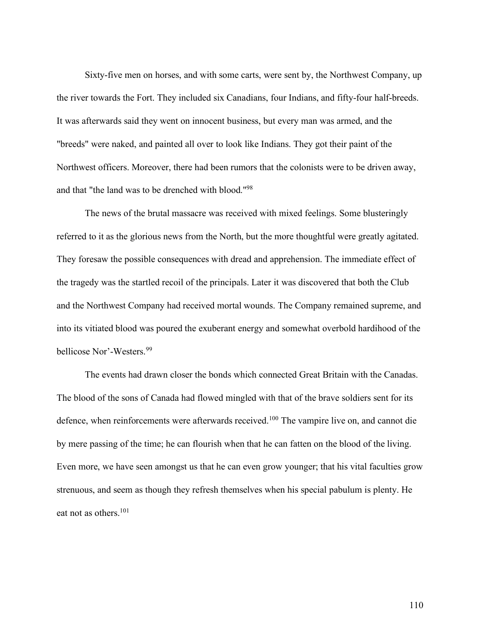Sixty-five men on horses, and with some carts, were sent by, the Northwest Company, up the river towards the Fort. They included six Canadians, four Indians, and fifty-four half-breeds. It was afterwards said they went on innocent business, but every man was armed, and the "breeds" were naked, and painted all over to look like Indians. They got their paint of the Northwest officers. Moreover, there had been rumors that the colonists were to be driven away, and that "the land was to be drenched with blood."98

The news of the brutal massacre was received with mixed feelings. Some blusteringly referred to it as the glorious news from the North, but the more thoughtful were greatly agitated. They foresaw the possible consequences with dread and apprehension. The immediate effect of the tragedy was the startled recoil of the principals. Later it was discovered that both the Club and the Northwest Company had received mortal wounds. The Company remained supreme, and into its vitiated blood was poured the exuberant energy and somewhat overbold hardihood of the bellicose Nor'-Westers.99

The events had drawn closer the bonds which connected Great Britain with the Canadas. The blood of the sons of Canada had flowed mingled with that of the brave soldiers sent for its defence, when reinforcements were afterwards received.<sup>100</sup> The vampire live on, and cannot die by mere passing of the time; he can flourish when that he can fatten on the blood of the living. Even more, we have seen amongst us that he can even grow younger; that his vital faculties grow strenuous, and seem as though they refresh themselves when his special pabulum is plenty. He eat not as others.101

110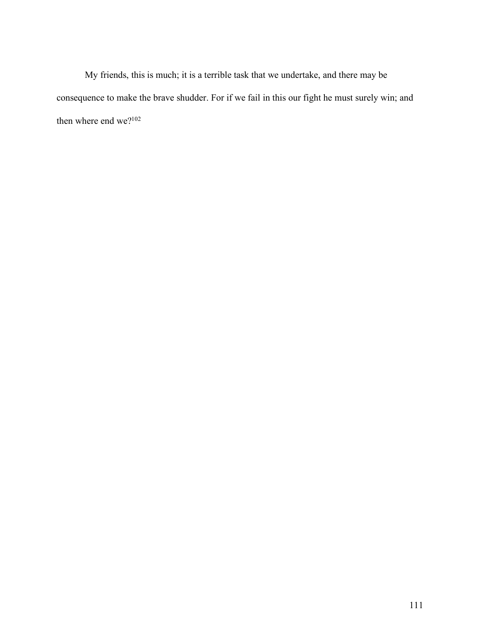My friends, this is much; it is a terrible task that we undertake, and there may be consequence to make the brave shudder. For if we fail in this our fight he must surely win; and then where end we?<sup>102</sup>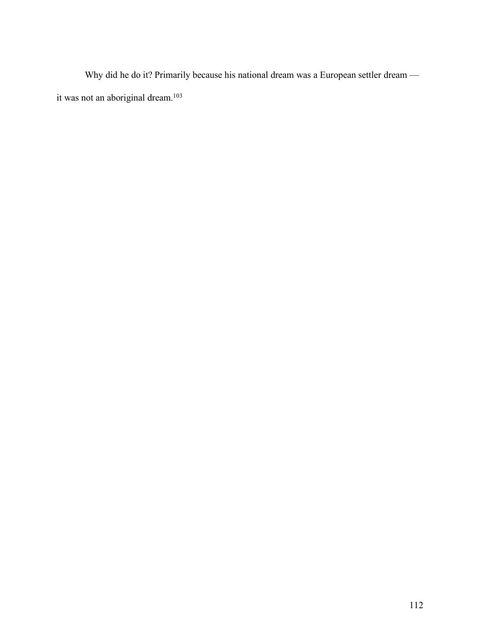Why did he do it? Primarily because his national dream was a European settler dream it was not an aboriginal dream.<sup>103</sup>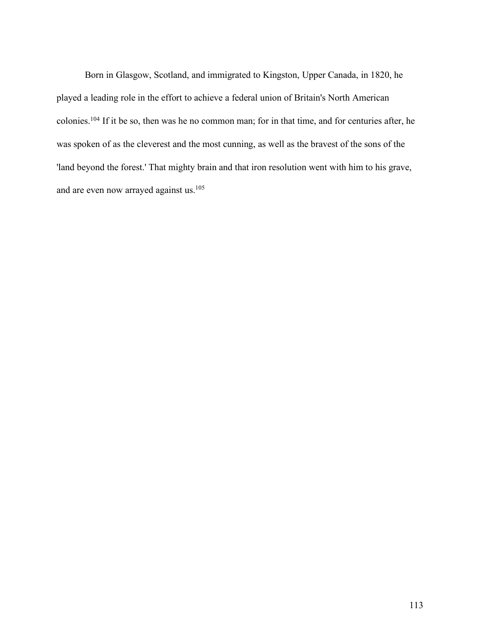Born in Glasgow, Scotland, and immigrated to Kingston, Upper Canada, in 1820, he played a leading role in the effort to achieve a federal union of Britain's North American colonies.104 If it be so, then was he no common man; for in that time, and for centuries after, he was spoken of as the cleverest and the most cunning, as well as the bravest of the sons of the 'land beyond the forest.' That mighty brain and that iron resolution went with him to his grave, and are even now arrayed against us.<sup>105</sup>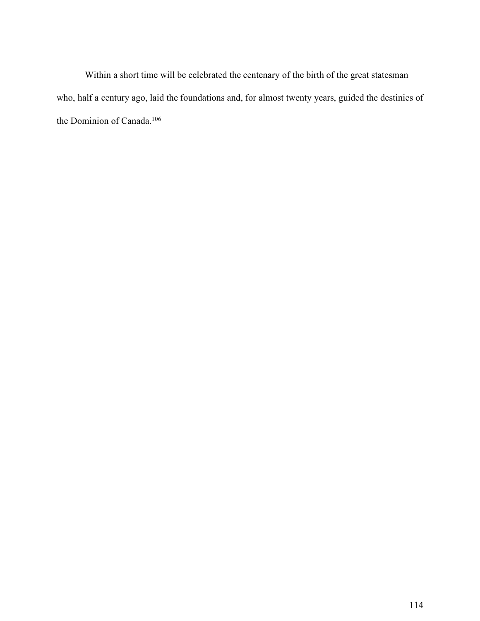Within a short time will be celebrated the centenary of the birth of the great statesman who, half a century ago, laid the foundations and, for almost twenty years, guided the destinies of the Dominion of Canada.<sup>106</sup>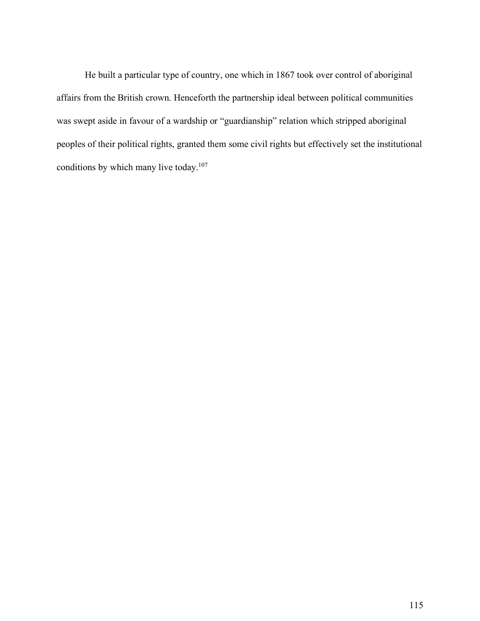He built a particular type of country, one which in 1867 took over control of aboriginal affairs from the British crown. Henceforth the partnership ideal between political communities was swept aside in favour of a wardship or "guardianship" relation which stripped aboriginal peoples of their political rights, granted them some civil rights but effectively set the institutional conditions by which many live today.107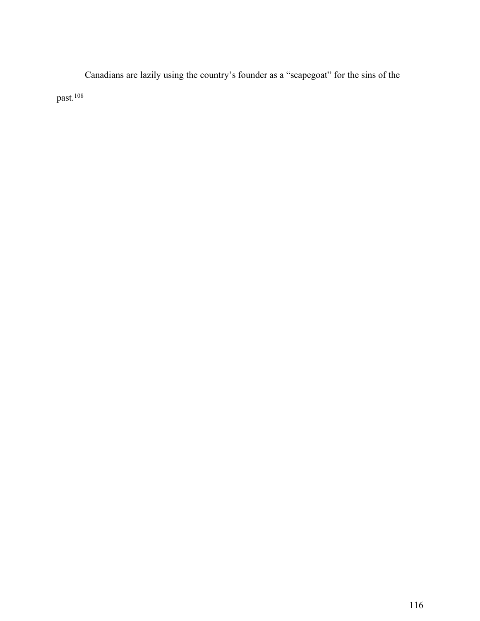Canadians are lazily using the country's founder as a "scapegoat" for the sins of the past.<sup>108</sup>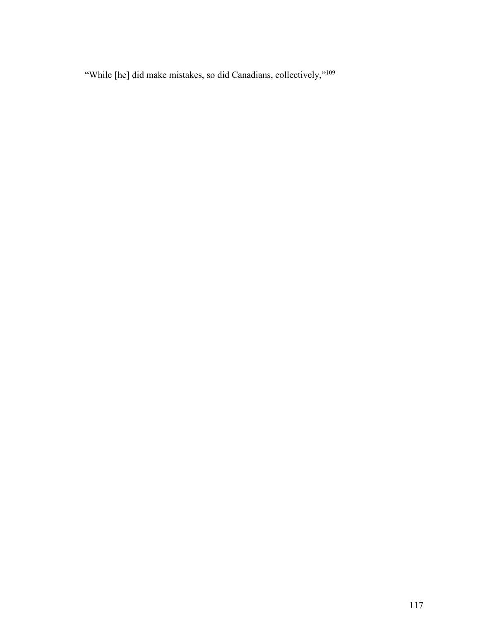"While [he] did make mistakes, so did Canadians, collectively,"109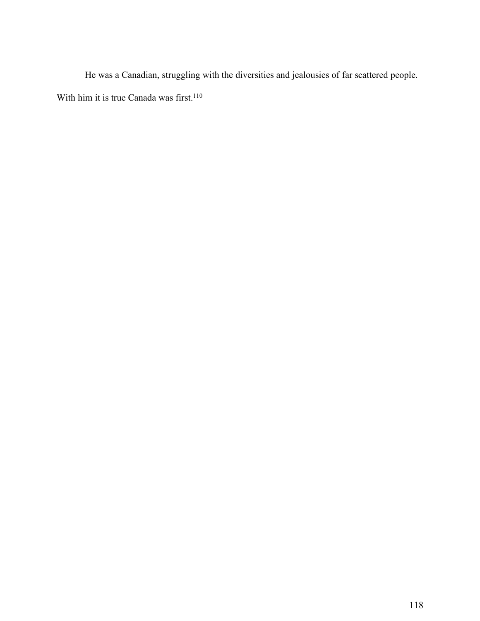He was a Canadian, struggling with the diversities and jealousies of far scattered people. With him it is true Canada was first.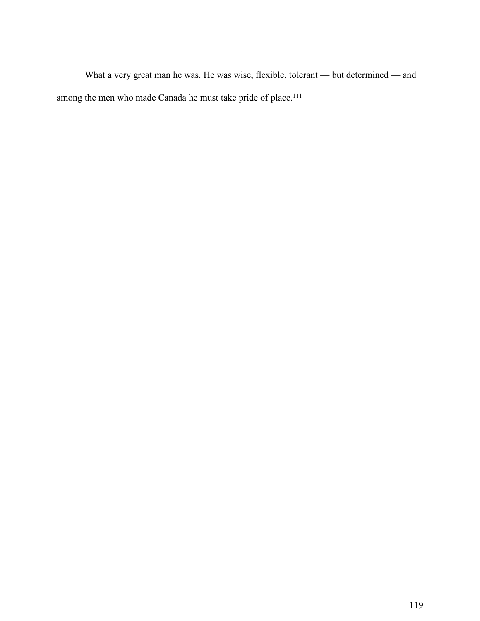What a very great man he was. He was wise, flexible, tolerant — but determined — and among the men who made Canada he must take pride of place.<sup>111</sup>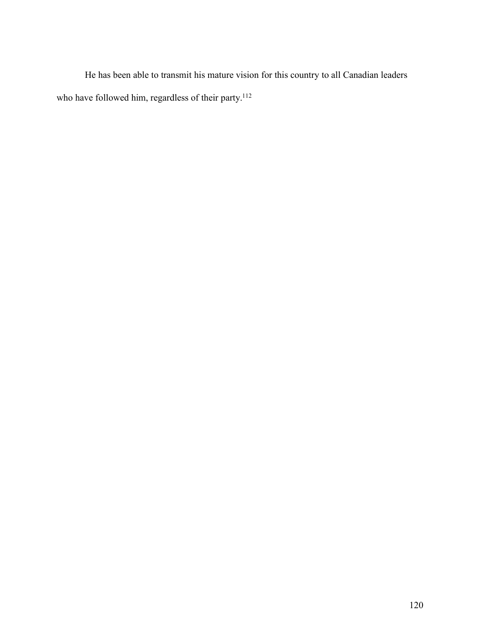He has been able to transmit his mature vision for this country to all Canadian leaders who have followed him, regardless of their party.<sup>112</sup>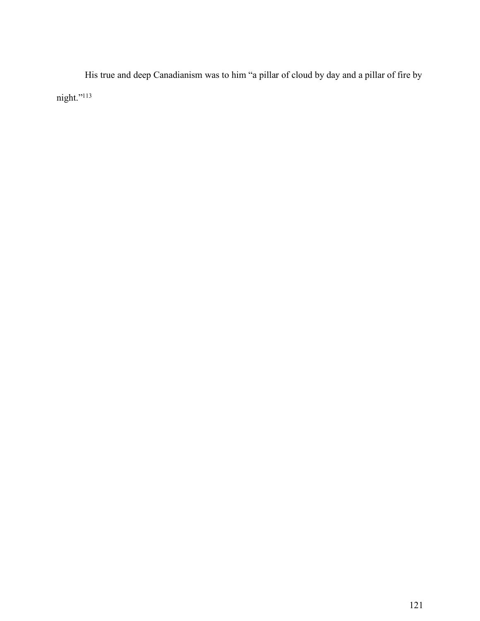His true and deep Canadianism was to him "a pillar of cloud by day and a pillar of fire by night."113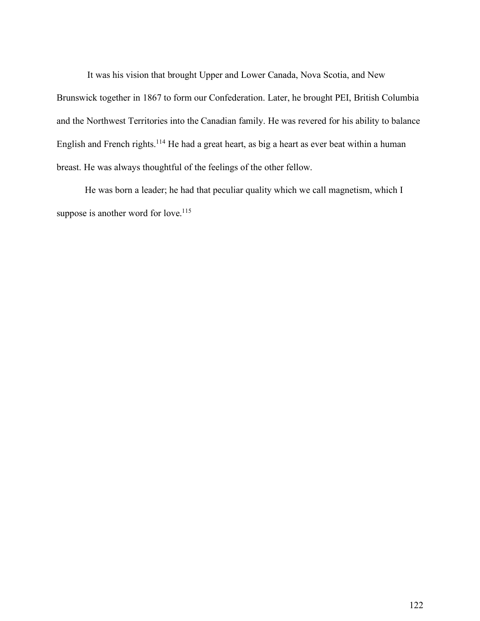It was his vision that brought Upper and Lower Canada, Nova Scotia, and New Brunswick together in 1867 to form our Confederation. Later, he brought PEI, British Columbia and the Northwest Territories into the Canadian family. He was revered for his ability to balance English and French rights.114 He had a great heart, as big a heart as ever beat within a human breast. He was always thoughtful of the feelings of the other fellow.

He was born a leader; he had that peculiar quality which we call magnetism, which I suppose is another word for love.<sup>115</sup>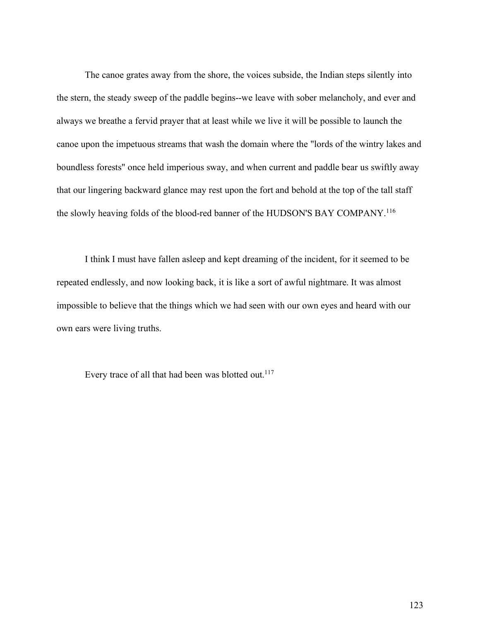The canoe grates away from the shore, the voices subside, the Indian steps silently into the stern, the steady sweep of the paddle begins--we leave with sober melancholy, and ever and always we breathe a fervid prayer that at least while we live it will be possible to launch the canoe upon the impetuous streams that wash the domain where the "lords of the wintry lakes and boundless forests" once held imperious sway, and when current and paddle bear us swiftly away that our lingering backward glance may rest upon the fort and behold at the top of the tall staff the slowly heaving folds of the blood-red banner of the HUDSON'S BAY COMPANY.116

I think I must have fallen asleep and kept dreaming of the incident, for it seemed to be repeated endlessly, and now looking back, it is like a sort of awful nightmare. It was almost impossible to believe that the things which we had seen with our own eyes and heard with our own ears were living truths.

Every trace of all that had been was blotted out.<sup>117</sup>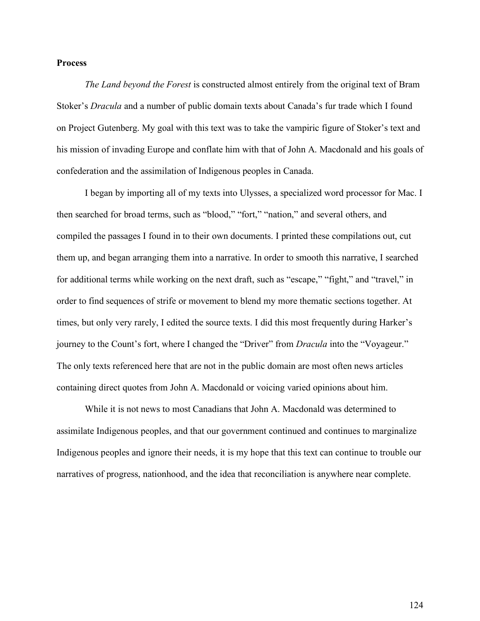## **Process**

*The Land beyond the Forest* is constructed almost entirely from the original text of Bram Stoker's *Dracula* and a number of public domain texts about Canada's fur trade which I found on Project Gutenberg. My goal with this text was to take the vampiric figure of Stoker's text and his mission of invading Europe and conflate him with that of John A. Macdonald and his goals of confederation and the assimilation of Indigenous peoples in Canada.

I began by importing all of my texts into Ulysses, a specialized word processor for Mac. I then searched for broad terms, such as "blood," "fort," "nation," and several others, and compiled the passages I found in to their own documents. I printed these compilations out, cut them up, and began arranging them into a narrative. In order to smooth this narrative, I searched for additional terms while working on the next draft, such as "escape," "fight," and "travel," in order to find sequences of strife or movement to blend my more thematic sections together. At times, but only very rarely, I edited the source texts. I did this most frequently during Harker's journey to the Count's fort, where I changed the "Driver" from *Dracula* into the "Voyageur." The only texts referenced here that are not in the public domain are most often news articles containing direct quotes from John A. Macdonald or voicing varied opinions about him.

While it is not news to most Canadians that John A. Macdonald was determined to assimilate Indigenous peoples, and that our government continued and continues to marginalize Indigenous peoples and ignore their needs, it is my hope that this text can continue to trouble our narratives of progress, nationhood, and the idea that reconciliation is anywhere near complete.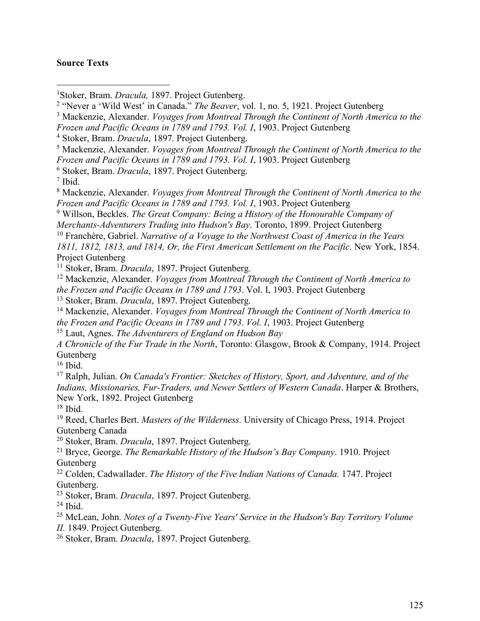## **Source Texts**

Stoker, Bram. *Dracula,* 1897. Project Gutenberg.

"Never a 'Wild West' in Canada." *The Beaver*, vol. 1, no. 5, 1921. Project Gutenberg

 Mackenzie, Alexander. *Voyages from Montreal Through the Continent of North America to the Frozen and Pacific Oceans in 1789 and 1793. Vol. I*, 1903. Project Gutenberg

Stoker, Bram. *Dracula*, 1897. Project Gutenberg.

Mackenzie, Alexander. *Voyages from Montreal Through the Continent of North America to the*

*Frozen and Pacific Oceans in 1789 and 1793. Vol. I*, 1903. Project Gutenberg

Stoker, Bram. *Dracula*, 1897. Project Gutenberg.

Ibid.

 Mackenzie, Alexander. *Voyages from Montreal Through the Continent of North America to the Frozen and Pacific Oceans in 1789 and 1793. Vol. I*, 1903. Project Gutenberg

Willson, Beckles. *The Great Company: Being a History of the Honourable Company of*

*Merchants-Adventurers Trading into Hudson's Bay*. Toronto, 1899. Project Gutenberg

Franchère, Gabriel. *Narrative of a Voyage to the Northwest Coast of America in the Years*

*1811, 1812, 1813, and 1814, Or, the First American Settlement on the Pacific*. New York, 1854. Project Gutenberg

Stoker, Bram. *Dracula*, 1897. Project Gutenberg.

 Mackenzie, Alexander. *Voyages from Montreal Through the Continent of North America to the Frozen and Pacific Oceans in 1789 and 1793*. Vol. I, 1903. Project Gutenberg

Stoker, Bram. *Dracula*, 1897. Project Gutenberg.

 Mackenzie, Alexander. *Voyages from Montreal Through the Continent of North America to the Frozen and Pacific Oceans in 1789 and 1793. Vol. I*, 1903. Project Gutenberg

Laut, Agnes. *The Adventurers of England on Hudson Bay*

*A Chronicle of the Fur Trade in the North*, Toronto: Glasgow, Brook & Company, 1914. Project Gutenberg

Ibid.

 Ralph, Julian. *On Canada's Frontier: Sketches of History, Sport, and Adventure, and of the Indians, Missionaries, Fur-Traders, and Newer Settlers of Western Canada*. Harper & Brothers, New York, 1892. Project Gutenberg

Ibid.

 Reed, Charles Bert. *Masters of the Wilderness*. University of Chicago Press, 1914. Project Gutenberg Canada

Stoker, Bram. *Dracula*, 1897. Project Gutenberg.

 Bryce, George. *The Remarkable History of the Hudson's Bay Company*. 1910. Project Gutenberg

 Colden, Cadwallader. *The History of the Five Indian Nations of Canada.* 1747. Project Gutenberg.

Stoker, Bram. *Dracula*, 1897. Project Gutenberg.

Ibid.

 McLean, John. *Notes of a Twenty-Five Years' Service in the Hudson's Bay Territory Volume II.* 1849. Project Gutenberg.

Stoker, Bram. *Dracula*, 1897. Project Gutenberg.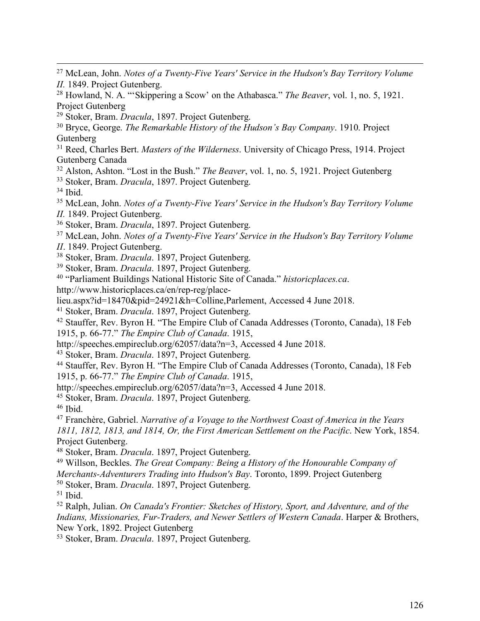- 27 McLean, John. *Notes of <sup>a</sup> Twenty-Five Years' Service in the Hudson's Bay Territory Volume II.* 1849. Project Gutenberg.
- <sup>28</sup> Howland, N. A. "'Skippering a Scow' on the Athabasca." *The Beaver*, vol. 1, no. 5, 1921. Project Gutenberg
- <sup>29</sup> Stoker, Bram. *Dracula*, 1897. Project Gutenberg.

<sup>30</sup> Bryce, George. *The Remarkable History of the Hudson's Bay Company*. 1910. Project Gutenberg

<sup>31</sup> Reed, Charles Bert. *Masters of the Wilderness*. University of Chicago Press, 1914. Project Gutenberg Canada

<sup>32</sup> Alston, Ashton. "Lost in the Bush." *The Beaver*, vol. 1, no. 5, 1921. Project Gutenberg

<sup>33</sup> Stoker, Bram. *Dracula*, 1897. Project Gutenberg.

<sup>34</sup> Ibid.

<sup>35</sup> McLean, John. *Notes of a Twenty-Five Years' Service in the Hudson's Bay Territory Volume*

*II.* 1849. Project Gutenberg.

<sup>36</sup> Stoker, Bram. *Dracula*, 1897. Project Gutenberg.

- <sup>37</sup> McLean, John. *Notes of a Twenty-Five Years' Service in the Hudson's Bay Territory Volume*
- *II*. 1849. Project Gutenberg.
- <sup>38</sup> Stoker, Bram. *Dracula*. 1897, Project Gutenberg.<br><sup>39</sup> Stoker, Bram. *Dracula*. 1897, Project Gutenberg.
- 
- <sup>40</sup> "Parliament Buildings National Historic Site of Canada." *historicplaces.ca.*

http://www.historicplaces.ca/en/rep-reg/place-

lieu.aspx?id=18470&pid=24921&h=Colline,Parlement, Accessed 4 June 2018.

<sup>41</sup> Stoker, Bram. *Dracula*. 1897, Project Gutenberg. 42 Stauffer, Rev. Byron H. "The Empire Club of Canada Addresses (Toronto, Canada), <sup>18</sup> Feb 1915, p. 66-77." *The Empire Club of Canada*. 1915,

http://speeches.empireclub.org/62057/data?n=3, Accessed 4 June 2018.

<sup>43</sup> Stoker, Bram. *Dracula*. 1897, Project Gutenberg. 44 Stauffer, Rev. Byron H. "The Empire Club of Canada Addresses (Toronto, Canada), <sup>18</sup> Feb 1915, p. 66-77." *The Empire Club of Canada*. 1915,

http://speeches.empireclub.org/62057/data?n=3, Accessed 4 June 2018.

<sup>45</sup> Stoker, Bram. *Dracula*. 1897, Project Gutenberg. 46 Ibid.

<sup>47</sup> Franchère, Gabriel. *Narrative of a Voyage to the Northwest Coast of America in the Years 1811, 1812, 1813, and 1814, Or, the First American Settlement on the Pacific*. New York, 1854. Project Gutenberg.

<sup>48</sup> Stoker, Bram. *Dracula*. 1897, Project Gutenberg.

<sup>49</sup> Willson, Beckles. *The Great Company: Being a History of the Honourable Company of Merchants-Adventurers Trading into Hudson's Bay*. Toronto, 1899. Project Gutenberg

<sup>50</sup> Stoker, Bram. *Dracula*. 1897, Project Gutenberg. 51 Ibid.

<sup>52</sup> Ralph, Julian. *On Canada's Frontier: Sketches of History, Sport, and Adventure, and of the Indians, Missionaries, Fur-Traders, and Newer Settlers of Western Canada*. Harper & Brothers, New York, 1892. Project Gutenberg

<sup>53</sup> Stoker, Bram. *Dracula*. 1897, Project Gutenberg.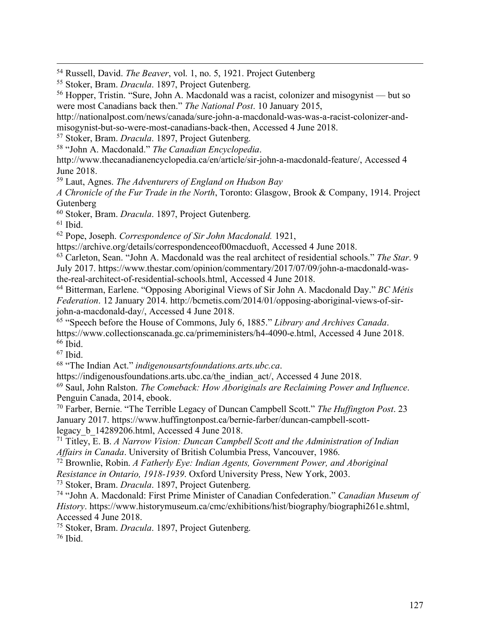54 Russell, David. *The Beaver*, vol. 1, no. 5, 1921. Project Gutenberg

<sup>55</sup> Stoker, Bram. *Dracula*. 1897, Project Gutenberg. 56 Hopper, Tristin. "Sure, John A. Macdonald was <sup>a</sup> racist, colonizer and misogynist — but so were most Canadians back then." *The National Post*. 10 January 2015,

http://nationalpost.com/news/canada/sure-john-a-macdonald-was-was-a-racist-colonizer-andmisogynist-but-so-were-most-canadians-back-then, Accessed 4 June 2018.

<sup>57</sup> Stoker, Bram. *Dracula*. 1897, Project Gutenberg. 58 "John A. Macdonald." *The Canadian Encyclopedia*.

http://www.thecanadianencyclopedia.ca/en/article/sir-john-a-macdonald-feature/, Accessed 4 June 2018.

<sup>59</sup> Laut, Agnes. *The Adventurers of England on Hudson Bay*

*A Chronicle of the Fur Trade in the North*, Toronto: Glasgow, Brook & Company, 1914. Project Gutenberg

<sup>60</sup> Stoker, Bram. *Dracula*. 1897, Project Gutenberg. 61 Ibid.

<sup>62</sup> Pope, Joseph. *Correspondence of Sir John Macdonald.* 1921,

https://archive.org/details/correspondenceof00macduoft, Accessed 4 June 2018.

<sup>63</sup> Carleton, Sean. "John A. Macdonald was the real architect of residential schools." *The Star*. 9 July 2017. https://www.thestar.com/opinion/commentary/2017/07/09/john-a-macdonald-wasthe-real-architect-of-residential-schools.html, Accessed 4 June 2018.

<sup>64</sup> Bitterman, Earlene. "Opposing Aboriginal Views of Sir John A. Macdonald Day." *BC Métis Federation*. 12 January 2014. http://bcmetis.com/2014/01/opposing-aboriginal-views-of-sirjohn-a-macdonald-day/, Accessed 4 June 2018.

<sup>65</sup> "Speech before the House of Commons, July 6, 1885." *Library and Archives Canada*. https://www.collectionscanada.gc.ca/primeministers/h4-4090-e.html, Accessed 4 June 2018.  $66$  Ibid.

<sup>67</sup> Ibid.

<sup>68</sup> "The Indian Act." *indigenousartsfoundations.arts.ubc.ca*.

https://indigenousfoundations.arts.ubc.ca/the\_indian\_act/, Accessed 4 June 2018.

<sup>69</sup> Saul, John Ralston. *The Comeback: How Aboriginals are Reclaiming Power and Influence*. Penguin Canada, 2014, ebook.

<sup>70</sup> Farber, Bernie. "The Terrible Legacy of Duncan Campbell Scott." *The Huffington Post*. 23 January 2017. https://www.huffingtonpost.ca/bernie-farber/duncan-campbell-scottlegacy\_b\_14289206.html, Accessed 4 June 2018.

<sup>71</sup> Titley, E. B. *A Narrow Vision: Duncan Campbell Scott and the Administration of Indian Affairs in Canada*. University of British Columbia Press, Vancouver, 1986.

<sup>72</sup> Brownlie, Robin. *A Fatherly Eye: Indian Agents, Government Power, and Aboriginal Resistance in Ontario, 1918-1939*. Oxford University Press, New York, 2003.

<sup>73</sup> Stoker, Bram. *Dracula*. 1897, Project Gutenberg. 74 "John A. Macdonald: First Prime Minister of Canadian Confederation." *Canadian Museum of History*. https://www.historymuseum.ca/cmc/exhibitions/hist/biography/biographi261e.shtml, Accessed 4 June 2018.

<sup>75</sup> Stoker, Bram. *Dracula*. 1897, Project Gutenberg. 76 Ibid.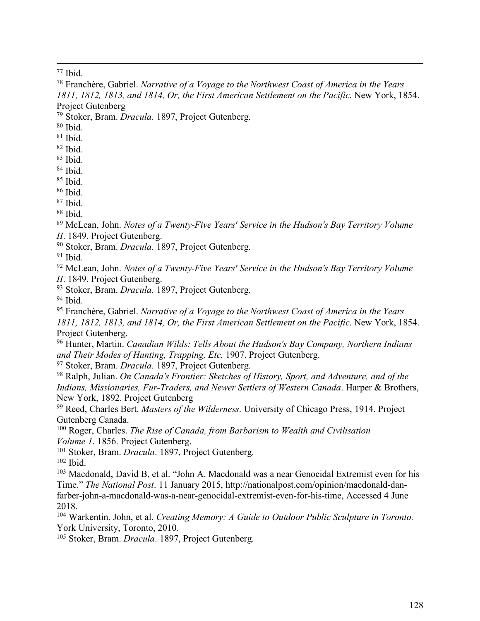Ibid.

 Franchère, Gabriel. *Narrative of a Voyage to the Northwest Coast of America in the Years 1811, 1812, 1813, and 1814, Or, the First American Settlement on the Pacific*. New York, 1854. Project Gutenberg

Stoker, Bram. *Dracula*. 1897, Project Gutenberg.

Ibid.

Ibid.

Ibid.

Ibid.

Ibid.

Ibid.

Ibid.

Ibid.

Ibid.

 McLean, John. *Notes of a Twenty-Five Years' Service in the Hudson's Bay Territory Volume II*. 1849. Project Gutenberg.

Stoker, Bram. *Dracula*. 1897, Project Gutenberg.

Ibid.

 McLean, John. *Notes of a Twenty-Five Years' Service in the Hudson's Bay Territory Volume II*. 1849. Project Gutenberg.

Stoker, Bram. *Dracula*. 1897, Project Gutenberg.

Ibid.

 Franchère, Gabriel. *Narrative of a Voyage to the Northwest Coast of America in the Years 1811, 1812, 1813, and 1814, Or, the First American Settlement on the Pacific*. New York, 1854. Project Gutenberg.

 Hunter, Martin. *Canadian Wilds: Tells About the Hudson's Bay Company, Northern Indians and Their Modes of Hunting, Trapping, Etc.* 1907. Project Gutenberg.

Stoker, Bram. *Dracula*. 1897, Project Gutenberg.

 Ralph, Julian. *On Canada's Frontier: Sketches of History, Sport, and Adventure, and of the Indians, Missionaries, Fur-Traders, and Newer Settlers of Western Canada*. Harper & Brothers, New York, 1892. Project Gutenberg

 Reed, Charles Bert. *Masters of the Wilderness*. University of Chicago Press, 1914. Project Gutenberg Canada.

 Roger, Charles. *The Rise of Canada, from Barbarism to Wealth and Civilisation Volume 1*. 1856. Project Gutenberg.

Stoker, Bram. *Dracula*. 1897, Project Gutenberg.

Ibid.

 Macdonald, David B, et al. "John A. Macdonald was a near Genocidal Extremist even for his Time." *The National Post*. 11 January 2015, http://nationalpost.com/opinion/macdonald-danfarber-john-a-macdonald-was-a-near-genocidal-extremist-even-for-his-time, Accessed 4 June 2018.

 Warkentin, John, et al. *Creating Memory: A Guide to Outdoor Public Sculpture in Toronto.* York University, Toronto, 2010.

Stoker, Bram. *Dracula*. 1897, Project Gutenberg.